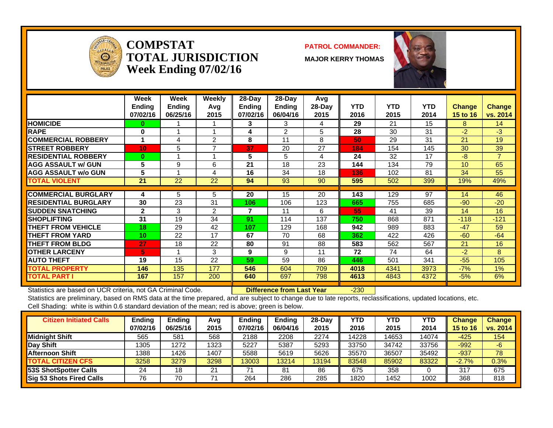

**COMPSTATTOTAL JURISDICTIONWeek Ending 07/02/16**

### **PATROL COMMANDER:**

**MAJOR KERRY THOMAS**



|                              | Week<br><b>Ending</b><br>07/02/16 | Week<br><b>Ending</b><br>06/25/16 | Weekly<br>Avq<br>2015 | $28-Day$<br><b>Ending</b><br>07/02/16 | $28-Day$<br>Ending<br>06/04/16 | Avg<br>$28-Day$<br>2015 | <b>YTD</b><br>2016 | <b>YTD</b><br>2015 | <b>YTD</b><br>2014 | <b>Change</b><br>15 to 16 | <b>Change</b><br>vs. 2014 |
|------------------------------|-----------------------------------|-----------------------------------|-----------------------|---------------------------------------|--------------------------------|-------------------------|--------------------|--------------------|--------------------|---------------------------|---------------------------|
| <b>HOMICIDE</b>              | 0                                 |                                   |                       | 3                                     | 3                              | 4                       | 29                 | 21                 | 15                 | 8                         | 14                        |
| <b>RAPE</b>                  | 0                                 |                                   |                       | 4                                     | 2                              | 5                       | 28                 | 30                 | 31                 | $-2$                      | $-3$                      |
| <b>COMMERCIAL ROBBERY</b>    |                                   | 4                                 | 2                     | 8                                     | 11                             | 8                       | 50                 | 29                 | 31                 | 21                        | 19                        |
| <b>STREET ROBBERY</b>        | 10 <sub>1</sub>                   | 5                                 | ⇁                     | 37                                    | 20                             | 27                      | 184                | 154                | 145                | 30                        | 39                        |
| <b>IRESIDENTIAL ROBBERY</b>  | $\mathbf{0}$                      |                                   |                       | 5                                     | 5                              | 4                       | 24                 | 32                 | 17                 | $-8$                      | $\overline{7}$            |
| <b>AGG ASSAULT w/ GUN</b>    | 5                                 | 9                                 | 6                     | 21                                    | 18                             | 23                      | 144                | 134                | 79                 | 10                        | 65                        |
| <b>AGG ASSAULT w/o GUN</b>   | 5                                 |                                   | 4                     | 16                                    | 34                             | 18                      | 136                | 102                | 81                 | 34                        | 55                        |
| <b>TOTAL VIOLENT</b>         | 21                                | 22                                | 22                    | 94                                    | 93                             | 90                      | 595                | 502                | 399                | 19%                       | 49%                       |
|                              |                                   |                                   |                       |                                       |                                |                         |                    |                    |                    |                           |                           |
| <b>COMMERCIAL BURGLARY</b>   | 4                                 | 5                                 | 5                     | 20                                    | 15                             | 20                      | 143                | 129                | 97                 | 14                        | 46                        |
| <b>IRESIDENTIAL BURGLARY</b> | 30                                | 23                                | 31                    | 106                                   | 106                            | 123                     | 665                | 755                | 685                | $-90$                     | $-20$                     |
| <b>SUDDEN SNATCHING</b>      | $\mathbf{2}$                      | 3                                 | 2                     | 7                                     | 11                             | 6                       | 55                 | 41                 | 39                 | 14                        | 16                        |
| <b>SHOPLIFTING</b>           | 31                                | 19                                | 34                    | 91                                    | 114                            | 137                     | 750                | 868                | 871                | $-118$                    | $-121$                    |
| <b>THEFT FROM VEHICLE</b>    | 18                                | 29                                | 42                    | 107                                   | 129                            | 168                     | 942                | 989                | 883                | $-47$                     | 59                        |
| <b>THEFT FROM YARD</b>       | 10                                | 22                                | 17                    | 67                                    | 70                             | 68                      | 362                | 422                | 426                | $-60$                     | $-64$                     |
| <b>THEFT FROM BLDG</b>       | 27                                | 18                                | 22                    | 80                                    | 91                             | 88                      | 583                | 562                | 567                | 21                        | 16                        |
| <b>OTHER LARCENY</b>         | 5.                                |                                   | 3                     | 9                                     | 9                              | 11                      | 72                 | 74                 | 64                 | $-2$                      | 8                         |
| <b>AUTO THEFT</b>            | 19                                | 15                                | 22                    | 59                                    | 59                             | 86                      | 446                | 501                | 341                | $-55$                     | 105                       |
| <b>TOTAL PROPERTY</b>        | 146                               | 135                               | 177                   | 546                                   | 604                            | 709                     | 4018               | 4341               | 3973               | $-7%$                     | $1\%$                     |
| <b>TOTAL PART I</b>          | 167                               | 157                               | 200                   | 640                                   | 697                            | 798                     | 4613               | 4843               | 4372               | $-5%$                     | 6%                        |

Statistics are based on UCR criteria, not GA Criminal Code. **Difference from Last Year** -230

| <b>Citizen Initiated Calls</b> | Ending   | <b>Ending</b> | Avg  | Endina   | Ending   | 28-Dav | YTD   | YTD   | YTD   | <b>Change</b>   | <b>Change</b> |
|--------------------------------|----------|---------------|------|----------|----------|--------|-------|-------|-------|-----------------|---------------|
|                                | 07/02/16 | 06/25/16      | 2015 | 07/02/16 | 06/04/16 | 2015   | 2016  | 2015  | 2014  | <b>15 to 16</b> | vs. 2014      |
| <b>Midnight Shift</b>          | 565      | 581           | 568  | 2188     | 2208     | 2274   | 14228 | 4653  | 14074 | $-425$          | 154           |
| <b>Day Shift</b>               | 1305     | 1272          | 1323 | 5227     | 5387     | 5293   | 33750 | 34742 | 33756 | $-992$          | -6            |
| Afternoon Shift                | 1388     | 1426          | 1407 | 5588     | 5619     | 5626   | 35570 | 36507 | 35492 | $-937$          | 78            |
| <b>TOTAL CITIZEN CFS</b>       | 3258     | 3279          | 3298 | 13003    | 13214    | 13194  | 83548 | 85902 | 83322 | $-2.7%$         | 0.3%          |
| 53S ShotSpotter Calls          | 24       | 18            | 21   | 74       | 81       | 86     | 675   | 358   |       | 317             | 675           |
| Sig 53 Shots Fired Calls       | 76       | 70            |      | 264      | 286      | 285    | 1820  | 1452  | 1002  | 368             | 818           |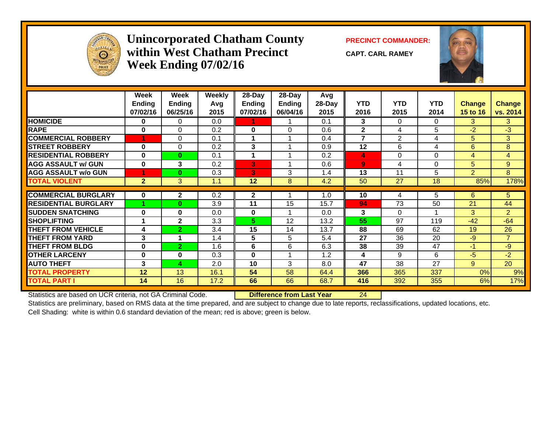

### **Unincorporated Chatham County PRECINCT COMMANDER: within West Chatham PrecinctWeek Ending 07/02/16**

**CAPT. CARL RAMEY**



|                             | Week<br><b>Ending</b><br>07/02/16 | Week<br><b>Ending</b><br>06/25/16 | Weekly<br>Avq<br>2015 | 28-Day<br><b>Ending</b><br>07/02/16 | $28$ -Day<br>Ending<br>06/04/16 | Avg<br>28-Day<br>2015 | <b>YTD</b><br>2016 | <b>YTD</b><br>2015 | <b>YTD</b><br>2014 | <b>Change</b><br><b>15 to 16</b> | <b>Change</b><br>vs. 2014 |
|-----------------------------|-----------------------------------|-----------------------------------|-----------------------|-------------------------------------|---------------------------------|-----------------------|--------------------|--------------------|--------------------|----------------------------------|---------------------------|
| <b>HOMICIDE</b>             | 0                                 | 0                                 | 0.0                   |                                     |                                 | 0.1                   | 3                  | 0                  | $\Omega$           | 3                                | 3                         |
| <b>RAPE</b>                 | 0                                 | $\Omega$                          | 0.2                   | $\bf{0}$                            | $\Omega$                        | 0.6                   | $\mathbf{2}$       | 4                  | 5                  | $-2$                             | $-3$                      |
| <b>COMMERCIAL ROBBERY</b>   |                                   | $\Omega$                          | 0.1                   | 1                                   |                                 | 0.4                   | 7                  | $\overline{2}$     | 4                  | 5                                | 3                         |
| <b>STREET ROBBERY</b>       | $\bf{0}$                          | $\Omega$                          | 0.2                   | 3                                   |                                 | 0.9                   | 12                 | 6                  | 4                  | 6                                | 8                         |
| <b>RESIDENTIAL ROBBERY</b>  | $\bf{0}$                          | $\bf{0}$                          | 0.1                   | 1                                   |                                 | 0.2                   | 4                  | 0                  | $\Omega$           | 4                                | 4                         |
| <b>AGG ASSAULT w/ GUN</b>   | $\bf{0}$                          | 3                                 | 0.2                   | 3                                   |                                 | 0.6                   | $\overline{9}$     | 4                  | $\Omega$           | 5                                | 9                         |
| <b>AGG ASSAULT w/o GUN</b>  |                                   | $\bf{0}$                          | 0.3                   | 3                                   | 3                               | 1.4                   | 13                 | 11                 | 5                  | $\overline{2}$                   | 8                         |
| <b>TOTAL VIOLENT</b>        | $\overline{2}$                    | 3                                 | 1.1                   | 12                                  | 8                               | 4.2                   | 50                 | 27                 | 18                 | 85%                              | 178%                      |
|                             |                                   |                                   |                       |                                     |                                 |                       |                    |                    |                    |                                  |                           |
| <b>COMMERCIAL BURGLARY</b>  | 0                                 | $\mathbf{2}$                      | 0.2                   | $\mathbf{2}$                        |                                 | 1.0                   | 10                 | 4                  | 5                  | 6                                | 5                         |
| <b>RESIDENTIAL BURGLARY</b> |                                   | $\bf{0}$                          | 3.9                   | 11                                  | 15                              | 15.7                  | 94                 | 73                 | 50                 | 21                               | 44                        |
| <b>SUDDEN SNATCHING</b>     | $\bf{0}$                          | $\bf{0}$                          | 0.0                   | $\bf{0}$                            |                                 | 0.0                   | 3                  | $\Omega$           |                    | 3                                | $\overline{2}$            |
| <b>SHOPLIFTING</b>          | 4                                 | $\mathbf{2}$                      | 3.3                   | 5.                                  | 12                              | 13.2                  | 55                 | 97                 | 119                | $-42$                            | $-64$                     |
| <b>THEFT FROM VEHICLE</b>   | 4                                 | $\overline{2}$                    | 3.4                   | 15                                  | 14                              | 13.7                  | 88                 | 69                 | 62                 | 19                               | 26                        |
| <b>THEFT FROM YARD</b>      | 3                                 |                                   | 1.4                   | 5                                   | 5                               | 5.4                   | 27                 | 36                 | 20                 | $-9$                             | $\overline{7}$            |
| <b>THEFT FROM BLDG</b>      | 0                                 | $\overline{2}$                    | 1.6                   | 6                                   | 6                               | 6.3                   | 38                 | 39                 | 47                 | $-1$                             | $-9$                      |
| <b>OTHER LARCENY</b>        | 0                                 | $\bf{0}$                          | 0.3                   | $\bf{0}$                            |                                 | 1.2                   | 4                  | 9                  | 6                  | -5                               | $-2$                      |
| <b>AUTO THEFT</b>           | 3                                 | 4                                 | 2.0                   | 10                                  | 3                               | 8.0                   | 47                 | 38                 | 27                 | 9                                | 20                        |
| <b>TOTAL PROPERTY</b>       | 12                                | 13                                | 16.1                  | 54                                  | 58                              | 64.4                  | 366                | 365                | 337                | 0%                               | 9%                        |
| <b>TOTAL PART I</b>         | 14                                | 16                                | 17.2                  | 66                                  | 66                              | 68.7                  | 416                | 392                | 355                | 6%                               | 17%                       |

Statistics are based on UCR criteria, not GA Criminal Code. **Difference from Last Year** 24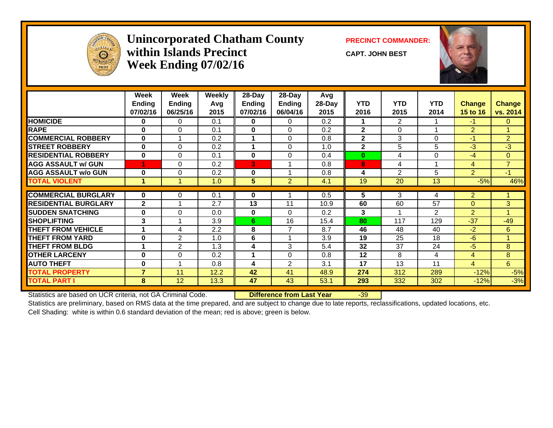

### **Unincorporated Chatham County PRECINCT COMMANDER: within Islands PrecinctWeek Ending 07/02/16**

**CAPT. JOHN BEST**



|                             | Week<br>Ending<br>07/02/16 | Week<br>Ending<br>06/25/16 | Weekly<br>Avg<br>2015 | $28-Day$<br><b>Ending</b><br>07/02/16 | $28$ -Day<br>Ending<br>06/04/16 | Avg<br>28-Day<br>2015 | <b>YTD</b><br>2016 | <b>YTD</b><br>2015 | <b>YTD</b><br>2014   | <b>Change</b><br><b>15 to 16</b> | <b>Change</b><br>vs. 2014 |
|-----------------------------|----------------------------|----------------------------|-----------------------|---------------------------------------|---------------------------------|-----------------------|--------------------|--------------------|----------------------|----------------------------------|---------------------------|
| <b>HOMICIDE</b>             | 0                          | $\Omega$                   | 0.1                   | $\bf{0}$                              | 0                               | 0.2                   | 1                  | $\overline{2}$     | 1                    | $-1$                             | $\mathbf{0}$              |
| <b>RAPE</b>                 | $\bf{0}$                   | $\Omega$                   | 0.1                   | $\mathbf{0}$                          | $\Omega$                        | 0.2                   | $\mathbf{2}$       | $\Omega$           | $\blacktriangleleft$ | $\overline{2}$                   |                           |
| <b>COMMERCIAL ROBBERY</b>   | $\bf{0}$                   |                            | 0.2                   | 1                                     | $\Omega$                        | 0.8                   | $\mathbf{2}$       | 3                  | $\Omega$             | $-1$                             | $\overline{2}$            |
| <b>ISTREET ROBBERY</b>      | $\bf{0}$                   | $\Omega$                   | 0.2                   | 1                                     | $\Omega$                        | 1.0                   | $\mathbf{2}$       | 5                  | 5                    | $-3$                             | $-3$                      |
| <b>RESIDENTIAL ROBBERY</b>  | $\bf{0}$                   | $\Omega$                   | 0.1                   | $\mathbf{0}$                          | 0                               | 0.4                   | $\bf{0}$           | 4                  | 0                    | $-4$                             | $\overline{0}$            |
| <b>AGG ASSAULT w/ GUN</b>   |                            | 0                          | 0.2                   | 3                                     |                                 | 0.8                   | 8                  | 4                  | 1                    | $\overline{4}$                   | $\overline{7}$            |
| <b>AGG ASSAULT w/o GUN</b>  | $\bf{0}$                   | $\Omega$                   | 0.2                   | $\bf{0}$                              |                                 | 0.8                   | 4                  | $\overline{2}$     | 5                    | $\overline{2}$                   | $-1$                      |
| <b>TOTAL VIOLENT</b>        | 1                          |                            | 1.0                   | 5                                     | 2                               | 4.1                   | 19                 | 20                 | 13                   | $-5%$                            | 46%                       |
|                             |                            |                            |                       |                                       |                                 |                       |                    |                    |                      |                                  |                           |
| <b>COMMERCIAL BURGLARY</b>  | $\bf{0}$                   | 0                          | 0.1                   | $\mathbf 0$                           |                                 | 0.5                   | 5                  | 3                  | 4                    | $\overline{2}$                   |                           |
| <b>RESIDENTIAL BURGLARY</b> | $\mathbf{2}$               |                            | 2.7                   | 13                                    | 11                              | 10.9                  | 60                 | 60                 | 57                   | $\Omega$                         | 3                         |
| <b>SUDDEN SNATCHING</b>     | $\bf{0}$                   | $\Omega$                   | 0.0                   | $\mathbf{0}$                          | $\Omega$                        | 0.2                   | 3                  |                    | $\overline{2}$       | $\overline{2}$                   |                           |
| <b>SHOPLIFTING</b>          | 3                          |                            | 3.9                   | 6                                     | 16                              | 15.4                  | 80                 | 117                | 129                  | $-37$                            | $-49$                     |
| <b>THEFT FROM VEHICLE</b>   |                            | 4                          | 2.2                   | 8                                     | $\overline{7}$                  | 8.7                   | 46                 | 48                 | 40                   | $-2$                             | 6                         |
| <b>THEFT FROM YARD</b>      | $\bf{0}$                   | 2                          | 1.0                   | 6                                     |                                 | 3.9                   | 19                 | 25                 | 18                   | $-6$                             | $\overline{A}$            |
| <b>THEFT FROM BLDG</b>      | 4                          | $\overline{2}$             | 1.3                   | 4                                     | 3                               | 5.4                   | 32                 | 37                 | 24                   | $-5$                             | 8                         |
| <b>OTHER LARCENY</b>        | $\bf{0}$                   | 0                          | 0.2                   |                                       | $\Omega$                        | 0.8                   | 12                 | 8                  | 4                    | 4                                | 8                         |
| <b>AUTO THEFT</b>           | $\bf{0}$                   |                            | 0.8                   | 4                                     | 2                               | 3.1                   | 17                 | 13                 | 11                   | $\overline{4}$                   | 6                         |
| <b>TOTAL PROPERTY</b>       | 7                          | 11                         | 12.2                  | 42                                    | 41                              | 48.9                  | 274                | 312                | 289                  | $-12%$                           | $-5%$                     |
| <b>TOTAL PART I</b>         | 8                          | 12                         | 13.3                  | 47                                    | 43                              | 53.1                  | 293                | 332                | 302                  | $-12%$                           | $-3%$                     |

Statistics are based on UCR criteria, not GA Criminal Code. **Difference from Last Year** -39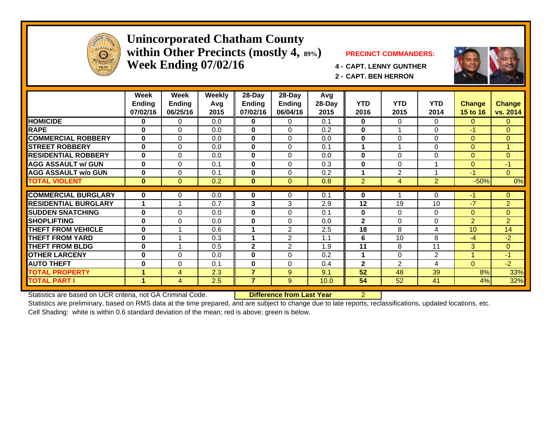

### **Unincorporated Chatham County within Other Precincts (mostly 4, 89%) PRECINCT COMMANDERS: Week Ending 07/02/16 4 - CAPT. LENNY GUNTHER**



**2 - CAPT. BEN HERRON**

|                             | Week                 | Week           | Weekly | 28-Day         | 28-Day         | Avg    |                |                |                |                |                |
|-----------------------------|----------------------|----------------|--------|----------------|----------------|--------|----------------|----------------|----------------|----------------|----------------|
|                             | <b>Ending</b>        | <b>Ending</b>  | Avg    | <b>Ending</b>  | Ending         | 28-Day | <b>YTD</b>     | <b>YTD</b>     | <b>YTD</b>     | <b>Change</b>  | <b>Change</b>  |
|                             | 07/02/16             | 06/25/16       | 2015   | 07/02/16       | 06/04/16       | 2015   | 2016           | 2015           | 2014           | 15 to 16       | vs. 2014       |
| <b>HOMICIDE</b>             | 0                    | 0              | 0.0    | 0              | $\mathbf 0$    | 0.1    | $\mathbf 0$    | 0              | 0              | $\mathbf{0}$   | $\mathbf{0}$   |
| <b>RAPE</b>                 | $\bf{0}$             | $\Omega$       | 0.0    | $\mathbf{0}$   | $\Omega$       | 0.2    | $\bf{0}$       |                | $\Omega$       | $-1$           | $\Omega$       |
| <b>COMMERCIAL ROBBERY</b>   | $\bf{0}$             | $\Omega$       | 0.0    | $\bf{0}$       | $\Omega$       | 0.0    | $\mathbf{0}$   | 0              | $\Omega$       | $\Omega$       | $\Omega$       |
| <b>STREET ROBBERY</b>       | $\bf{0}$             | 0              | 0.0    | $\mathbf 0$    | $\Omega$       | 0.1    | 1              | 4              | $\Omega$       | $\Omega$       |                |
| <b>RESIDENTIAL ROBBERY</b>  | $\bf{0}$             | $\Omega$       | 0.0    | $\bf{0}$       | $\Omega$       | 0.0    | $\bf{0}$       | 0              | $\Omega$       | $\Omega$       | $\mathbf{0}$   |
| <b>AGG ASSAULT w/ GUN</b>   | $\bf{0}$             | $\Omega$       | 0.1    | 0              | $\Omega$       | 0.3    | 0              | 0              |                | $\Omega$       | $-1$           |
| <b>AGG ASSAULT w/o GUN</b>  | $\bf{0}$             | 0              | 0.1    | 0              | $\Omega$       | 0.2    | 1              | 2              | <b>A</b>       | $-1$           | $\overline{0}$ |
| <b>TOTAL VIOLENT</b>        | $\mathbf{0}$         | $\Omega$       | 0.2    | $\mathbf{0}$   | $\Omega$       | 0.8    | $\overline{2}$ | $\overline{4}$ | $\overline{2}$ | $-50%$         | 0%             |
| <b>COMMERCIAL BURGLARY</b>  | $\mathbf{0}$         |                | 0.0    |                | $\Omega$       | 0.1    | $\bf{0}$       |                | $\Omega$       | -1             | $\Omega$       |
|                             | 1                    | 0              |        | 0              |                |        |                |                |                |                |                |
| <b>RESIDENTIAL BURGLARY</b> |                      |                | 0.7    | 3              | 3              | 2.9    | 12             | 19             | 10             | $-7$           | $\overline{2}$ |
| <b>SUDDEN SNATCHING</b>     | $\bf{0}$             | $\Omega$       | 0.0    | 0              | $\Omega$       | 0.1    | 0              | 0              | $\Omega$       | $\Omega$       | $\overline{0}$ |
| <b>SHOPLIFTING</b>          | $\bf{0}$             | 0              | 0.0    | 0              | $\Omega$       | 0.0    | $\mathbf{2}$   | 0              | $\Omega$       | $\overline{2}$ | $\overline{2}$ |
| <b>THEFT FROM VEHICLE</b>   | $\bf{0}$             |                | 0.6    | 1              | $\overline{2}$ | 2.5    | 18             | 8              | 4              | 10             | 14             |
| <b>THEFT FROM YARD</b>      | $\bf{0}$             |                | 0.3    | 1              | 2              | 1.1    | 6              | 10             | 8              | $-4$           | $-2$           |
| <b>THEFT FROM BLDG</b>      | $\bf{0}$             |                | 0.5    | $\mathbf 2$    | $\overline{2}$ | 1.9    | 11             | 8              | 11             | 3              | $\overline{0}$ |
| <b>OTHER LARCENY</b>        | $\bf{0}$             | $\Omega$       | 0.0    | 0              | $\Omega$       | 0.2    | 1              | 0              | $\overline{2}$ |                | $-1$           |
| <b>AUTO THEFT</b>           | $\bf{0}$             | $\Omega$       | 0.1    | $\bf{0}$       | $\Omega$       | 0.4    | $\mathbf{2}$   | $\overline{2}$ | 4              | $\Omega$       | $-2$           |
| <b>TOTAL PROPERTY</b>       | 1                    | $\overline{4}$ | 2.3    | $\overline{7}$ | 9              | 9.1    | 52             | 48             | 39             | 8%             | 33%            |
| <b>TOTAL PART I</b>         | $\blacktriangleleft$ | $\overline{4}$ | 2.5    | $\overline{7}$ | 9              | 10.0   | 54             | 52             | 41             | 4%             | 32%            |

Statistics are based on UCR criteria, not GA Criminal Code. **Difference from Last Year** 2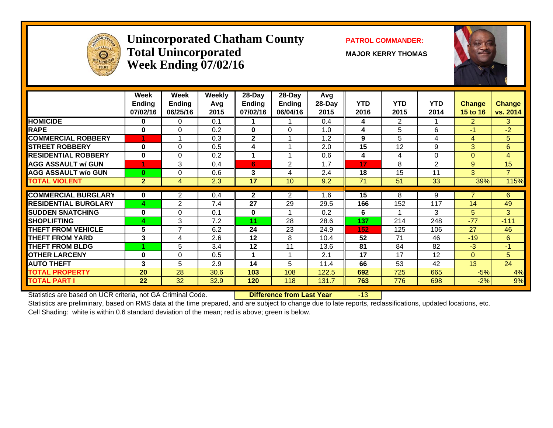

### **Unincorporated Chatham County PATROL COMMANDER:**  $\bf Total\ Unincorporated$   $\qquad\qquad$   $\qquad\qquad$   $\qquad$   $\qquad$   $\qquad$   $\qquad$   $\qquad$   $\qquad$   $\qquad$   $\qquad$   $\qquad$   $\qquad$   $\qquad$   $\qquad$   $\qquad$   $\qquad$   $\qquad$   $\qquad$   $\qquad$   $\qquad$   $\qquad$   $\qquad$   $\qquad$   $\qquad$   $\qquad$   $\qquad$   $\qquad$   $\qquad$   $\qquad$   $\qquad$   $\qquad$   $\qquad$   $\qquad$   $\qquad$  **Week Ending 07/02/16**



|                             | Week<br><b>Ending</b> | Week<br><b>Ending</b> | <b>Weekly</b><br>Avg | 28-Day<br>Ending | 28-Day<br>Ending | Avg<br>28-Day | <b>YTD</b> | <b>YTD</b>     | <b>YTD</b> | <b>Change</b>  | <b>Change</b>  |
|-----------------------------|-----------------------|-----------------------|----------------------|------------------|------------------|---------------|------------|----------------|------------|----------------|----------------|
|                             | 07/02/16              | 06/25/16              | 2015                 | 07/02/16         | 06/04/16         | 2015          | 2016       | 2015           | 2014       | 15 to 16       | vs. 2014       |
| <b>HOMICIDE</b>             | 0                     | 0                     | 0.1                  |                  |                  | 0.4           | 4          | $\overline{2}$ |            | $\overline{2}$ | 3              |
| <b>RAPE</b>                 | $\bf{0}$              | $\Omega$              | 0.2                  | $\bf{0}$         | $\Omega$         | 1.0           | 4          | 5              | 6          | $-1$           | $-2$           |
| <b>COMMERCIAL ROBBERY</b>   | 1                     |                       | 0.3                  | $\mathbf{2}$     | 1                | 1.2           | 9          | 5              | 4          | 4              | 5              |
| <b>STREET ROBBERY</b>       | 0                     | 0                     | 0.5                  | 4                |                  | 2.0           | 15         | 12             | 9          | 3              | 6              |
| <b>RESIDENTIAL ROBBERY</b>  | $\bf{0}$              | $\Omega$              | 0.2                  | 1                | 1                | 0.6           | 4          | 4              | $\Omega$   | $\Omega$       | 4              |
| <b>AGG ASSAULT w/ GUN</b>   |                       | 3                     | 0.4                  | 6                | $\mathfrak{p}$   | 1.7           | 17         | 8              | 2          | 9              | 15             |
| <b>AGG ASSAULT w/o GUN</b>  | $\bf{0}$              | 0                     | 0.6                  | 3                | 4                | 2.4           | 18         | 15             | 11         | 3              | $\overline{7}$ |
| <b>TOTAL VIOLENT</b>        | $\overline{2}$        | $\overline{4}$        | 2.3                  | 17               | 10               | 9.2           | 71         | 51             | 33         | 39%            | 115%           |
|                             |                       |                       |                      |                  |                  |               |            |                |            | 7              |                |
| <b>COMMERCIAL BURGLARY</b>  | 0                     | 2                     | 0.4                  | $\mathbf{2}$     | 2                | 1.6           | 15         | 8              | 9          |                | 6              |
| <b>RESIDENTIAL BURGLARY</b> | 4                     | $\overline{2}$        | 7.4                  | 27               | 29               | 29.5          | 166        | 152            | 117        | 14             | 49             |
| <b>SUDDEN SNATCHING</b>     | $\bf{0}$              | $\Omega$              | 0.1                  | $\bf{0}$         |                  | 0.2           | 6          |                | 3          | 5              | 3              |
| <b>SHOPLIFTING</b>          | 4                     | 3                     | 7.2                  | 11               | 28               | 28.6          | 137        | 214            | 248        | $-77$          | $-111$         |
| <b>THEFT FROM VEHICLE</b>   | 5                     | $\overline{7}$        | 6.2                  | 24               | 23               | 24.9          | 152        | 125            | 106        | 27             | 46             |
| <b>THEFT FROM YARD</b>      | 3                     | 4                     | 2.6                  | 12               | 8                | 10.4          | 52         | 71             | 46         | $-19$          | 6              |
| <b>THEFT FROM BLDG</b>      |                       | 5                     | 3.4                  | 12               | 11               | 13.6          | 81         | 84             | 82         | $-3$           | $-1$           |
| <b>OTHER LARCENY</b>        | $\bf{0}$              | $\Omega$              | 0.5                  |                  | 1                | 2.1           | 17         | 17             | 12         | $\overline{0}$ | 5              |
| <b>AUTO THEFT</b>           | 3                     | 5                     | 2.9                  | 14               | 5                | 11.4          | 66         | 53             | 42         | 13             | 24             |
| <b>TOTAL PROPERTY</b>       | 20                    | 28                    | 30.6                 | 103              | 108              | 122.5         | 692        | 725            | 665        | $-5%$          | 4%             |
| <b>TOTAL PART I</b>         | 22                    | 32                    | 32.9                 | 120              | 118              | 131.7         | 763        | 776            | 698        | $-2%$          | 9%             |
|                             |                       |                       |                      |                  |                  |               |            |                |            |                |                |

Statistics are based on UCR criteria, not GA Criminal Code. **Difference from Last Year** -13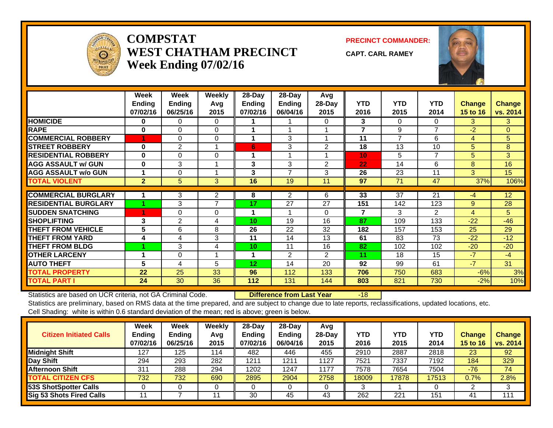

### **COMPSTATWEST CHATHAM PRECINCTWeek Ending 07/02/16**

**PRECINCT COMMANDER:**

**CAPT. CARL RAMEY**



|                             | Week<br><b>Ending</b><br>07/02/16 | Week<br><b>Ending</b><br>06/25/16 | <b>Weekly</b><br>Avq<br>2015 | 28-Day<br><b>Ending</b><br>07/02/16 | 28-Day<br>Ending<br>06/04/16 | Avg<br>28-Day<br>2015 | <b>YTD</b><br>2016 | <b>YTD</b><br>2015 | <b>YTD</b><br>2014 | Change<br><b>15 to 16</b> | <b>Change</b><br>vs. 2014 |
|-----------------------------|-----------------------------------|-----------------------------------|------------------------------|-------------------------------------|------------------------------|-----------------------|--------------------|--------------------|--------------------|---------------------------|---------------------------|
| <b>HOMICIDE</b>             | 0                                 | 0                                 | $\Omega$                     |                                     |                              | 0                     | 3                  | 0                  | $\Omega$           | 3                         | 3                         |
| <b>RAPE</b>                 | 0                                 | $\Omega$                          | $\Omega$                     |                                     |                              |                       | $\overline{7}$     | 9                  | 7                  | $-2$                      | $\mathbf{0}$              |
| <b>COMMERCIAL ROBBERY</b>   |                                   | $\Omega$                          | $\Omega$                     | 1                                   | 3                            |                       | 11                 | 7                  | 6                  | 4                         | 5                         |
| <b>STREET ROBBERY</b>       | $\bf{0}$                          | $\overline{2}$                    |                              | 6                                   | 3                            | 2                     | 18                 | 13                 | 10                 | 5                         | 8                         |
| <b>RESIDENTIAL ROBBERY</b>  | $\bf{0}$                          | $\Omega$                          | $\Omega$                     |                                     |                              |                       | 10 <sub>1</sub>    | 5                  | 7                  | 5                         | 3                         |
| <b>AGG ASSAULT w/ GUN</b>   | $\bf{0}$                          | 3                                 |                              | 3                                   | 3                            | 2                     | 22                 | 14                 | 6                  | 8                         | 16                        |
| <b>AGG ASSAULT w/o GUN</b>  |                                   | 0                                 |                              | 3                                   | $\overline{ }$               | 3                     | 26                 | 23                 | 11                 | 3                         | 15                        |
| <b>TOTAL VIOLENT</b>        | $\overline{2}$                    | 5                                 | 3                            | 16                                  | 19                           | 11                    | 97                 | 71                 | 47                 | 37%                       | 106%                      |
|                             |                                   |                                   |                              |                                     |                              |                       |                    |                    |                    |                           |                           |
| <b>COMMERCIAL BURGLARY</b>  |                                   | 3                                 | 2                            | 8                                   | 2                            | 6                     | 33                 | 37                 | 21                 | $-4$                      | 12                        |
| <b>RESIDENTIAL BURGLARY</b> |                                   | 3                                 | $\overline{7}$               | 17                                  | 27                           | 27                    | 151                | 142                | 123                | 9                         | 28                        |
| <b>SUDDEN SNATCHING</b>     |                                   | $\Omega$                          | $\Omega$                     |                                     |                              | $\Omega$              | $\overline{7}$     | 3                  | $\overline{2}$     | 4                         | 5                         |
| <b>SHOPLIFTING</b>          | 3                                 | $\overline{2}$                    | 4                            | 10                                  | 19                           | 16                    | 87                 | 109                | 133                | $-22$                     | $-46$                     |
| <b>THEFT FROM VEHICLE</b>   | 5.                                | 6                                 | 8                            | 26                                  | 22                           | 32                    | 182                | 157                | 153                | 25                        | 29                        |
| <b>THEFT FROM YARD</b>      | 4                                 | 4                                 | 3                            | 11                                  | 14                           | 13                    | 61                 | 83                 | 73                 | $-22$                     | $-12$                     |
| <b>THEFT FROM BLDG</b>      |                                   | 3                                 | 4                            | 10                                  | 11                           | 16                    | 82                 | 102                | 102                | $-20$                     | $-20$                     |
| <b>OTHER LARCENY</b>        | 1                                 | 0                                 |                              | 1                                   | 2                            | $\overline{2}$        | 11                 | 18                 | 15                 | $-7$                      | $-4$                      |
| <b>AUTO THEFT</b>           | 5                                 | 4                                 | 5                            | 12                                  | 14                           | 20                    | 92                 | 99                 | 61                 | $-7$                      | 31                        |
| <b>TOTAL PROPERTY</b>       | 22                                | 25                                | 33                           | 96                                  | 112                          | 133                   | 706                | 750                | 683                | $-6%$                     | 3%                        |
| <b>TOTAL PART I</b>         | 24                                | 30                                | 36                           | 112                                 | 131                          | 144                   | 803                | 821                | 730                | $-2%$                     | 10%                       |

Statistics are based on UCR criteria, not GA Criminal Code. **Difference from Last Year** -18

| <b>Citizen Initiated Calls</b> | Week<br><b>Ending</b><br>07/02/16 | <b>Week</b><br><b>Ending</b><br>06/25/16 | Weekly<br>Avg<br>2015 | $28 - Day$<br><b>Ending</b><br>07/02/16 | $28$ -Day<br><b>Ending</b><br>06/04/16 | Avg<br>$28-Day$<br>2015 | YTD<br>2016 | <b>YTD</b><br>2015 | YTD<br>2014 | <b>Change</b><br>15 to 16 | <b>Change</b><br>vs. 2014 |
|--------------------------------|-----------------------------------|------------------------------------------|-----------------------|-----------------------------------------|----------------------------------------|-------------------------|-------------|--------------------|-------------|---------------------------|---------------------------|
| <b>Midnight Shift</b>          | 127                               | 125                                      | 114                   | 482                                     | 446                                    | 455                     | 2910        | 2887               | 2818        | 23                        | 92                        |
| Day Shift                      | 294                               | 293                                      | 282                   | 1211                                    | 1211                                   | 1127                    | 7521        | 7337               | 7192        | 184                       | 329                       |
| <b>Afternoon Shift</b>         | 31'                               | 288                                      | 294                   | 1202                                    | 1247                                   | 1177                    | 7578        | 7654               | 7504        | $-76$                     | 74                        |
| <b>TOTAL CITIZEN CFS</b>       | 732                               | 732                                      | 690                   | 2895                                    | 2904                                   | 2758                    | 18009       | 17878              | 17513       | 0.7%                      | 2.8%                      |
| <b>53S ShotSpotter Calls</b>   |                                   |                                          |                       |                                         |                                        |                         |             |                    |             |                           | 3                         |
| Sig 53 Shots Fired Calls       |                                   |                                          | 11                    | 30                                      | 45                                     | 43                      | 262         | 221                | 151         | 41                        | 111                       |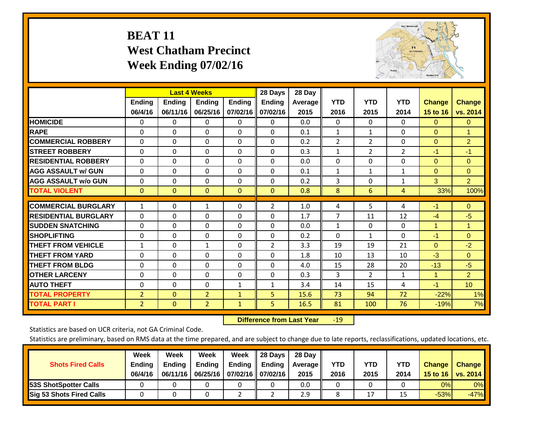# **BEAT 11 West Chatham Precinct Week Ending 07/02/16**



|                             |                |                | <b>Last 4 Weeks</b> |               | 28 Days        | 28 Day  |                |                |                |                |                 |
|-----------------------------|----------------|----------------|---------------------|---------------|----------------|---------|----------------|----------------|----------------|----------------|-----------------|
|                             | <b>Ending</b>  | <b>Ending</b>  | <b>Ending</b>       | <b>Ending</b> | <b>Ending</b>  | Average | <b>YTD</b>     | <b>YTD</b>     | <b>YTD</b>     | <b>Change</b>  | <b>Change</b>   |
|                             | 06/4/16        | 06/11/16       | 06/25/16            | 07/02/16      | 07/02/16       | 2015    | 2016           | 2015           | 2014           | 15 to 16       | vs. 2014        |
| <b>HOMICIDE</b>             | $\Omega$       | 0              | $\Omega$            | $\Omega$      | 0              | 0.0     | $\mathbf{0}$   | $\mathbf{0}$   | $\Omega$       | $\Omega$       | $\overline{0}$  |
| <b>RAPE</b>                 | $\Omega$       | $\Omega$       | $\Omega$            | 0             | $\Omega$       | 0.1     | 1              | 1              | 0              | $\Omega$       | 1               |
| <b>COMMERCIAL ROBBERY</b>   | $\Omega$       | $\Omega$       | $\Omega$            | $\Omega$      | $\Omega$       | 0.2     | $\overline{2}$ | $\overline{2}$ | $\Omega$       | $\mathbf{0}$   | $\overline{2}$  |
| <b>ISTREET ROBBERY</b>      | $\Omega$       | $\Omega$       | $\Omega$            | $\Omega$      | $\Omega$       | 0.3     | $\mathbf{1}$   | 2              | $\overline{2}$ | $-1$           | $-1$            |
| <b>RESIDENTIAL ROBBERY</b>  | $\Omega$       | $\Omega$       | $\mathbf{0}$        | $\Omega$      | $\Omega$       | 0.0     | $\mathbf{0}$   | 0              | 0              | $\Omega$       | $\Omega$        |
| <b>AGG ASSAULT w/ GUN</b>   | $\Omega$       | $\Omega$       | $\Omega$            | $\Omega$      | 0              | 0.1     | 1              | 1              | 1              | $\mathbf{0}$   | $\mathbf{0}$    |
| <b>AGG ASSAULT w/o GUN</b>  | $\Omega$       | $\Omega$       | $\Omega$            | $\Omega$      | $\Omega$       | 0.2     | 3              | 0              | $\mathbf{1}$   | 3              | $\overline{2}$  |
| <b>TOTAL VIOLENT</b>        | $\mathbf{0}$   | $\overline{0}$ | $\mathbf{0}$        | $\mathbf{0}$  | $\mathbf{0}$   | 0.8     | 8              | 6              | 4              | 33%            | 100%            |
|                             |                |                |                     |               |                |         |                |                |                |                |                 |
| <b>COMMERCIAL BURGLARY</b>  | 1              | 0              | 1                   | 0             | $\overline{2}$ | 1.0     | 4              | 5              | 4              | $-1$           | $\mathbf{0}$    |
| <b>RESIDENTIAL BURGLARY</b> | $\Omega$       | $\Omega$       | $\Omega$            | $\Omega$      | $\Omega$       | 1.7     | 7              | 11             | 12             | $-4$           | $-5$            |
| <b>SUDDEN SNATCHING</b>     | $\Omega$       | 0              | $\Omega$            | $\Omega$      | $\Omega$       | 0.0     | $\mathbf{1}$   | 0              | 0              | 1              | 1               |
| <b>SHOPLIFTING</b>          | $\Omega$       | $\Omega$       | $\Omega$            | 0             | 0              | 0.2     | $\mathbf{0}$   | 1              | 0              | $-1$           | $\Omega$        |
| <b>THEFT FROM VEHICLE</b>   | 1              | $\Omega$       | $\mathbf{1}$        | $\Omega$      | 2              | 3.3     | 19             | 19             | 21             | $\Omega$       | $-2$            |
| <b>THEFT FROM YARD</b>      | $\Omega$       | $\Omega$       | $\Omega$            | $\Omega$      | $\Omega$       | 1.8     | 10             | 13             | 10             | $-3$           | $\Omega$        |
| <b>THEFT FROM BLDG</b>      | $\Omega$       | $\Omega$       | $\mathbf{0}$        | $\Omega$      | 0              | 4.0     | 15             | 28             | 20             | $-13$          | $-5$            |
| <b>OTHER LARCENY</b>        | $\Omega$       | $\Omega$       | $\Omega$            | $\Omega$      | 0              | 0.3     | 3              | $\overline{2}$ | $\mathbf{1}$   | $\overline{1}$ | $\overline{2}$  |
| <b>AUTO THEFT</b>           | $\mathbf 0$    | $\Omega$       | $\Omega$            | 1             | 1              | 3.4     | 14             | 15             | 4              | $-1$           | 10 <sub>1</sub> |
| <b>TOTAL PROPERTY</b>       | $\overline{2}$ | $\overline{0}$ | $\overline{2}$      | 1             | 5              | 15.6    | 73             | 94             | 72             | $-22%$         | 1%              |
| <b>TOTAL PART I</b>         | 2              | $\Omega$       | $\overline{2}$      | $\mathbf{1}$  | 5              | 16.5    | 81             | 100            | 76             | $-19%$         | 7%              |

 **Difference from Last Year**r -19

Statistics are based on UCR criteria, not GA Criminal Code.

| <b>Shots Fired Calls</b>        | Week<br><b>Ending</b><br>06/4/16 | Week<br><b>Endina</b><br>06/11/16 | Week<br>Ending | Week<br>Ending<br>06/25/16   07/02/16   07/02/16 | 28 Days<br><b>Ending</b> | 28 Day<br>Average II<br>2015 | YTD<br>2016 | YTD<br>2015 | YTD<br>2014 | <b>Change</b><br>15 to 16 $\vert$ | <b>Change</b><br>vs. 2014 |
|---------------------------------|----------------------------------|-----------------------------------|----------------|--------------------------------------------------|--------------------------|------------------------------|-------------|-------------|-------------|-----------------------------------|---------------------------|
| <b>153S ShotSpotter Calls</b>   |                                  |                                   |                |                                                  |                          | 0.0                          |             |             |             | 0%                                | 0%                        |
| <b>Sig 53 Shots Fired Calls</b> |                                  |                                   |                |                                                  |                          | 2.9                          |             | 17          |             | $-53%$                            | $-47%$                    |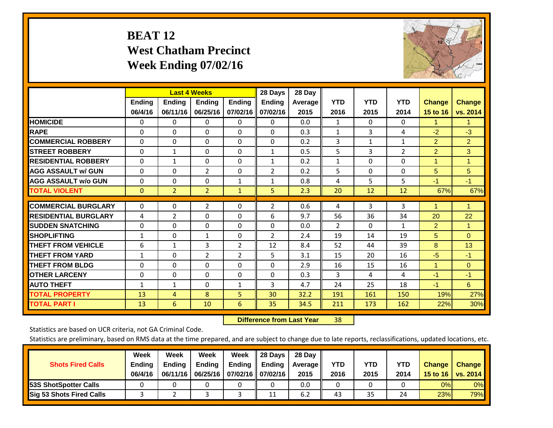# **BEAT 12 West Chatham Precinct Week Ending 07/02/16**



|                             |               |                | <b>Last 4 Weeks</b> |                | 28 Days        | 28 Day  |                |                |                |                |                      |
|-----------------------------|---------------|----------------|---------------------|----------------|----------------|---------|----------------|----------------|----------------|----------------|----------------------|
|                             | <b>Ending</b> | <b>Ending</b>  | <b>Endina</b>       | <b>Ending</b>  | <b>Endina</b>  | Average | <b>YTD</b>     | <b>YTD</b>     | <b>YTD</b>     | <b>Change</b>  | <b>Change</b>        |
|                             | 06/4/16       | 06/11/16       | 06/25/16            | 07/02/16       | 07/02/16       | 2015    | 2016           | 2015           | 2014           | 15 to 16       | vs. 2014             |
| <b>HOMICIDE</b>             | 0             | $\Omega$       | $\Omega$            | 0              | 0              | 0.0     | 1              | $\Omega$       | 0              | 1              | 1.                   |
| <b>RAPE</b>                 | $\Omega$      | $\Omega$       | $\mathbf{0}$        | 0              | 0              | 0.3     | $\mathbf{1}$   | 3              | 4              | $-2$           | $-3$                 |
| <b>COMMERCIAL ROBBERY</b>   | $\Omega$      | $\Omega$       | $\Omega$            | $\Omega$       | $\Omega$       | 0.2     | 3              | $\mathbf{1}$   | $\mathbf{1}$   | $\overline{2}$ | $\overline{2}$       |
| <b>ISTREET ROBBERY</b>      | $\Omega$      | $\mathbf{1}$   | $\Omega$            | $\Omega$       | $\mathbf{1}$   | 0.5     | 5              | $\overline{3}$ | $\overline{2}$ | $\overline{2}$ | 3                    |
| <b>RESIDENTIAL ROBBERY</b>  | $\Omega$      | $\mathbf{1}$   | $\mathbf{0}$        | $\Omega$       | $\mathbf{1}$   | 0.2     | $\mathbf{1}$   | $\Omega$       | 0              | 1              | 1                    |
| <b>AGG ASSAULT w/ GUN</b>   | $\Omega$      | $\Omega$       | $\overline{2}$      | $\Omega$       | $\overline{2}$ | 0.2     | 5              | $\Omega$       | 0              | 5              | 5                    |
| <b>AGG ASSAULT w/o GUN</b>  | $\mathbf 0$   | $\Omega$       | $\Omega$            | 1              | 1              | 0.8     | 4              | 5              | 5              | $-1$           | $-1$                 |
| <b>TOTAL VIOLENT</b>        | $\mathbf{0}$  | $\overline{2}$ | $\overline{2}$      | $\mathbf{1}$   | 5              | 2.3     | 20             | 12             | 12             | 67%            | 67%                  |
|                             |               |                |                     |                |                |         |                |                |                |                |                      |
| <b>COMMERCIAL BURGLARY</b>  | $\Omega$      | $\Omega$       | 2                   | $\Omega$       | 2              | 0.6     | 4              | 3              | 3              | 1              | $\blacktriangleleft$ |
| <b>RESIDENTIAL BURGLARY</b> | 4             | 2              | $\mathbf{0}$        | $\Omega$       | 6              | 9.7     | 56             | 36             | 34             | 20             | 22                   |
| <b>SUDDEN SNATCHING</b>     | $\Omega$      | 0              | $\Omega$            | $\Omega$       | $\Omega$       | 0.0     | $\overline{2}$ | $\Omega$       | 1              | $\overline{2}$ | 1                    |
| <b>SHOPLIFTING</b>          | $\mathbf{1}$  | $\Omega$       | $\mathbf{1}$        | $\Omega$       | $\overline{2}$ | 2.4     | 19             | 14             | 19             | 5              | $\mathbf{0}$         |
| <b>THEFT FROM VEHICLE</b>   | 6             | $\mathbf{1}$   | 3                   | $\overline{2}$ | 12             | 8.4     | 52             | 44             | 39             | 8              | 13                   |
| <b>THEFT FROM YARD</b>      | $\mathbf{1}$  | $\Omega$       | 2                   | $\overline{2}$ | 5              | 3.1     | 15             | 20             | 16             | $-5$           | $-1$                 |
| <b>THEFT FROM BLDG</b>      | 0             | 0              | $\Omega$            | $\Omega$       | $\Omega$       | 2.9     | 16             | 15             | 16             | 1              | $\mathbf{0}$         |
| <b>OTHER LARCENY</b>        | 0             | $\Omega$       | $\mathbf{0}$        | 0              | 0              | 0.3     | 3              | 4              | 4              | $-1$           | $-1$                 |
| <b>AUTO THEFT</b>           | 1             | 1              | 0                   | 1              | 3              | 4.7     | 24             | 25             | 18             | $-1$           | 6                    |
| <b>TOTAL PROPERTY</b>       | 13            | 4              | 8                   | 5              | 30             | 32.2    | 191            | 161            | 150            | 19%            | 27%                  |
| <b>TOTAL PART I</b>         | 13            | 6              | 10                  | 6              | 35             | 34.5    | 211            | 173            | 162            | 22%            | 30%                  |

 **Difference from Last Year**r 38

Statistics are based on UCR criteria, not GA Criminal Code.

| <b>Shots Fired Calls</b>        | Week<br><b>Ending</b><br>06/4/16 | Week<br><b>Endina</b><br>06/11/16 | Week<br>Ending | Week<br>Ending<br>06/25/16   07/02/16   07/02/16 | 28 Days<br><b>Ending</b> | 28 Day<br>Average II<br>2015 | YTD<br>2016 | YTD<br>2015 | YTD<br>2014 | <b>Change</b><br>15 to 16 | <b>Change</b><br>vs. 2014 |
|---------------------------------|----------------------------------|-----------------------------------|----------------|--------------------------------------------------|--------------------------|------------------------------|-------------|-------------|-------------|---------------------------|---------------------------|
| <b>153S ShotSpotter Calls</b>   |                                  |                                   |                |                                                  |                          | 0.0                          |             |             |             | 0%                        | 0%                        |
| <b>Sig 53 Shots Fired Calls</b> |                                  |                                   |                |                                                  | 11                       | 6.2                          | 43          | 35          | 24          | 23%                       | <b>79%</b>                |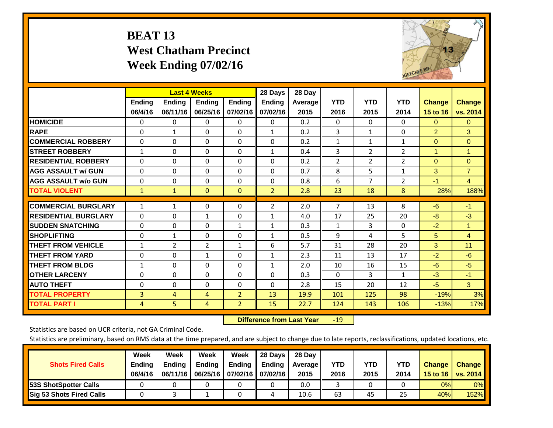# **BEAT 13 West Chatham Precinct Week Ending 07/02/16**



|                             |                          |                           | <b>Last 4 Weeks</b>       |                           | 28 Days                   | 28 Day            |                    |                    |                    |                           |                           |
|-----------------------------|--------------------------|---------------------------|---------------------------|---------------------------|---------------------------|-------------------|--------------------|--------------------|--------------------|---------------------------|---------------------------|
|                             | <b>Ending</b><br>06/4/16 | <b>Ending</b><br>06/11/16 | <b>Endina</b><br>06/25/16 | <b>Endina</b><br>07/02/16 | <b>Endina</b><br>07/02/16 | Average  <br>2015 | <b>YTD</b><br>2016 | <b>YTD</b><br>2015 | <b>YTD</b><br>2014 | <b>Change</b><br>15 to 16 | <b>Change</b><br>vs. 2014 |
| <b>HOMICIDE</b>             | 0                        | 0                         | $\Omega$                  | 0                         | 0                         | 0.2               | $\Omega$           | 0                  | 0                  | $\Omega$                  | $\mathbf{0}$              |
| <b>RAPE</b>                 | $\Omega$                 | 1                         | $\Omega$                  | $\Omega$                  | $\mathbf{1}$              | 0.2               | 3                  | $\mathbf{1}$       | 0                  | $\overline{2}$            | 3                         |
| <b>COMMERCIAL ROBBERY</b>   | $\Omega$                 | $\Omega$                  | $\Omega$                  | $\Omega$                  | $\Omega$                  | 0.2               | 1                  | 1                  | $\mathbf{1}$       | $\Omega$                  | $\Omega$                  |
| <b>STREET ROBBERY</b>       | $\mathbf{1}$             | $\Omega$                  | $\mathbf{0}$              | 0                         | $\mathbf{1}$              | 0.4               | $\overline{3}$     | $\overline{2}$     | $\overline{2}$     | $\blacktriangleleft$      | 1                         |
| <b>RESIDENTIAL ROBBERY</b>  | $\Omega$                 | $\Omega$                  | $\mathbf{0}$              | $\Omega$                  | 0                         | 0.2               | $\overline{2}$     | $\overline{2}$     | $\overline{2}$     | $\Omega$                  | $\mathbf{0}$              |
| <b>AGG ASSAULT w/ GUN</b>   | $\Omega$                 | $\Omega$                  | $\Omega$                  | $\Omega$                  | $\Omega$                  | 0.7               | 8                  | 5.                 | $\mathbf{1}$       | 3                         | $\overline{7}$            |
| <b>AGG ASSAULT w/o GUN</b>  | 0                        | 0                         | $\mathbf{0}$              | $\Omega$                  | $\Omega$                  | 0.8               | 6                  | 7                  | $\overline{2}$     | $-1$                      | 4                         |
| <b>TOTAL VIOLENT</b>        | $\mathbf{1}$             | $\mathbf{1}$              | $\mathbf{0}$              | $\mathbf{0}$              | $\overline{2}$            | 2.8               | 23                 | 18                 | 8                  | 28%                       | 188%                      |
| <b>COMMERCIAL BURGLARY</b>  | $\mathbf{1}$             | 1                         | $\mathbf{0}$              | $\Omega$                  | 2                         | 2.0               | $\overline{7}$     | 13                 | 8                  | $-6$                      | $-1$                      |
| <b>RESIDENTIAL BURGLARY</b> | $\Omega$                 | $\Omega$                  | $\mathbf{1}$              | $\Omega$                  | $\mathbf{1}$              | 4.0               | 17                 | 25                 | 20                 | -8                        | $-3$                      |
| <b>ISUDDEN SNATCHING</b>    | $\Omega$                 | $\Omega$                  | $\Omega$                  | 1                         | $\mathbf{1}$              | 0.3               | 1                  | 3                  | 0                  | $-2$                      | 1                         |
| <b>SHOPLIFTING</b>          | $\Omega$                 | $\mathbf{1}$              | $\Omega$                  | $\Omega$                  | $\mathbf{1}$              | 0.5               | 9                  | 4                  | 5                  | $5\phantom{.0}$           | 4                         |
| <b>THEFT FROM VEHICLE</b>   | 1                        | $\overline{2}$            | 2                         | 1                         | 6                         | 5.7               | 31                 | 28                 | 20                 | 3                         | 11                        |
| <b>THEFT FROM YARD</b>      | 0                        | $\Omega$                  | $\mathbf{1}$              | 0                         | 1                         | 2.3               | 11                 | 13                 | 17                 | $-2$                      | $-6$                      |
| <b>THEFT FROM BLDG</b>      | 1                        | 0                         | $\mathbf{0}$              | $\Omega$                  | $\mathbf{1}$              | 2.0               | 10                 | 16                 | 15                 | $-6$                      | $-5$                      |
| <b>OTHER LARCENY</b>        | $\Omega$                 | $\Omega$                  | $\Omega$                  | $\Omega$                  | 0                         | 0.3               | $\Omega$           | 3                  | 1                  | $-3$                      | $-1$                      |
| <b>AUTO THEFT</b>           | 0                        | 0                         | $\Omega$                  | 0                         | $\Omega$                  | 2.8               | 15                 | 20                 | 12                 | $-5$                      | 3                         |
| <b>TOTAL PROPERTY</b>       | 3                        | 4                         | 4                         | $\overline{2}$            | 13                        | 19.9              | 101                | 125                | 98                 | $-19%$                    | 3%                        |
| <b>TOTAL PART I</b>         | 4                        | 5                         | $\overline{4}$            | $\overline{2}$            | 15                        | 22.7              | 124                | 143                | 106                | $-13%$                    | 17%                       |

 **Difference from Last Year**r -19

Statistics are based on UCR criteria, not GA Criminal Code.

| <b>Shots Fired Calls</b>        | Week<br><b>Ending</b><br>06/4/16 | Week<br><b>Endina</b><br>06/11/16 | Week<br>Ending | Week<br>Ending<br>06/25/16   07/02/16   07/02/16 | 28 Days<br><b>Ending</b> | 28 Day<br>Average II<br>2015 | YTD<br>2016 | YTD<br>2015 | YTD<br>2014 | <b>Change</b><br>15 to $16$ | <b>Change</b><br>vs. 2014 |
|---------------------------------|----------------------------------|-----------------------------------|----------------|--------------------------------------------------|--------------------------|------------------------------|-------------|-------------|-------------|-----------------------------|---------------------------|
| <b>153S ShotSpotter Calls</b>   |                                  |                                   |                |                                                  |                          | 0.0                          |             |             |             | 0%                          | 0%                        |
| <b>Sig 53 Shots Fired Calls</b> |                                  |                                   |                |                                                  | 4                        | 10.6                         | 63          | 45          | 25          | 40%                         | 152%                      |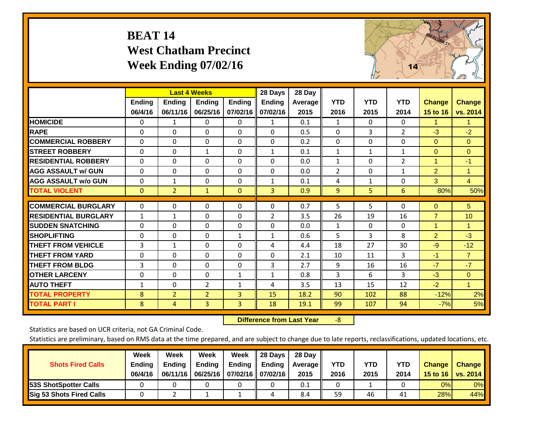# **BEAT 14 West Chatham Precinct Week Ending 07/02/16**



|                             |              | <b>Last 4 Weeks</b> |                |                | 28 Days       | 28 Day         |                |            |                |                |                |
|-----------------------------|--------------|---------------------|----------------|----------------|---------------|----------------|----------------|------------|----------------|----------------|----------------|
|                             | Ending       | Ending              | <b>Ending</b>  | <b>Ending</b>  | <b>Ending</b> | <b>Average</b> | <b>YTD</b>     | <b>YTD</b> | <b>YTD</b>     | <b>Change</b>  | <b>Change</b>  |
|                             | 06/4/16      | 06/11/16            | 06/25/16       | 07/02/16       | 07/02/16      | 2015           | 2016           | 2015       | 2014           | 15 to 16       | vs. 2014       |
| <b>HOMICIDE</b>             | 0            | 1                   | 0              | 0              | 1             | 0.1            | $\mathbf{1}$   | $\Omega$   | $\Omega$       | 1.             | 1.             |
| <b>RAPE</b>                 | $\Omega$     | 0                   | $\mathbf{0}$   | 0              | $\Omega$      | 0.5            | 0              | 3          | $\overline{2}$ | $-3$           | $-2$           |
| <b>COMMERCIAL ROBBERY</b>   | $\Omega$     | $\Omega$            | 0              | $\Omega$       | $\Omega$      | 0.2            | $\mathbf{0}$   | $\Omega$   | $\Omega$       | $\mathbf{0}$   | $\mathbf{0}$   |
| <b>STREET ROBBERY</b>       | 0            | $\Omega$            | 1              | $\Omega$       | $\mathbf{1}$  | 0.1            | 1              | 1          | 1              | $\mathbf{0}$   | $\Omega$       |
| <b>RESIDENTIAL ROBBERY</b>  | $\Omega$     | $\Omega$            | $\mathbf{0}$   | $\Omega$       | $\Omega$      | 0.0            | $\mathbf{1}$   | $\Omega$   | $\overline{2}$ | $\mathbf{1}$   | $-1$           |
| <b>AGG ASSAULT w/ GUN</b>   | $\Omega$     | $\Omega$            | $\mathbf{0}$   | $\Omega$       | $\Omega$      | 0.0            | $\overline{2}$ | 0          | $\mathbf{1}$   | $\overline{2}$ | 1              |
| <b>AGG ASSAULT w/o GUN</b>  | $\Omega$     | 1                   | 0              | $\Omega$       | $\mathbf{1}$  | 0.1            | 4              | 1          | $\Omega$       | 3              | $\overline{4}$ |
| <b>TOTAL VIOLENT</b>        | $\mathbf{0}$ | $\overline{2}$      | $\mathbf{1}$   | $\mathbf{0}$   | 3             | 0.9            | 9              | 5.         | 6              | 80%            | 50%            |
|                             |              |                     |                |                |               |                |                |            |                |                |                |
| <b>COMMERCIAL BURGLARY</b>  | $\Omega$     | $\Omega$            | 0              | $\Omega$       | $\Omega$      | 0.7            | 5              | 5          | $\Omega$       | $\Omega$       | 5              |
| <b>RESIDENTIAL BURGLARY</b> | $\mathbf{1}$ | 1                   | 0              | $\Omega$       | 2             | 3.5            | 26             | 19         | 16             | $\overline{7}$ | 10             |
| <b>SUDDEN SNATCHING</b>     | $\Omega$     | 0                   | $\mathbf{0}$   | $\Omega$       | $\Omega$      | 0.0            | 1              | 0          | $\Omega$       | 1              | 1              |
| <b>SHOPLIFTING</b>          | $\Omega$     | $\Omega$            | 0              | 1              | 1             | 0.6            | 5              | 3          | 8              | $\overline{2}$ | $-3$           |
| <b>THEFT FROM VEHICLE</b>   | 3            | $\mathbf{1}$        | $\Omega$       | $\Omega$       | 4             | 4.4            | 18             | 27         | 30             | $-9$           | $-12$          |
| <b>THEFT FROM YARD</b>      | $\Omega$     | $\Omega$            | $\Omega$       | $\Omega$       | $\Omega$      | 2.1            | 10             | 11         | 3              | $-1$           | $\overline{7}$ |
| <b>THEFT FROM BLDG</b>      | 3            | $\Omega$            | $\mathbf{0}$   | $\Omega$       | 3             | 2.7            | 9              | 16         | 16             | $-7$           | $-7$           |
| <b>OTHER LARCENY</b>        | $\Omega$     | $\Omega$            | $\Omega$       | $\mathbf{1}$   | $\mathbf{1}$  | 0.8            | 3              | 6          | 3              | $-3$           | $\Omega$       |
| <b>AUTO THEFT</b>           | $\mathbf{1}$ | $\Omega$            | $\overline{2}$ | 1              | 4             | 3.5            | 13             | 15         | 12             | $-2$           | $\mathbf{1}$   |
| <b>TOTAL PROPERTY</b>       | 8            | $\overline{2}$      | $\overline{2}$ | 3              | 15            | 18.2           | 90             | 102        | 88             | $-12%$         | 2%             |
| <b>TOTAL PART I</b>         | 8            | 4                   | $\overline{3}$ | $\overline{3}$ | 18            | 19.1           | 99             | 107        | 94             | $-7%$          | 5%             |

 **Difference from Last Year**‐8

Statistics are based on UCR criteria, not GA Criminal Code.

| <b>Shots Fired Calls</b>        | Week<br><b>Ending</b><br>06/4/16 | Week<br><b>Endina</b><br>06/11/16 | Week<br>Ending | Week<br>Ending<br>06/25/16   07/02/16   07/02/16 | 28 Days<br><b>Ending</b> | 28 Day<br>Average II<br>2015 | YTD<br>2016 | YTD<br>2015 | <b>YTD</b><br>2014 | <b>Change</b><br>15 to $16$ | <b>Change</b><br>vs. 2014 |
|---------------------------------|----------------------------------|-----------------------------------|----------------|--------------------------------------------------|--------------------------|------------------------------|-------------|-------------|--------------------|-----------------------------|---------------------------|
| <b>153S ShotSpotter Calls</b>   |                                  |                                   |                |                                                  |                          | 0.1                          |             |             |                    | 0%                          | 0%                        |
| <b>Sig 53 Shots Fired Calls</b> |                                  |                                   |                |                                                  |                          | 8.4                          | 59          | 46          | 41                 | 28%                         | 44%                       |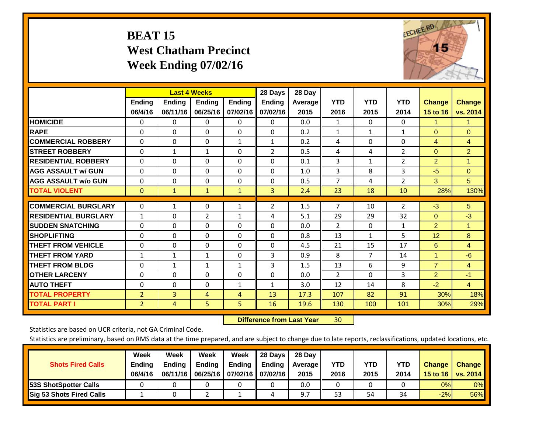# **BEAT 15 West Chatham Precinct Week Ending 07/02/16**



|                             |                          | <b>Last 4 Weeks</b>       |                           |                           | 28 Days                   | 28 Day          |                    |                    |                    |                           |                           |
|-----------------------------|--------------------------|---------------------------|---------------------------|---------------------------|---------------------------|-----------------|--------------------|--------------------|--------------------|---------------------------|---------------------------|
|                             | <b>Ending</b><br>06/4/16 | <b>Ending</b><br>06/11/16 | <b>Endina</b><br>06/25/16 | <b>Ending</b><br>07/02/16 | <b>Endina</b><br>07/02/16 | Average<br>2015 | <b>YTD</b><br>2016 | <b>YTD</b><br>2015 | <b>YTD</b><br>2014 | <b>Change</b><br>15 to 16 | <b>Change</b><br>vs. 2014 |
| <b>HOMICIDE</b>             | 0                        | 0                         | $\Omega$                  | 0                         | 0                         | 0.0             | 1                  | $\Omega$           | 0                  | 1.                        | 1.                        |
| <b>RAPE</b>                 | 0                        | $\Omega$                  | $\Omega$                  | $\Omega$                  | 0                         | 0.2             | $\mathbf{1}$       | $\mathbf{1}$       | $\mathbf{1}$       | $\Omega$                  | $\Omega$                  |
| <b>COMMERCIAL ROBBERY</b>   | $\Omega$                 | 0                         | $\Omega$                  | 1                         | $\mathbf{1}$              | 0.2             | 4                  | $\Omega$           | 0                  | $\overline{4}$            | $\overline{4}$            |
| <b>STREET ROBBERY</b>       | $\Omega$                 | $\mathbf{1}$              | $\mathbf{1}$              | $\Omega$                  | $\overline{2}$            | 0.5             | $\overline{4}$     | 4                  | $\overline{2}$     | $\mathbf{0}$              | $\overline{2}$            |
| <b>RESIDENTIAL ROBBERY</b>  | $\Omega$                 | $\Omega$                  | $\Omega$                  | $\mathbf{0}$              | $\Omega$                  | 0.1             | 3                  | 1                  | $\overline{2}$     | $\overline{2}$            | $\mathbf{1}$              |
| <b>AGG ASSAULT w/ GUN</b>   | $\Omega$                 | $\Omega$                  | $\Omega$                  | $\Omega$                  | $\Omega$                  | 1.0             | 3                  | 8                  | 3                  | $-5$                      | $\Omega$                  |
| <b>AGG ASSAULT w/o GUN</b>  | $\Omega$                 | $\Omega$                  | $\Omega$                  | $\Omega$                  | $\Omega$                  | 0.5             | $\overline{7}$     | 4                  | $\overline{2}$     | 3                         | 5                         |
| <b>TOTAL VIOLENT</b>        | $\mathbf{0}$             | $\mathbf{1}$              | $\mathbf{1}$              | $\mathbf{1}$              | 3                         | 2.4             | 23                 | 18                 | 10                 | 28%                       | 130%                      |
|                             |                          |                           |                           |                           |                           |                 |                    |                    |                    |                           |                           |
| <b>COMMERCIAL BURGLARY</b>  | $\Omega$                 | 1                         | $\Omega$                  | 1                         | $\overline{2}$            | 1.5             | $\overline{7}$     | 10                 | $\overline{2}$     | $-3$                      | 5 <sup>5</sup>            |
| <b>RESIDENTIAL BURGLARY</b> | 1                        | 0                         | 2                         | 1                         | 4                         | 5.1             | 29                 | 29                 | 32                 | $\mathbf{0}$              | $-3$                      |
| <b>SUDDEN SNATCHING</b>     | $\Omega$                 | $\Omega$                  | $\Omega$                  | $\Omega$                  | $\Omega$                  | 0.0             | $\overline{2}$     | $\Omega$           | 1                  | $\overline{2}$            | 1.                        |
| <b>SHOPLIFTING</b>          | $\Omega$                 | $\Omega$                  | $\Omega$                  | 0                         | $\Omega$                  | 0.8             | 13                 | $\mathbf{1}$       | 5                  | 12                        | 8                         |
| <b>THEFT FROM VEHICLE</b>   | $\Omega$                 | 0                         | $\Omega$                  | $\mathbf{0}$              | 0                         | 4.5             | 21                 | 15                 | 17                 | 6                         | $\overline{4}$            |
| <b>THEFT FROM YARD</b>      | $\mathbf{1}$             | $\mathbf{1}$              | $\mathbf{1}$              | $\mathbf{0}$              | 3                         | 0.9             | 8                  | 7                  | 14                 | $\mathbf{1}$              | $-6$                      |
| <b>THEFT FROM BLDG</b>      | 0                        | $\mathbf{1}$              | $\mathbf{1}$              | 1                         | 3                         | 1.5             | 13                 | 6                  | 9                  | $\overline{7}$            | $\overline{4}$            |
| <b>OTHER LARCENY</b>        | $\mathbf{0}$             | 0                         | $\Omega$                  | $\Omega$                  | $\Omega$                  | 0.0             | $\overline{2}$     | 0                  | 3                  | $\overline{2}$            | $-1$                      |
| <b>AUTO THEFT</b>           | $\mathbf 0$              | 0                         | $\Omega$                  | 1                         | $\mathbf{1}$              | 3.0             | 12                 | 14                 | 8                  | $-2$                      | $\overline{4}$            |
| <b>TOTAL PROPERTY</b>       | $\overline{2}$           | 3                         | 4                         | $\overline{4}$            | 13                        | 17.3            | 107                | 82                 | 91                 | 30%                       | 18%                       |
| <b>TOTAL PART I</b>         | $\overline{2}$           | 4                         | 5                         | 5.                        | 16                        | 19.6            | 130                | 100                | 101                | 30%                       | 29%                       |

 **Difference from Last Year**r 30

Statistics are based on UCR criteria, not GA Criminal Code.

| <b>Shots Fired Calls</b>        | Week<br><b>Ending</b><br>06/4/16 | Week<br><b>Endina</b><br>06/11/16 | Week<br>Ending | Week<br>Ending<br>06/25/16   07/02/16   07/02/16 | 28 Days<br><b>Ending</b> | 28 Day<br>Average II<br>2015 | YTD<br>2016 | YTD<br>2015 | YTD<br>2014 | <b>Change</b><br>15 to $16$ | <b>Change</b><br>vs. 2014 |
|---------------------------------|----------------------------------|-----------------------------------|----------------|--------------------------------------------------|--------------------------|------------------------------|-------------|-------------|-------------|-----------------------------|---------------------------|
| <b>153S ShotSpotter Calls</b>   |                                  |                                   |                |                                                  |                          | 0.0                          |             |             |             | 0%                          | 0%                        |
| <b>Sig 53 Shots Fired Calls</b> |                                  |                                   |                |                                                  | 4                        |                              | 53          | 54          | 34          | $-2%$                       | 56%                       |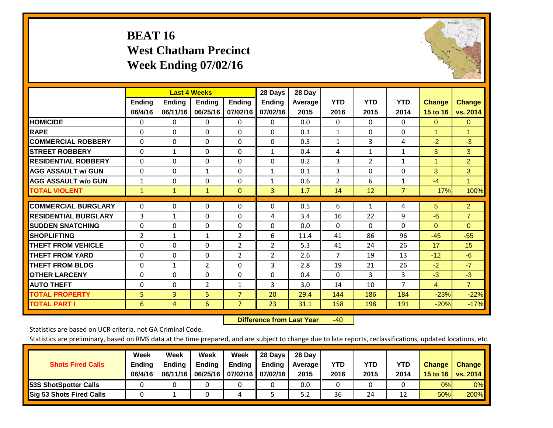# **BEAT 16 West Chatham Precinct Week Ending 07/02/16**



|                             |                          | <b>Last 4 Weeks</b>       |                           |                           | 28 Days                   | 28 Day            |                    |                    |                    |                           |                           |
|-----------------------------|--------------------------|---------------------------|---------------------------|---------------------------|---------------------------|-------------------|--------------------|--------------------|--------------------|---------------------------|---------------------------|
|                             | <b>Ending</b><br>06/4/16 | <b>Ending</b><br>06/11/16 | <b>Endina</b><br>06/25/16 | <b>Endina</b><br>07/02/16 | <b>Endina</b><br>07/02/16 | Average  <br>2015 | <b>YTD</b><br>2016 | <b>YTD</b><br>2015 | <b>YTD</b><br>2014 | <b>Change</b><br>15 to 16 | <b>Change</b><br>vs. 2014 |
| <b>HOMICIDE</b>             | 0                        | 0                         | $\Omega$                  | 0                         | 0                         | 0.0               | 0                  | $\Omega$           | 0                  | $\mathbf{0}$              | $\mathbf{0}$              |
| <b>RAPE</b>                 | 0                        | $\Omega$                  | $\Omega$                  | $\Omega$                  | $\Omega$                  | 0.1               | $\mathbf{1}$       | $\Omega$           | $\Omega$           | 1                         | 1                         |
| <b>COMMERCIAL ROBBERY</b>   | $\Omega$                 | $\Omega$                  | $\Omega$                  | 0                         | $\Omega$                  | 0.3               | $\mathbf{1}$       | 3                  | 4                  | $-2$                      | $-3$                      |
| <b>STREET ROBBERY</b>       | $\Omega$                 | $\mathbf{1}$              | $\Omega$                  | $\Omega$                  | $\mathbf{1}$              | 0.4               | 4                  | $\mathbf{1}$       | $\mathbf{1}$       | 3                         | 3                         |
| <b>RESIDENTIAL ROBBERY</b>  | 0                        | $\Omega$                  | $\mathbf{0}$              | $\mathbf{0}$              | $\Omega$                  | 0.2               | 3                  | $\overline{2}$     | $\mathbf{1}$       | 1                         | $\overline{2}$            |
| <b>AGG ASSAULT w/ GUN</b>   | 0                        | $\Omega$                  | $\mathbf{1}$              | $\Omega$                  | $\mathbf{1}$              | 0.1               | 3                  | $\Omega$           | $\Omega$           | 3                         | 3                         |
| <b>AGG ASSAULT w/o GUN</b>  | 1                        | 0                         | $\Omega$                  | 0                         | 1                         | 0.6               | $\overline{2}$     | 6                  | 1                  | $-4$                      | 1                         |
| <b>TOTAL VIOLENT</b>        | $\mathbf{1}$             | $\mathbf{1}$              | $\mathbf{1}$              | $\mathbf{0}$              | 3                         | 1.7               | 14                 | 12                 | $\overline{7}$     | 17%                       | 100%                      |
| <b>COMMERCIAL BURGLARY</b>  | $\Omega$                 | 0                         | $\mathbf{0}$              | $\mathbf{0}$              | $\Omega$                  | 0.5               | 6                  | $\mathbf{1}$       | 4                  | 5                         | $\overline{2}$            |
|                             |                          |                           |                           |                           |                           |                   |                    |                    |                    |                           |                           |
| <b>RESIDENTIAL BURGLARY</b> | 3                        | 1                         | $\mathbf{0}$              | $\Omega$                  | 4                         | 3.4               | 16                 | 22                 | 9                  | -6                        | $\overline{7}$            |
| <b>SUDDEN SNATCHING</b>     | $\Omega$                 | $\Omega$                  | $\Omega$                  | $\mathbf{0}$              | $\Omega$                  | 0.0               | $\Omega$           | 0                  | $\Omega$           | $\Omega$                  | $\Omega$                  |
| <b>SHOPLIFTING</b>          | 2                        | $\mathbf{1}$              | $\mathbf{1}$              | $\overline{2}$            | 6                         | 11.4              | 41                 | 86                 | 96                 | $-45$                     | $-55$                     |
| <b>THEFT FROM VEHICLE</b>   | $\Omega$                 | 0                         | $\mathbf{0}$              | $\overline{2}$            | $\overline{2}$            | 5.3               | 41                 | 24                 | 26                 | 17                        | 15                        |
| <b>THEFT FROM YARD</b>      | $\Omega$                 | $\Omega$                  | $\mathbf{0}$              | 2                         | 2                         | 2.6               | 7                  | 19                 | 13                 | $-12$                     | $-6$                      |
| <b>THEFT FROM BLDG</b>      | $\Omega$                 | $\mathbf{1}$              | $\overline{2}$            | $\mathbf{0}$              | 3                         | 2.8               | 19                 | 21                 | 26                 | $-2$                      | $-7$                      |
| <b>IOTHER LARCENY</b>       | 0                        | 0                         | $\mathbf{0}$              | $\Omega$                  | 0                         | 0.4               | $\Omega$           | 3                  | 3                  | $-3$                      | $-3$                      |
| <b>AUTO THEFT</b>           | 0                        | 0                         | $\overline{2}$            | 1                         | 3                         | 3.0               | 14                 | 10                 | $\overline{7}$     | $\overline{4}$            | $\overline{7}$            |
| <b>TOTAL PROPERTY</b>       | 5                        | $\overline{3}$            | 5                         | $\overline{7}$            | 20                        | 29.4              | 144                | 186                | 184                | $-23%$                    | $-22%$                    |
| <b>TOTAL PART I</b>         | 6                        | 4                         | 6                         | $\overline{7}$            | 23                        | 31.1              | 158                | 198                | 191                | $-20%$                    | $-17%$                    |

 **Difference from Last Year**r -40

Statistics are based on UCR criteria, not GA Criminal Code.

| <b>Shots Fired Calls</b>        | Week<br><b>Ending</b><br>06/4/16 | Week<br><b>Endina</b><br>06/11/16 | Week<br>Ending | Week<br>Ending<br>06/25/16   07/02/16   07/02/16 | 28 Days<br><b>Ending</b> | 28 Day<br>Average II<br>2015 | YTD<br>2016 | YTD<br>2015 | YTD<br>2014 | <b>Change</b><br>15 to 16 | <b>Change</b><br>vs. 2014 |
|---------------------------------|----------------------------------|-----------------------------------|----------------|--------------------------------------------------|--------------------------|------------------------------|-------------|-------------|-------------|---------------------------|---------------------------|
| <b>153S ShotSpotter Calls</b>   |                                  |                                   |                |                                                  |                          | 0.0                          |             |             |             | 0%                        | 0%                        |
| <b>Sig 53 Shots Fired Calls</b> |                                  |                                   |                | ப                                                |                          | 5.2                          | 36          | 24          | 1.          | 50%                       | 200%                      |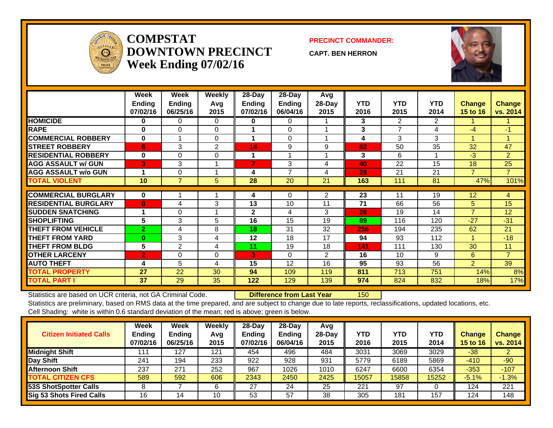

### **COMPSTATDOWNTOWN PRECINCTWeek Ending 07/02/16**

### **PRECINCT COMMANDER:**

**CAPT. BEN HERRON**



|                             | Week<br><b>Ending</b><br>07/02/16 | Week<br>Ending<br>06/25/16 | Weekly<br>Avq<br>2015 | 28-Day<br>Ending<br>07/02/16 | 28-Day<br><b>Ending</b><br>06/04/16 | Avg<br>28-Day<br>2015 | <b>YTD</b><br>2016 | <b>YTD</b><br>2015 | <b>YTD</b><br>2014 | <b>Change</b><br><b>15 to 16</b> | <b>Change</b><br>vs. 2014 |
|-----------------------------|-----------------------------------|----------------------------|-----------------------|------------------------------|-------------------------------------|-----------------------|--------------------|--------------------|--------------------|----------------------------------|---------------------------|
| <b>HOMICIDE</b>             | $\bf{0}$                          | $\Omega$                   | $\Omega$              | 0                            | 0                                   |                       | 3                  | $\overline{2}$     | $\overline{2}$     |                                  |                           |
| <b>RAPE</b>                 | $\bf{0}$                          | $\Omega$                   | 0                     |                              | $\Omega$                            |                       | 3                  | 7                  | 4                  | -4                               | $-1$                      |
| <b>COMMERCIAL ROBBERY</b>   | $\bf{0}$                          |                            | $\Omega$              | 1                            | $\Omega$                            |                       | 4                  | 3                  | 3                  | 4                                | -4                        |
| <b>STREET ROBBERY</b>       | 6                                 | 3                          | $\overline{2}$        | 14                           | 9                                   | 9                     | 82                 | 50                 | 35                 | 32                               | 47                        |
| <b>RESIDENTIAL ROBBERY</b>  | $\bf{0}$                          | $\Omega$                   | $\Omega$              |                              |                                     |                       | 3                  | 6                  |                    | -3                               | 2                         |
| <b>AGG ASSAULT w/ GUN</b>   | 3                                 | 3                          |                       | 7                            | 3                                   | 4                     | 40                 | 22                 | 15                 | 18                               | 25                        |
| <b>AGG ASSAULT w/o GUN</b>  |                                   | $\Omega$                   |                       | 4                            | 7                                   | 4                     | 28                 | 21                 | 21                 | 7                                | $\overline{7}$            |
| <b>TOTAL VIOLENT</b>        | 10                                | $\overline{7}$             | 5                     | 28                           | 20                                  | 21                    | 163                | 111                | 81                 | 47%                              | 101%                      |
|                             |                                   |                            |                       |                              |                                     |                       |                    |                    |                    |                                  |                           |
| <b>COMMERCIAL BURGLARY</b>  | $\bf{0}$                          |                            |                       | 4                            | $\Omega$                            | 2                     | 23                 | 11                 | 19                 | 12                               | 4                         |
| <b>RESIDENTIAL BURGLARY</b> | 8                                 | 4                          | 3                     | 13                           | 10                                  | 11                    | 71                 | 66                 | 56                 | 5.                               | 15                        |
| <b>SUDDEN SNATCHING</b>     |                                   | $\Omega$                   |                       | $\mathbf{2}$                 | 4                                   | 3                     | 26                 | 19                 | 14                 | $\overline{7}$                   | 12                        |
| <b>SHOPLIFTING</b>          | 5                                 | 3                          | 5                     | 16                           | 15                                  | 19                    | 89                 | 116                | 120                | $-27$                            | $-31$                     |
| <b>THEFT FROM VEHICLE</b>   | $\overline{2}$                    | 4                          | 8                     | 18                           | 31                                  | 32                    | 256                | 194                | 235                | 62                               | 21                        |
| <b>THEFT FROM YARD</b>      | $\bf{0}$                          | 3                          | 4                     | 12                           | 18                                  | 17                    | 94                 | 93                 | 112                |                                  | $-18$                     |
| <b>THEFT FROM BLDG</b>      | $5\phantom{.0}$                   | 2                          | 4                     | 11                           | 19                                  | 18                    | 141                | 111                | 130                | 30                               | 11                        |
| <b>OTHER LARCENY</b>        | $\overline{2}$                    | $\mathbf 0$                | 0                     | 3                            | $\Omega$                            | $\overline{2}$        | 16                 | 10                 | 9                  | 6                                | $\overline{7}$            |
| <b>AUTO THEFT</b>           | 4                                 | 5                          | 4                     | 15                           | 12                                  | 16                    | 95                 | 93                 | 56                 | $\overline{2}$                   | 39                        |
| <b>TOTAL PROPERTY</b>       | 27                                | 22                         | 30                    | 94                           | 109                                 | 119                   | 811                | 713                | 751                | 14%                              | 8%                        |
| <b>TOTAL PART I</b>         | 37                                | 29                         | 35                    | 122                          | 129                                 | 139                   | 974                | 824                | 832                | 18%                              | 17%                       |

Statistics are based on UCR criteria, not GA Criminal Code. **Difference from Last Year** 150

| <b>Citizen Initiated Calls</b>  | Week<br><b>Ending</b><br>07/02/16 | <b>Week</b><br><b>Ending</b><br>06/25/16 | Weekly<br>Avg<br>2015 | $28$ -Day<br><b>Ending</b><br>07/02/16 | $28-Dav$<br><b>Ending</b><br>06/04/16 | Avg<br>$28-Dav$<br>2015 | YTD<br>2016 | <b>YTD</b><br>2015 | YTD<br>2014 | Change<br>15 to 16 | <b>Change</b><br>vs. 2014 |
|---------------------------------|-----------------------------------|------------------------------------------|-----------------------|----------------------------------------|---------------------------------------|-------------------------|-------------|--------------------|-------------|--------------------|---------------------------|
| <b>Midnight Shift</b>           | 111                               | 127                                      | 121                   | 454                                    | 496                                   | 484                     | 3031        | 3069               | 3029        | $-38$              |                           |
| Day Shift                       | 241                               | 194                                      | 233                   | 922                                    | 928                                   | 931                     | 5779        | 6189               | 5869        | $-410$             | $-90$                     |
| <b>Afternoon Shift</b>          | 237                               | 271                                      | 252                   | 967                                    | 1026                                  | 1010                    | 6247        | 6600               | 6354        | $-353$             | $-107$                    |
| <b>TOTAL CITIZEN CFS</b>        | 589                               | 592                                      | 606                   | 2343                                   | 2450                                  | 2425                    | 15057       | 15858              | 15252       | $-5.1%$            | $-1.3%$                   |
| 53S ShotSpotter Calls           |                                   |                                          | 6                     | 27                                     | 24                                    | 25                      | 221         | 97                 |             | 124                | 221                       |
| <b>Sig 53 Shots Fired Calls</b> | 16                                | 4                                        | 10                    | 53                                     | 57                                    | 38                      | 305         | 181                | 157         | 124                | 148                       |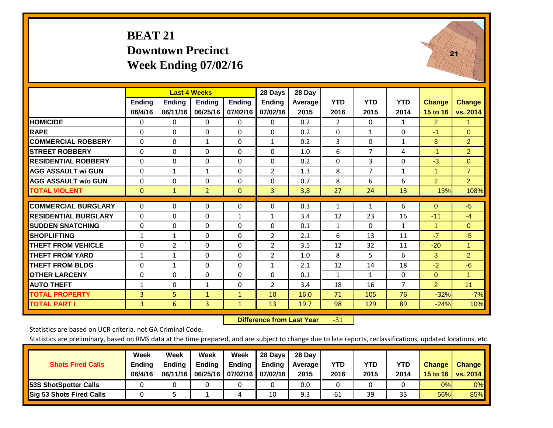# **BEAT 21 Downtown Precinct Week Ending 07/02/16**



|                             |              | <b>Last 4 Weeks</b> |                |               | 28 Days        | 28 Day  |                |                |                |                      |                      |
|-----------------------------|--------------|---------------------|----------------|---------------|----------------|---------|----------------|----------------|----------------|----------------------|----------------------|
|                             | Ending       | Ending              | <b>Endina</b>  | <b>Ending</b> | <b>Ending</b>  | Average | <b>YTD</b>     | <b>YTD</b>     | <b>YTD</b>     | <b>Change</b>        | <b>Change</b>        |
|                             | 06/4/16      | 06/11/16            | 06/25/16       | 07/02/16      | 07/02/16       | 2015    | 2016           | 2015           | 2014           | 15 to 16             | vs. 2014             |
| <b>HOMICIDE</b>             | 0            | $\Omega$            | $\Omega$       | 0             | 0              | 0.2     | $\overline{2}$ | $\mathbf{0}$   | $\mathbf{1}$   | $\overline{2}$       | $\mathbf{1}$         |
| <b>RAPE</b>                 | $\Omega$     | 0                   | $\Omega$       | $\Omega$      | 0              | 0.2     | $\mathbf{0}$   | 1              | 0              | $-1$                 | $\mathbf{0}$         |
| <b>COMMERCIAL ROBBERY</b>   | $\Omega$     | 0                   | $\mathbf{1}$   | $\Omega$      | $\mathbf{1}$   | 0.2     | 3              | $\Omega$       | $\mathbf{1}$   | 3                    | $\overline{2}$       |
| <b>STREET ROBBERY</b>       | $\Omega$     | $\Omega$            | $\Omega$       | $\Omega$      | $\Omega$       | 1.0     | 6              | $\overline{7}$ | 4              | $-1$                 | $\overline{2}$       |
| <b>RESIDENTIAL ROBBERY</b>  | $\Omega$     | $\Omega$            | $\Omega$       | $\Omega$      | $\Omega$       | 0.2     | $\Omega$       | 3              | $\Omega$       | $-3$                 | $\Omega$             |
| <b>AGG ASSAULT w/ GUN</b>   | $\Omega$     | 1                   | $\mathbf{1}$   | $\Omega$      | $\overline{2}$ | 1.3     | 8              | 7              | 1              | $\overline{1}$       | $\overline{7}$       |
| <b>AGG ASSAULT w/o GUN</b>  | $\Omega$     | $\Omega$            | $\Omega$       | $\Omega$      | $\Omega$       | 0.7     | 8              | 6              | 6              | $\overline{2}$       | $\overline{2}$       |
| <b>TOTAL VIOLENT</b>        | $\mathbf{0}$ | $\mathbf{1}$        | $\overline{2}$ | $\mathbf{0}$  | 3              | 3.8     | 27             | 24             | 13             | 13%                  | 108%                 |
|                             |              |                     |                |               |                |         |                |                |                |                      |                      |
| <b>COMMERCIAL BURGLARY</b>  | $\Omega$     | $\Omega$            | $\mathbf{0}$   | $\Omega$      | $\Omega$       | 0.3     | $\mathbf{1}$   | $\mathbf{1}$   | 6              | $\Omega$             | $-5$                 |
| <b>RESIDENTIAL BURGLARY</b> | $\Omega$     | $\Omega$            | $\Omega$       | 1             | $\mathbf{1}$   | 3.4     | 12             | 23             | 16             | $-11$                | $-4$                 |
| <b>SUDDEN SNATCHING</b>     | $\mathbf 0$  | $\Omega$            | $\mathbf{0}$   | $\Omega$      | $\Omega$       | 0.1     | $\mathbf{1}$   | $\Omega$       | 1              | $\blacktriangleleft$ | $\mathbf{0}$         |
| <b>SHOPLIFTING</b>          | $\mathbf{1}$ | $\mathbf{1}$        | $\Omega$       | $\Omega$      | $\overline{2}$ | 2.1     | 6              | 13             | 11             | $-7$                 | $-5$                 |
| <b>THEFT FROM VEHICLE</b>   | $\Omega$     | $\overline{2}$      | $\Omega$       | $\Omega$      | $\overline{2}$ | 3.5     | 12             | 32             | 11             | $-20$                | $\blacktriangleleft$ |
| <b>THEFT FROM YARD</b>      | $\mathbf{1}$ | $\mathbf{1}$        | $\Omega$       | $\Omega$      | $\overline{2}$ | 1.0     | 8              | 5.             | 6              | 3                    | $\overline{2}$       |
| <b>THEFT FROM BLDG</b>      | $\Omega$     | $\mathbf{1}$        | $\mathbf{0}$   | $\Omega$      | $\mathbf{1}$   | 2.1     | 12             | 14             | 18             | $-2$                 | $-6$                 |
| <b>OTHER LARCENY</b>        | $\Omega$     | $\Omega$            | $\Omega$       | $\Omega$      | $\Omega$       | 0.1     | $\mathbf{1}$   | 1              | 0              | $\Omega$             | $\mathbf{1}$         |
| <b>AUTO THEFT</b>           | $\mathbf{1}$ | $\Omega$            | 1              | $\Omega$      | $\overline{2}$ | 3.4     | 18             | 16             | $\overline{7}$ | $\overline{2}$       | 11                   |
| <b>TOTAL PROPERTY</b>       | 3            | 5                   | $\mathbf{1}$   | $\mathbf{1}$  | 10             | 16.0    | 71             | 105            | 76             | $-32%$               | $-7%$                |
| <b>TOTAL PART I</b>         | 3            | 6                   | $\overline{3}$ | $\mathbf{1}$  | 13             | 19.7    | 98             | 129            | 89             | $-24%$               | 10%                  |

 **Difference from Last Year**‐31

Statistics are based on UCR criteria, not GA Criminal Code.

| <b>Shots Fired Calls</b>        | Week<br><b>Ending</b><br>06/4/16 | Week<br><b>Endina</b><br>06/11/16 | Week<br>Ending | Week<br>Ending<br>06/25/16   07/02/16   07/02/16 | 28 Days<br><b>Ending</b> | 28 Day<br>Average II<br>2015 | YTD<br>2016 | YTD<br>2015 | YTD<br>2014 | <b>Change</b><br>15 to $16$ | <b>Change</b><br>vs. 2014 |
|---------------------------------|----------------------------------|-----------------------------------|----------------|--------------------------------------------------|--------------------------|------------------------------|-------------|-------------|-------------|-----------------------------|---------------------------|
| <b>153S ShotSpotter Calls</b>   |                                  |                                   |                |                                                  |                          | 0.0                          |             |             |             | 0%                          | 0%                        |
| <b>Sig 53 Shots Fired Calls</b> |                                  |                                   |                |                                                  | 10                       | 9.3                          | 61          | 39          | 33          | 56%                         | 85%                       |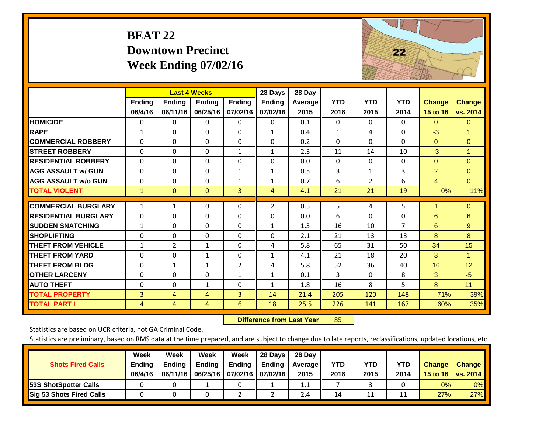# **BEAT 22 Downtown Precinct Week Ending 07/02/16**



|                             |                | <b>Last 4 Weeks</b> |               |                | 28 Days        | 28 Day         |              |                |                |                |                |
|-----------------------------|----------------|---------------------|---------------|----------------|----------------|----------------|--------------|----------------|----------------|----------------|----------------|
|                             | Ending         | <b>Ending</b>       | <b>Endina</b> | <b>Ending</b>  | <b>Ending</b>  | <b>Average</b> | <b>YTD</b>   | <b>YTD</b>     | <b>YTD</b>     | <b>Change</b>  | <b>Change</b>  |
|                             | 06/4/16        | 06/11/16            | 06/25/16      | 07/02/16       | 07/02/16       | 2015           | 2016         | 2015           | 2014           | 15 to 16       | vs. 2014       |
| <b>HOMICIDE</b>             | 0              | 0                   | 0             | 0              | 0              | 0.1            | $\Omega$     | 0              | $\Omega$       | $\mathbf{0}$   | $\mathbf{0}$   |
| <b>RAPE</b>                 | $\mathbf{1}$   | 0                   | $\Omega$      | 0              | $\mathbf{1}$   | 0.4            | 1            | 4              | $\Omega$       | $-3$           | 1.             |
| <b>COMMERCIAL ROBBERY</b>   | $\Omega$       | 0                   | $\mathbf{0}$  | $\Omega$       | $\Omega$       | 0.2            | $\Omega$     | $\Omega$       | $\Omega$       | $\Omega$       | $\mathbf{0}$   |
| <b>STREET ROBBERY</b>       | $\Omega$       | 0                   | 0             | $\mathbf{1}$   | $\mathbf{1}$   | 2.3            | 11           | 14             | 10             | $-3$           | $\mathbf{1}$   |
| <b>RESIDENTIAL ROBBERY</b>  | $\Omega$       | 0                   | $\mathbf{0}$  | $\Omega$       | $\Omega$       | 0.0            | $\mathbf{0}$ | $\Omega$       | 0              | $\Omega$       | $\overline{0}$ |
| <b>AGG ASSAULT w/ GUN</b>   | $\Omega$       | 0                   | 0             | $\mathbf{1}$   | $\mathbf{1}$   | 0.5            | 3            | $\mathbf{1}$   | 3              | $\overline{2}$ | $\overline{0}$ |
| <b>AGG ASSAULT w/o GUN</b>  | $\Omega$       | 0                   | $\mathbf{0}$  | $\mathbf{1}$   | $\mathbf{1}$   | 0.7            | 6            | $\overline{2}$ | 6              | $\overline{4}$ | $\Omega$       |
| <b>TOTAL VIOLENT</b>        | $\mathbf{1}$   | $\overline{0}$      | $\mathbf{0}$  | 3              | 4              | 4.1            | 21           | 21             | 19             | 0%             | 11%            |
| <b>COMMERCIAL BURGLARY</b>  | $\mathbf{1}$   | 1                   | $\mathbf 0$   | 0              | $\overline{2}$ | 0.5            | 5            | 4              | 5              |                | $\overline{0}$ |
|                             |                |                     |               |                |                |                |              |                |                |                |                |
| <b>RESIDENTIAL BURGLARY</b> | $\Omega$       | 0                   | $\Omega$      | $\Omega$       | $\Omega$       | 0.0            | 6            | $\Omega$       | 0              | 6              | 6              |
| <b>SUDDEN SNATCHING</b>     | $\mathbf{1}$   | 0                   | $\Omega$      | $\Omega$       | 1              | 1.3            | 16           | 10             | $\overline{7}$ | 6              | 9              |
| <b>SHOPLIFTING</b>          | $\Omega$       | 0                   | 0             | $\Omega$       | $\Omega$       | 2.1            | 21           | 13             | 13             | 8              | 8              |
| <b>THEFT FROM VEHICLE</b>   | $\mathbf{1}$   | $\overline{2}$      | $\mathbf{1}$  | $\Omega$       | 4              | 5.8            | 65           | 31             | 50             | 34             | 15             |
| <b>THEFT FROM YARD</b>      | $\Omega$       | 0                   | 1             | $\Omega$       | $\mathbf{1}$   | 4.1            | 21           | 18             | 20             | 3              | 1              |
| <b>THEFT FROM BLDG</b>      | $\Omega$       | $\mathbf{1}$        | 1             | $\overline{2}$ | 4              | 5.8            | 52           | 36             | 40             | 16             | 12             |
| <b>OTHER LARCENY</b>        | $\Omega$       | $\Omega$            | 0             | $\mathbf{1}$   | $\mathbf{1}$   | 0.1            | 3            | $\Omega$       | 8              | 3              | $-5$           |
| <b>AUTO THEFT</b>           | $\Omega$       | 0                   | $\mathbf{1}$  | 0              | $\mathbf{1}$   | 1.8            | 16           | 8              | 5              | 8              | 11             |
| <b>TOTAL PROPERTY</b>       | $\overline{3}$ | 4                   | 4             | 3              | 14             | 21.4           | 205          | 120            | 148            | 71%            | 39%            |
| <b>TOTAL PART I</b>         | 4              | 4                   | 4             | 6              | 18             | 25.5           | 226          | 141            | 167            | 60%            | 35%            |

 **Difference from Last Year**r 85

Statistics are based on UCR criteria, not GA Criminal Code.

| <b>Shots Fired Calls</b>        | Week<br><b>Ending</b><br>06/4/16 | Week<br><b>Endina</b><br>06/11/16 | Week<br>Ending | Week<br>Ending<br>06/25/16   07/02/16   07/02/16 | 28 Days<br><b>Ending</b> | 28 Day<br>Average II<br>2015 | YTD<br>2016 | YTD<br>2015 | YTD<br>2014 | <b>Change</b><br>15 to 16 $\vert$ | <b>Change</b><br>vs. 2014 |
|---------------------------------|----------------------------------|-----------------------------------|----------------|--------------------------------------------------|--------------------------|------------------------------|-------------|-------------|-------------|-----------------------------------|---------------------------|
| <b>153S ShotSpotter Calls</b>   |                                  |                                   |                |                                                  |                          | 1.1                          |             |             |             | 0%                                | 0%                        |
| <b>Sig 53 Shots Fired Calls</b> |                                  |                                   |                |                                                  |                          | 2.4                          | 14          | 11          |             | 27%                               | 27%                       |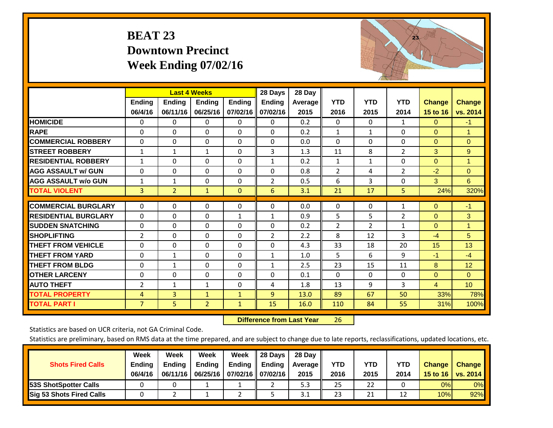# **BEAT 23 Downtown Precinct Week Ending 07/02/16**



|                             |                | <b>Last 4 Weeks</b> |                |               | 28 Days        | 28 Day  |                |                |                |                |                 |
|-----------------------------|----------------|---------------------|----------------|---------------|----------------|---------|----------------|----------------|----------------|----------------|-----------------|
|                             | <b>Ending</b>  | <b>Ending</b>       | <b>Endina</b>  | <b>Ending</b> | <b>Ending</b>  | Average | <b>YTD</b>     | <b>YTD</b>     | <b>YTD</b>     | <b>Change</b>  | <b>Change</b>   |
|                             | 06/4/16        | 06/11/16            | 06/25/16       | 07/02/16      | 07/02/16       | 2015    | 2016           | 2015           | 2014           | 15 to 16       | vs. 2014        |
| <b>HOMICIDE</b>             | 0              | $\Omega$            | 0              | 0             | $\Omega$       | 0.2     | $\mathbf{0}$   | $\Omega$       | 1              | $\mathbf{0}$   | $-1$            |
| <b>RAPE</b>                 | $\Omega$       | $\Omega$            | $\Omega$       | $\Omega$      | 0              | 0.2     | $\mathbf{1}$   | 1              | $\Omega$       | $\mathbf{0}$   | 1               |
| <b>COMMERCIAL ROBBERY</b>   | $\Omega$       | 0                   | $\Omega$       | 0             | 0              | 0.0     | $\Omega$       | $\Omega$       | $\Omega$       | $\mathbf{0}$   | $\Omega$        |
| <b>STREET ROBBERY</b>       | 1              | $\mathbf{1}$        | 1              | $\Omega$      | 3              | 1.3     | 11             | 8              | $\overline{2}$ | 3              | 9               |
| <b>RESIDENTIAL ROBBERY</b>  | $\mathbf{1}$   | $\Omega$            | $\Omega$       | 0             | $\mathbf{1}$   | 0.2     | $\mathbf{1}$   | 1              | 0              | $\mathbf{0}$   | $\mathbf{1}$    |
| <b>AGG ASSAULT w/ GUN</b>   | $\Omega$       | $\Omega$            | $\Omega$       | $\Omega$      | 0              | 0.8     | $\overline{2}$ | 4              | $\overline{2}$ | $-2$           | $\Omega$        |
| <b>AGG ASSAULT w/o GUN</b>  | $\mathbf{1}$   | 1                   | $\mathbf{0}$   | 0             | $\overline{2}$ | 0.5     | 6              | 3              | 0              | 3              | 6               |
| <b>TOTAL VIOLENT</b>        | 3              | $\overline{2}$      | $\mathbf{1}$   | $\mathbf{0}$  | 6              | 3.1     | 21             | 17             | 5              | 24%            | 320%            |
| <b>COMMERCIAL BURGLARY</b>  | $\Omega$       | $\Omega$            | $\Omega$       | $\Omega$      | $\Omega$       | 0.0     | 0              | $\Omega$       | 1              | $\Omega$       | $-1$            |
| <b>RESIDENTIAL BURGLARY</b> | $\Omega$       | 0                   | $\Omega$       | 1             | 1              | 0.9     | 5              | 5              | $\overline{2}$ | $\mathbf{0}$   | 3               |
| <b>SUDDEN SNATCHING</b>     | $\Omega$       | 0                   | $\Omega$       | 0             | 0              | 0.2     | $\overline{2}$ | $\overline{2}$ | 1              | $\Omega$       | 1.              |
| <b>SHOPLIFTING</b>          | 2              | 0                   | $\Omega$       | 0             | 2              | 2.2     | 8              | 12             | 3              | $-4$           | 5               |
| <b>THEFT FROM VEHICLE</b>   | $\Omega$       | $\Omega$            | $\Omega$       | $\Omega$      | $\Omega$       | 4.3     | 33             | 18             | 20             | 15             | 13              |
| <b>THEFT FROM YARD</b>      | $\Omega$       | $\mathbf{1}$        | $\Omega$       | $\Omega$      | $\mathbf{1}$   | 1.0     | 5              | 6              | 9              | $-1$           | $-4$            |
| <b>THEFT FROM BLDG</b>      | 0              | 1                   | $\mathbf{0}$   | 0             | $\mathbf{1}$   | 2.5     | 23             | 15             | 11             | 8              | 12              |
| <b>OTHER LARCENY</b>        | 0              | $\Omega$            | 0              | 0             | 0              | 0.1     | $\mathbf{0}$   | 0              | 0              | $\overline{0}$ | $\Omega$        |
| <b>AUTO THEFT</b>           | 2              | $\mathbf{1}$        | $\mathbf{1}$   | $\Omega$      | 4              | 1.8     | 13             | 9              | 3              | $\overline{4}$ | 10 <sup>°</sup> |
| <b>TOTAL PROPERTY</b>       | 4              | 3                   | $\mathbf{1}$   | $\mathbf{1}$  | 9              | 13.0    | 89             | 67             | 50             | 33%            | 78%             |
| <b>TOTAL PART I</b>         | $\overline{7}$ | 5 <sub>1</sub>      | $\overline{2}$ | $\mathbf{1}$  | 15             | 16.0    | 110            | 84             | 55             | 31%            | 100%            |

 **Difference from Last Year**r 26

Statistics are based on UCR criteria, not GA Criminal Code.

|                                 | Week          | Week          | Week   | Week                       | 28 Days       | 28 Day     |      |      |      |                  |                 |
|---------------------------------|---------------|---------------|--------|----------------------------|---------------|------------|------|------|------|------------------|-----------------|
| <b>Shots Fired Calls</b>        | <b>Ending</b> | <b>Ending</b> | Ending | Ending                     | <b>Ending</b> | Average II | YTD  | YTD  | YTD  | <b>Change</b>    | <b>Change</b>   |
|                                 | 06/4/16       | 06/11/16      |        | 06/25/16 07/02/16 07/02/16 |               | 2015       | 2016 | 2015 | 2014 | 15 to 16 $\vert$ | <b>vs. 2014</b> |
| <b>153S ShotSpotter Calls</b>   |               |               |        |                            |               | 5.3        | 25   | 22   |      | 0%               | 0%              |
| <b>Sig 53 Shots Fired Calls</b> |               |               |        |                            |               | 3.1        | 23   | 21   |      | 10%              | 92%             |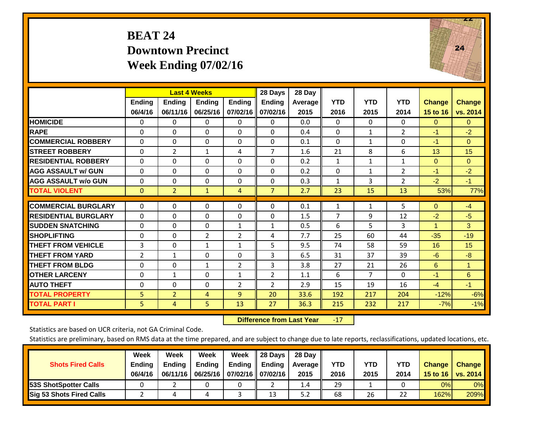# **BEAT 24 Downtown Precinct Week Ending 07/02/16**



|                             |                   |                           | <b>Last 4 Weeks</b> |                           | 28 Days            | 28 Day          |                    |                    |                    |                           |                           |
|-----------------------------|-------------------|---------------------------|---------------------|---------------------------|--------------------|-----------------|--------------------|--------------------|--------------------|---------------------------|---------------------------|
|                             | Ending<br>06/4/16 | <b>Ending</b><br>06/11/16 | Ending<br>06/25/16  | <b>Ending</b><br>07/02/16 | Ending<br>07/02/16 | Average<br>2015 | <b>YTD</b><br>2016 | <b>YTD</b><br>2015 | <b>YTD</b><br>2014 | <b>Change</b><br>15 to 16 | <b>Change</b><br>vs. 2014 |
| <b>HOMICIDE</b>             | $\Omega$          | 0                         | 0                   | 0                         | $\Omega$           | 0.0             | 0                  | 0                  | 0                  | $\Omega$                  | $\Omega$                  |
| <b>RAPE</b>                 | $\Omega$          | $\Omega$                  | $\Omega$            | $\Omega$                  | $\Omega$           | 0.4             | $\Omega$           | $\mathbf{1}$       | $\overline{2}$     | $-1$                      | $-2$                      |
| <b>COMMERCIAL ROBBERY</b>   | $\Omega$          | 0                         | $\Omega$            | $\Omega$                  | $\Omega$           | 0.1             | $\Omega$           | $\mathbf{1}$       | $\Omega$           | $-1$                      | $\Omega$                  |
| <b>ISTREET ROBBERY</b>      | $\Omega$          | 2                         | $\mathbf{1}$        | 4                         | 7                  | 1.6             | 21                 | 8                  | 6                  | 13                        | 15                        |
| <b>RESIDENTIAL ROBBERY</b>  | $\Omega$          | 0                         | $\Omega$            | $\Omega$                  | 0                  | 0.2             | $\mathbf{1}$       | $\mathbf{1}$       | $\mathbf{1}$       | $\Omega$                  | $\Omega$                  |
| <b>AGG ASSAULT w/ GUN</b>   | 0                 | $\Omega$                  | $\Omega$            | $\mathbf{0}$              | $\Omega$           | 0.2             | $\Omega$           | $\mathbf{1}$       | $\overline{2}$     | $-1$                      | $-2$                      |
| <b>AGG ASSAULT w/o GUN</b>  | 0                 | 0                         | $\Omega$            | $\mathbf 0$               | $\Omega$           | 0.3             | $\mathbf{1}$       | 3                  | $\overline{2}$     | $-2$                      | $-1$                      |
| <b>TOTAL VIOLENT</b>        | $\mathbf{0}$      | $\overline{2}$            | $\mathbf{1}$        | 4                         | $\overline{7}$     | 2.7             | 23                 | 15                 | 13                 | 53%                       | 77%                       |
| <b>COMMERCIAL BURGLARY</b>  | $\Omega$          | $\Omega$                  | 0                   | $\Omega$                  | $\Omega$           | 0.1             | $\mathbf{1}$       | $\mathbf{1}$       | 5                  | $\Omega$                  | $-4$                      |
| <b>RESIDENTIAL BURGLARY</b> | 0                 | 0                         | $\Omega$            | $\Omega$                  | 0                  | 1.5             | $\overline{7}$     | 9                  | 12                 | $-2$                      | $-5$                      |
| <b>ISUDDEN SNATCHING</b>    | 0                 | $\Omega$                  | 0                   | 1                         | 1                  | 0.5             | 6                  | 5.                 | 3                  | 1                         | 3                         |
| <b>SHOPLIFTING</b>          | 0                 | 0                         | $\overline{2}$      | $\overline{2}$            | 4                  | 7.7             | 25                 | 60                 | 44                 | $-35$                     | $-19$                     |
| <b>THEFT FROM VEHICLE</b>   | 3                 | $\Omega$                  | $\mathbf{1}$        | $\mathbf{1}$              | 5                  | 9.5             | 74                 | 58                 | 59                 | 16                        | 15                        |
| <b>THEFT FROM YARD</b>      | 2                 | 1                         | $\Omega$            | $\Omega$                  | 3                  | 6.5             | 31                 | 37                 | 39                 | $-6$                      | -8                        |
| <b>THEFT FROM BLDG</b>      | 0                 | 0                         | $\mathbf{1}$        | $\overline{2}$            | 3                  | 3.8             | 27                 | 21                 | 26                 | 6                         | $\blacktriangleleft$      |
| <b>IOTHER LARCENY</b>       | $\Omega$          | $\mathbf{1}$              | $\Omega$            | $\mathbf{1}$              | $\overline{2}$     | 1.1             | 6                  | $\overline{7}$     | $\Omega$           | $-1$                      | 6                         |
| <b>AUTO THEFT</b>           | $\Omega$          | $\Omega$                  | $\Omega$            | $\overline{2}$            | 2                  | 2.9             | 15                 | 19                 | 16                 | $-4$                      | $-1$                      |
| <b>TOTAL PROPERTY</b>       | 5                 | $\overline{2}$            | 4                   | 9                         | 20                 | 33.6            | 192                | 217                | 204                | $-12%$                    | $-6%$                     |
| <b>TOTAL PART I</b>         | 5                 | 4                         | 5                   | 13                        | 27                 | 36.3            | 215                | 232                | 217                | $-7%$                     | $-1%$                     |

 **Difference from Last Year**r -17

Statistics are based on UCR criteria, not GA Criminal Code.

| <b>Shots Fired Calls</b>        | Week<br><b>Ending</b><br>06/4/16 | Week<br><b>Endina</b><br>06/11/16 | Week<br>Ending | Week<br>Ending<br>06/25/16   07/02/16   07/02/16 | 28 Days<br><b>Ending</b> | 28 Day<br>Average II<br>2015 | YTD<br>2016 | YTD<br>2015 | <b>YTD</b><br>2014 | <b>Change</b><br>15 to 16 | <b>Change</b><br>vs. 2014 |
|---------------------------------|----------------------------------|-----------------------------------|----------------|--------------------------------------------------|--------------------------|------------------------------|-------------|-------------|--------------------|---------------------------|---------------------------|
| <b>153S ShotSpotter Calls</b>   |                                  |                                   |                |                                                  |                          | 1.4                          | 29          |             |                    | 0%                        | 0%                        |
| <b>Sig 53 Shots Fired Calls</b> |                                  |                                   |                |                                                  | 13                       | 5.2                          | 68          | 26          | 22                 | 162%                      | 209%                      |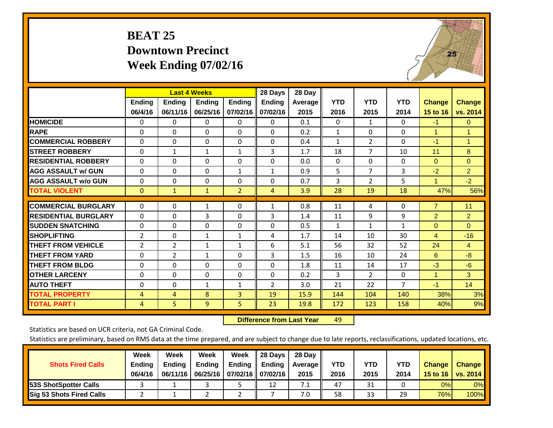# **BEAT 25 Downtown Precinct Week Ending 07/02/16**



|                             |               |                | <b>Last 4 Weeks</b> |                | 28 Days        | 28 Day  |              |                |                |                      |                |
|-----------------------------|---------------|----------------|---------------------|----------------|----------------|---------|--------------|----------------|----------------|----------------------|----------------|
|                             | <b>Ending</b> | Ending         | Ending              | <b>Ending</b>  | <b>Ending</b>  | Average | <b>YTD</b>   | <b>YTD</b>     | <b>YTD</b>     | <b>Change</b>        | <b>Change</b>  |
|                             | 06/4/16       | 06/11/16       | 06/25/16            | 07/02/16       | 07/02/16       | 2015    | 2016         | 2015           | 2014           | 15 to 16             | vs. 2014       |
| <b>HOMICIDE</b>             | 0             | 0              | $\Omega$            | $\Omega$       | 0              | 0.1     | $\Omega$     | $\mathbf{1}$   | 0              | $-1$                 | $\mathbf{0}$   |
| <b>RAPE</b>                 | $\Omega$      | 0              | $\mathbf{0}$        | $\Omega$       | 0              | 0.2     | $\mathbf{1}$ | 0              | 0              | 1                    | 1              |
| <b>COMMERCIAL ROBBERY</b>   | $\Omega$      | 0              | $\Omega$            | $\Omega$       | $\Omega$       | 0.4     | $\mathbf{1}$ | $\overline{2}$ | 0              | $-1$                 | 1              |
| <b>STREET ROBBERY</b>       | $\Omega$      | $\mathbf{1}$   | 1                   | $\mathbf{1}$   | 3              | 1.7     | 18           | 7              | 10             | 11                   | 8              |
| <b>RESIDENTIAL ROBBERY</b>  | $\Omega$      | $\Omega$       | $\Omega$            | $\Omega$       | $\Omega$       | 0.0     | $\mathbf{0}$ | $\Omega$       | 0              | $\Omega$             | $\Omega$       |
| <b>AGG ASSAULT w/ GUN</b>   | $\Omega$      | 0              | $\mathbf{0}$        | 1              | 1              | 0.9     | 5            | $\overline{7}$ | 3              | $-2$                 | $\overline{2}$ |
| <b>AGG ASSAULT w/o GUN</b>  | $\Omega$      | $\Omega$       | $\Omega$            | $\Omega$       | $\Omega$       | 0.7     | 3            | $\overline{2}$ | 5              | $\blacktriangleleft$ | $-2$           |
| <b>TOTAL VIOLENT</b>        | $\mathbf{0}$  | 1              | $\mathbf{1}$        | $\overline{2}$ | 4              | 3.9     | 28           | 19             | 18             | 47%                  | 56%            |
|                             |               |                |                     |                |                |         |              |                |                |                      |                |
| <b>COMMERCIAL BURGLARY</b>  | $\Omega$      | $\Omega$       | 1                   | 0              | 1              | 0.8     | 11           | 4              | 0              | $\overline{7}$       | 11             |
| <b>RESIDENTIAL BURGLARY</b> | $\Omega$      | 0              | 3                   | $\Omega$       | 3              | 1.4     | 11           | 9              | 9              | $\overline{2}$       | $\overline{2}$ |
| <b>SUDDEN SNATCHING</b>     | $\Omega$      | $\Omega$       | $\Omega$            | $\Omega$       | $\Omega$       | 0.5     | 1            | $\mathbf{1}$   | 1              | $\Omega$             | $\Omega$       |
| <b>SHOPLIFTING</b>          | 2             | $\Omega$       | 1                   | 1              | 4              | 1.7     | 14           | 10             | 30             | 4                    | $-16$          |
| <b>THEFT FROM VEHICLE</b>   | 2             | $\overline{2}$ | $\mathbf{1}$        | 1              | 6              | 5.1     | 56           | 32             | 52             | 24                   | 4              |
| <b>THEFT FROM YARD</b>      | $\Omega$      | 2              | $\mathbf{1}$        | $\Omega$       | 3              | 1.5     | 16           | 10             | 24             | 6                    | $-8$           |
| <b>THEFT FROM BLDG</b>      | 0             | 0              | $\Omega$            | 0              | $\Omega$       | 1.8     | 11           | 14             | 17             | $-3$                 | $-6$           |
| <b>OTHER LARCENY</b>        | $\Omega$      | 0              | $\mathbf{0}$        | $\Omega$       | $\Omega$       | 0.2     | 3            | $\overline{2}$ | 0              | $\overline{1}$       | 3              |
| <b>AUTO THEFT</b>           | $\Omega$      | $\Omega$       | 1                   | 1              | $\overline{2}$ | 3.0     | 21           | 22             | $\overline{7}$ | $-1$                 | 14             |
| <b>TOTAL PROPERTY</b>       | 4             | 4              | 8                   | 3              | 19             | 15.9    | 144          | 104            | 140            | 38%                  | 3%             |
| <b>TOTAL PART I</b>         | 4             | 5              | 9                   | 5              | 23             | 19.8    | 172          | 123            | 158            | 40%                  | 9%             |

 **Difference from Last Yearr** 49

Statistics are based on UCR criteria, not GA Criminal Code.

| <b>Shots Fired Calls</b>        | Week<br><b>Ending</b><br>06/4/16 | Week<br><b>Endina</b><br>06/11/16 | Week<br>Ending | Week<br>Ending<br>06/25/16   07/02/16   07/02/16 | 28 Days<br><b>Ending</b> | 28 Day<br>Average II<br>2015 | YTD<br>2016 | YTD<br>2015 | YTD<br>2014 | <b>Change</b><br>15 to 16 | <b>Change</b><br>vs. 2014 |
|---------------------------------|----------------------------------|-----------------------------------|----------------|--------------------------------------------------|--------------------------|------------------------------|-------------|-------------|-------------|---------------------------|---------------------------|
| <b>153S ShotSpotter Calls</b>   |                                  |                                   |                |                                                  | 12                       | 7.1                          | 47          | 31          |             | 0%                        | 0%                        |
| <b>Sig 53 Shots Fired Calls</b> |                                  |                                   |                |                                                  |                          | 7.0                          | 58          | 33          | 29          | 76%                       | 100%                      |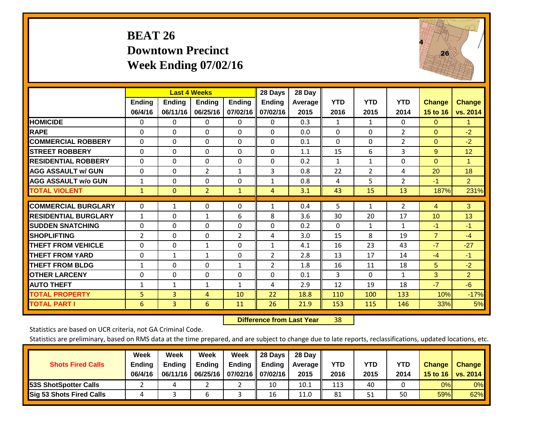# **BEAT 26 Downtown Precinct Week Ending 07/02/16**



|                             |                | <b>Last 4 Weeks</b> |                |                | 28 Days        | 28 Day  |              |              |                |                |                |
|-----------------------------|----------------|---------------------|----------------|----------------|----------------|---------|--------------|--------------|----------------|----------------|----------------|
|                             | <b>Ending</b>  | <b>Ending</b>       | <b>Ending</b>  | <b>Ending</b>  | <b>Ending</b>  | Average | <b>YTD</b>   | <b>YTD</b>   | <b>YTD</b>     | <b>Change</b>  | <b>Change</b>  |
|                             | 06/4/16        | 06/11/16            | 06/25/16       | 07/02/16       | 07/02/16       | 2015    | 2016         | 2015         | 2014           | 15 to 16       | vs. 2014       |
| <b>HOMICIDE</b>             | 0              | 0                   | $\Omega$       | 0              | $\mathbf{0}$   | 0.3     | 1            | $\mathbf{1}$ | 0              | $\mathbf{0}$   | 1.             |
| <b>RAPE</b>                 | 0              | $\Omega$            | $\Omega$       | $\Omega$       | $\Omega$       | 0.0     | $\Omega$     | $\Omega$     | $\overline{2}$ | $\Omega$       | $-2$           |
| <b>COMMERCIAL ROBBERY</b>   | $\Omega$       | $\Omega$            | $\Omega$       | $\Omega$       | $\Omega$       | 0.1     | $\Omega$     | $\mathbf{0}$ | $\overline{2}$ | $\mathbf{0}$   | $-2$           |
| <b>ISTREET ROBBERY</b>      | $\Omega$       | $\Omega$            | $\Omega$       | 0              | $\Omega$       | 1.1     | 15           | 6            | 3              | 9              | 12             |
| <b>RESIDENTIAL ROBBERY</b>  | $\Omega$       | 0                   | 0              | 0              | $\Omega$       | 0.2     | $\mathbf{1}$ | 1            | 0              | $\Omega$       | 1              |
| <b>AGG ASSAULT w/ GUN</b>   | 0              | 0                   | 2              | $\mathbf{1}$   | 3              | 0.8     | 22           | 2            | 4              | 20             | 18             |
| <b>AGG ASSAULT w/o GUN</b>  | $\mathbf{1}$   | 0                   | $\Omega$       | $\Omega$       | $\mathbf{1}$   | 0.8     | 4            | 5            | $\overline{2}$ | $-1$           | $\overline{2}$ |
| <b>TOTAL VIOLENT</b>        | 1              | $\mathbf{0}$        | $\overline{2}$ | $\mathbf{1}$   | 4              | 3.1     | 43           | 15           | 13             | 187%           | 231%           |
| <b>COMMERCIAL BURGLARY</b>  | $\Omega$       |                     | 0              | 0              |                | 0.4     | 5            | 1            | 2              |                | 3 <sup>°</sup> |
|                             |                | 1                   |                |                | 1              |         |              |              |                | 4              |                |
| <b>RESIDENTIAL BURGLARY</b> | 1              | 0                   | 1              | 6              | 8              | 3.6     | 30           | 20           | 17             | 10             | 13             |
| <b>SUDDEN SNATCHING</b>     | 0              | 0                   | $\Omega$       | $\mathbf{0}$   | $\Omega$       | 0.2     | $\Omega$     | 1            | $\mathbf{1}$   | $-1$           | -1             |
| <b>SHOPLIFTING</b>          | $\overline{2}$ | 0                   | $\Omega$       | $\overline{2}$ | 4              | 3.0     | 15           | 8            | 19             | $\overline{7}$ | $-4$           |
| <b>THEFT FROM VEHICLE</b>   | $\Omega$       | 0                   | $\mathbf{1}$   | 0              | 1              | 4.1     | 16           | 23           | 43             | $-7$           | $-27$          |
| <b>THEFT FROM YARD</b>      | $\Omega$       | 1                   | 1              | $\mathbf 0$    | 2              | 2.8     | 13           | 17           | 14             | $-4$           | $-1$           |
| <b>THEFT FROM BLDG</b>      | 1              | 0                   | $\mathbf{0}$   | $\mathbf{1}$   | $\overline{2}$ | 1.8     | 16           | 11           | 18             | 5              | $-2$           |
| <b>IOTHER LARCENY</b>       | 0              | 0                   | $\mathbf{0}$   | $\mathbf{0}$   | $\Omega$       | 0.1     | 3            | $\Omega$     | $\mathbf{1}$   | 3              | $\overline{2}$ |
| <b>AUTO THEFT</b>           | $\mathbf 1$    | $\mathbf{1}$        | 1              | 1              | 4              | 2.9     | 12           | 19           | 18             | $-7$           | $-6$           |
| <b>TOTAL PROPERTY</b>       | 5              | 3                   | 4              | 10             | 22             | 18.8    | 110          | 100          | 133            | 10%            | $-17%$         |
| <b>TOTAL PART I</b>         | 6              | 3                   | 6              | 11             | 26             | 21.9    | 153          | 115          | 146            | 33%            | 5%             |

 **Difference from Last Year**r 38

Statistics are based on UCR criteria, not GA Criminal Code.

| <b>Shots Fired Calls</b>        | Week<br><b>Ending</b><br>06/4/16 | Week<br><b>Endina</b><br>06/11/16 | Week<br>Ending | Week<br>Ending<br>06/25/16   07/02/16   07/02/16 | 28 Days<br><b>Ending</b> | 28 Day<br>Average II<br>2015 | YTD<br>2016 | YTD<br>2015 | <b>YTD</b><br>2014 | <b>Change</b><br>15 to 16 | <b>Change</b><br>vs. 2014 |
|---------------------------------|----------------------------------|-----------------------------------|----------------|--------------------------------------------------|--------------------------|------------------------------|-------------|-------------|--------------------|---------------------------|---------------------------|
| <b>153S ShotSpotter Calls</b>   |                                  |                                   |                |                                                  | 10                       | 10.1                         | 113         | 40          |                    | 0%                        | 0%                        |
| <b>Sig 53 Shots Fired Calls</b> |                                  |                                   |                |                                                  | 16                       | 11.0                         | 81          | 51          | 50                 | 59%                       | 62%                       |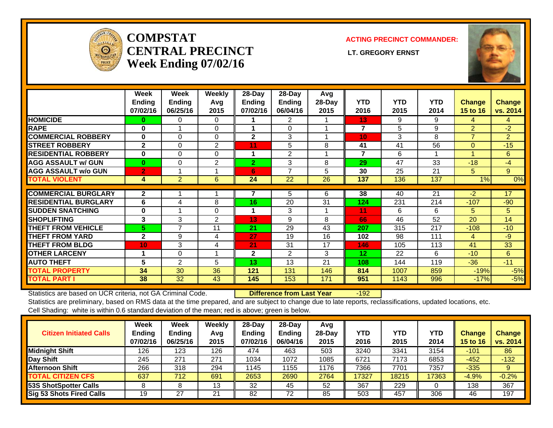

### **COMPSTATCENTRAL PRECINCT** LT. GREGORY ERNST **Week Ending 07/02/16**

### **ACTING PRECINCT COMMANDER:**



|                             | Week<br><b>Ending</b><br>07/02/16 | Week<br><b>Ending</b><br>06/25/16 | <b>Weekly</b><br>Avg<br>2015 | 28-Day<br><b>Ending</b><br>07/02/16 | 28-Day<br><b>Ending</b><br>06/04/16 | Avg<br>28-Day<br>2015 | <b>YTD</b><br>2016 | <b>YTD</b><br>2015 | <b>YTD</b><br>2014 | Change<br>15 to 16 | <b>Change</b><br>vs. 2014 |
|-----------------------------|-----------------------------------|-----------------------------------|------------------------------|-------------------------------------|-------------------------------------|-----------------------|--------------------|--------------------|--------------------|--------------------|---------------------------|
| <b>HOMICIDE</b>             | 0                                 | 0                                 | $\Omega$                     |                                     | 2                                   |                       | 13                 | 9                  | 9                  | 4                  | 4                         |
| <b>RAPE</b>                 | $\bf{0}$                          |                                   | $\Omega$                     |                                     | $\Omega$                            |                       | 7                  | 5                  | 9                  | $\overline{2}$     | $-2$                      |
| <b>COMMERCIAL ROBBERY</b>   | 0                                 | $\Omega$                          | $\Omega$                     | $\mathbf{2}$                        | 3                                   |                       | 10                 | 3                  | 8                  | $\overline{7}$     | 2                         |
| <b>STREET ROBBERY</b>       | $\mathbf{2}$                      | $\Omega$                          | $\overline{2}$               | 11                                  | 5                                   | 8                     | 41                 | 41                 | 56                 | $\Omega$           | $-15$                     |
| <b>RESIDENTIAL ROBBERY</b>  | 0                                 | $\Omega$                          | $\Omega$                     | 1                                   | $\overline{2}$                      |                       | $\overline{7}$     | 6                  |                    |                    | 6                         |
| <b>AGG ASSAULT w/ GUN</b>   | $\bf{0}$                          | $\Omega$                          | $\overline{2}$               | $\overline{2}$                      | 3                                   | 8                     | 29                 | 47                 | 33                 | $-18$              | -4                        |
| <b>AGG ASSAULT w/o GUN</b>  | $\overline{2}$                    |                                   |                              | 6                                   | $\overline{7}$                      | 5                     | 30                 | 25                 | 21                 | 5                  | $9^{\circ}$               |
| <b>TOTAL VIOLENT</b>        | 4                                 | $\overline{2}$                    | 6                            | 24                                  | 22                                  | 26                    | 137                | 136                | 137                | 1%                 | 0%                        |
|                             |                                   |                                   |                              |                                     |                                     |                       |                    |                    |                    |                    |                           |
| <b>COMMERCIAL BURGLARY</b>  | $\mathbf{2}$                      |                                   |                              |                                     | 5                                   | 6                     | 38                 | 40                 | 21                 | $-2$               | 17                        |
| <b>RESIDENTIAL BURGLARY</b> | 6                                 | 4                                 | 8                            | 16                                  | 20                                  | 31                    | 124                | 231                | 214                | $-107$             | $-90$                     |
| <b>SUDDEN SNATCHING</b>     | 0                                 |                                   | $\Omega$                     | 1                                   | 3                                   |                       | 11                 | 6                  | 6                  | 5                  | 5                         |
| <b>SHOPLIFTING</b>          | 3                                 | 3                                 | 2                            | 13                                  | 9                                   | 8                     | 66                 | 46                 | 52                 | 20                 | 14                        |
| <b>THEFT FROM VEHICLE</b>   | 5                                 | $\overline{7}$                    | 11                           | 21                                  | 29                                  | 43                    | 207                | 315                | 217                | $-108$             | $-10$                     |
| <b>THEFT FROM YARD</b>      | $\mathbf{2}$                      | 9                                 | $\overline{4}$               | 27                                  | 19                                  | 16                    | 102                | 98                 | 111                | $\overline{4}$     | $-9$                      |
| <b>THEFT FROM BLDG</b>      | 10                                | 3                                 | 4                            | 21                                  | 31                                  | 17                    | 146                | 105                | 113                | 41                 | 33                        |
| <b>OTHER LARCENY</b>        |                                   | $\Omega$                          |                              | $\mathbf{2}$                        | 2                                   | 3                     | 12                 | 22                 | 6                  | $-10$              | 6                         |
| <b>AUTO THEFT</b>           | 5                                 | 2                                 | 5                            | 13                                  | 13                                  | 21                    | 108                | 144                | 119                | $-36$              | $-11$                     |
| <b>TOTAL PROPERTY</b>       | 34                                | 30                                | 36                           | 121                                 | 131                                 | 146                   | 814                | 1007               | 859                | $-19%$             | $-5%$                     |
| <b>TOTAL PART I</b>         | 38                                | 32                                | 43                           | 145                                 | 153                                 | 171                   | 951                | 1143               | 996                | $-17%$             | $-5%$                     |

Statistics are based on UCR criteria, not GA Criminal Code. **Difference from Last Year** -192

| <b>Citizen Initiated Calls</b>  | Week<br><b>Ending</b><br>07/02/16 | <b>Week</b><br><b>Ending</b><br>06/25/16 | Weekly<br>Avg<br>2015 | $28$ -Day<br><b>Ending</b><br>07/02/16 | 28-Dav<br><b>Ending</b><br>06/04/16 | Avg<br>28-Dav<br>2015 | YTD<br>2016 | <b>YTD</b><br>2015 | <b>YTD</b><br>2014 | <b>Change</b><br><b>15 to 16</b> | <b>Change</b><br>vs. 2014 |
|---------------------------------|-----------------------------------|------------------------------------------|-----------------------|----------------------------------------|-------------------------------------|-----------------------|-------------|--------------------|--------------------|----------------------------------|---------------------------|
| <b>Midnight Shift</b>           | 126                               | 123                                      | 126                   | 474                                    | 463                                 | 503                   | 3240        | 3341               | 3154               | $-101$                           | 86                        |
| Day Shift                       | 245                               | 271                                      | 271                   | 1034                                   | 1072                                | 1085                  | 6721        | 7173               | 6853               | $-452$                           | $-132$                    |
| <b>Afternoon Shift</b>          | 266                               | 318                                      | 294                   | 1145                                   | 155                                 | 1176                  | 7366        | 7701               | 7357               | $-335$                           | 9                         |
| <b>TOTAL CITIZEN CFS</b>        | 637                               | 712                                      | 691                   | 2653                                   | 2690                                | 2764                  | 17327       | 18215              | 17363              | $-4.9%$                          | $-0.2%$                   |
| 53S ShotSpotter Calls           |                                   |                                          | 13                    | 32                                     | 45                                  | 52                    | 367         | 229                |                    | 138                              | 367                       |
| <b>Sig 53 Shots Fired Calls</b> | 19                                | 27                                       | 21                    | 82                                     | 72                                  | 85                    | 503         | 457                | 306                | 46                               | 197                       |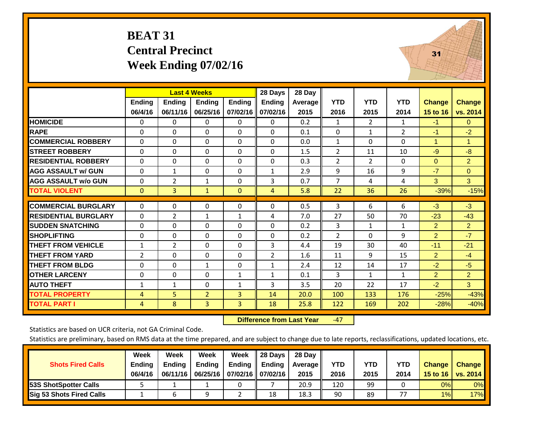### **BEAT 31 Central Precinct Week Ending 07/02/16**



|                             |                | <b>Last 4 Weeks</b> |                |              | 28 Days        | 28 Day  |                |                |                |                |                |
|-----------------------------|----------------|---------------------|----------------|--------------|----------------|---------|----------------|----------------|----------------|----------------|----------------|
|                             | <b>Ending</b>  | <b>Ending</b>       | <b>Ending</b>  | Ending       | <b>Ending</b>  | Average | <b>YTD</b>     | <b>YTD</b>     | <b>YTD</b>     | <b>Change</b>  | <b>Change</b>  |
|                             | 06/4/16        | 06/11/16            | 06/25/16       | 07/02/16     | 07/02/16       | 2015    | 2016           | 2015           | 2014           | 15 to 16       | vs. 2014       |
| <b>HOMICIDE</b>             | 0              | $\Omega$            | 0              | 0            | $\mathbf{0}$   | 0.2     | 1              | 2              | $\mathbf{1}$   | $-1$           | $\Omega$       |
| <b>RAPE</b>                 | $\Omega$       | $\Omega$            | 0              | $\Omega$     | $\Omega$       | 0.1     | 0              | $\mathbf{1}$   | $\overline{2}$ | $-1$           | $-2$           |
| <b>COMMERCIAL ROBBERY</b>   | $\Omega$       | $\Omega$            | 0              | $\Omega$     | $\Omega$       | 0.0     | 1              | $\Omega$       | 0              | 1              | $\mathbf{1}$   |
| <b>STREET ROBBERY</b>       | 0              | $\Omega$            | $\Omega$       | 0            | $\mathbf{0}$   | 1.5     | 2              | 11             | 10             | $-9$           | $-8$           |
| <b>RESIDENTIAL ROBBERY</b>  | $\Omega$       | $\Omega$            | 0              | 0            | $\mathbf{0}$   | 0.3     | 2              | $\overline{2}$ | 0              | $\overline{0}$ | $\overline{2}$ |
| <b>AGG ASSAULT w/ GUN</b>   | $\Omega$       | $\mathbf{1}$        | 0              | $\Omega$     | $\mathbf{1}$   | 2.9     | 9              | 16             | 9              | $-7$           | $\mathbf{0}$   |
| <b>AGG ASSAULT w/o GUN</b>  | 0              | $\overline{2}$      | 1              | 0            | 3              | 0.7     | $\overline{7}$ | 4              | 4              | 3              | $\mathbf{3}$   |
| <b>TOTAL VIOLENT</b>        | $\mathbf{0}$   | $\overline{3}$      | $\mathbf{1}$   | $\mathbf{0}$ | 4              | 5.8     | 22             | 36             | 26             | $-39%$         | $-15%$         |
|                             |                |                     |                |              |                |         |                |                |                |                |                |
| <b>COMMERCIAL BURGLARY</b>  | $\Omega$       | $\Omega$            | 0              | $\mathbf 0$  | $\Omega$       | 0.5     | 3              | 6              | 6              | $-3$           | $-3$           |
| <b>RESIDENTIAL BURGLARY</b> | $\Omega$       | 2                   | 1              | $\mathbf{1}$ | 4              | 7.0     | 27             | 50             | 70             | $-23$          | $-43$          |
| <b>SUDDEN SNATCHING</b>     | $\Omega$       | $\Omega$            | 0              | $\Omega$     | $\Omega$       | 0.2     | 3              | 1              | $\mathbf{1}$   | $\overline{2}$ | $\overline{2}$ |
| <b>SHOPLIFTING</b>          | $\mathbf 0$    | $\Omega$            | $\Omega$       | 0            | $\mathbf{0}$   | 0.2     | 2              | $\Omega$       | 9              | $\overline{2}$ | $-7$           |
| <b>THEFT FROM VEHICLE</b>   | $\mathbf{1}$   | $\overline{2}$      | $\Omega$       | 0            | 3              | 4.4     | 19             | 30             | 40             | $-11$          | $-21$          |
| <b>THEFT FROM YARD</b>      | $\overline{2}$ | $\Omega$            | 0              | $\Omega$     | $\overline{2}$ | 1.6     | 11             | 9              | 15             | $\overline{2}$ | $-4$           |
| <b>THEFT FROM BLDG</b>      | 0              | $\Omega$            | $\mathbf{1}$   | 0            | $\mathbf{1}$   | 2.4     | 12             | 14             | 17             | $-2$           | $-5$           |
| <b>OTHER LARCENY</b>        | 0              | $\Omega$            | $\Omega$       | $\mathbf{1}$ | $\mathbf{1}$   | 0.1     | 3              | $\mathbf{1}$   | $\mathbf{1}$   | $\overline{2}$ | $\overline{2}$ |
| <b>AUTO THEFT</b>           | $\mathbf{1}$   | $\mathbf{1}$        | 0              | $\mathbf{1}$ | 3              | 3.5     | 20             | 22             | 17             | $-2$           | $\overline{3}$ |
| <b>TOTAL PROPERTY</b>       | 4              | 5 <sup>1</sup>      | $\overline{2}$ | 3            | 14             | 20.0    | 100            | 133            | 176            | $-25%$         | $-43%$         |
| <b>TOTAL PART I</b>         | 4              | 8                   | 3              | 3            | 18             | 25.8    | 122            | 169            | 202            | $-28%$         | $-40%$         |

 **Difference from Last Year**‐47

Statistics are based on UCR criteria, not GA Criminal Code.

|                                 | Week          | Week          | <b>Week</b>   | Week                       | 28 Days | 28 Dav     |            |      |            |               |                                    |
|---------------------------------|---------------|---------------|---------------|----------------------------|---------|------------|------------|------|------------|---------------|------------------------------------|
| <b>Shots Fired Calls</b>        | <b>Ending</b> | <b>Endina</b> | <b>Ending</b> | Ending                     | Ending  | Average II | <b>YTD</b> | YTD  | <b>YTD</b> | <b>Change</b> | <b>Change</b>                      |
|                                 | 06/4/16       | 06/11/16      |               | 06/25/16 07/02/16 07/02/16 |         | 2015       | 2016       | 2015 | 2014       |               | 15 to 16   vs. 2014 $\blacksquare$ |
| <b>153S ShotSpotter Calls</b>   |               |               |               |                            |         | 20.9       | 120        | 99   |            | 0%            | 0%                                 |
| <b>Sig 53 Shots Fired Calls</b> |               |               |               |                            | 18      | 18.3       | 90         | 89   |            | 1%            | 17%                                |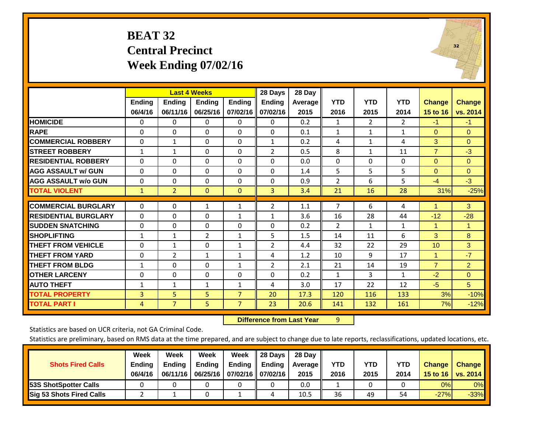### **BEAT 32 Central Precinct Week Ending 07/02/16**



|                             |               |                | <b>Last 4 Weeks</b> |                | 28 Days        | 28 Day  |                |                |                |                |                      |
|-----------------------------|---------------|----------------|---------------------|----------------|----------------|---------|----------------|----------------|----------------|----------------|----------------------|
|                             | <b>Ending</b> | <b>Endina</b>  | <b>Endina</b>       | <b>Endina</b>  | <b>Endina</b>  | Average | <b>YTD</b>     | <b>YTD</b>     | <b>YTD</b>     | Change         | <b>Change</b>        |
|                             | 06/4/16       | 06/11/16       | 06/25/16            | 07/02/16       | 07/02/16       | 2015    | 2016           | 2015           | 2014           | 15 to 16       | vs. 2014             |
| <b>HOMICIDE</b>             | $\mathbf{0}$  | $\Omega$       | 0                   | $\mathbf 0$    | $\Omega$       | 0.2     | 1              | $\overline{2}$ | $\overline{2}$ | $-1$           | $-1$                 |
| <b>RAPE</b>                 | 0             | $\Omega$       | $\Omega$            | $\mathbf{0}$   | $\Omega$       | 0.1     | $\mathbf{1}$   | $\mathbf{1}$   | $\mathbf{1}$   | $\mathbf{0}$   | $\mathbf{0}$         |
| <b>COMMERCIAL ROBBERY</b>   | $\Omega$      | 1              | 0                   | $\mathbf{0}$   | $\mathbf{1}$   | 0.2     | 4              | $\mathbf{1}$   | 4              | 3              | $\Omega$             |
| <b>STREET ROBBERY</b>       | $\mathbf{1}$  | 1              | 0                   | $\mathbf{0}$   | 2              | 0.5     | 8              | $\mathbf{1}$   | 11             | $\overline{7}$ | $-3$                 |
| <b>RESIDENTIAL ROBBERY</b>  | $\Omega$      | $\Omega$       | 0                   | $\Omega$       | $\Omega$       | 0.0     | $\Omega$       | $\Omega$       | $\Omega$       | $\Omega$       | $\Omega$             |
| <b>AGG ASSAULT w/ GUN</b>   | $\Omega$      | 0              | $\Omega$            | $\mathbf{0}$   | $\Omega$       | 1.4     | 5              | 5              | 5              | $\Omega$       | $\mathbf{0}$         |
| <b>AGG ASSAULT w/o GUN</b>  | $\mathbf 0$   | $\Omega$       | $\Omega$            | $\Omega$       | $\Omega$       | 0.9     | $\overline{2}$ | 6              | 5              | $-4$           | $-3$                 |
| <b>TOTAL VIOLENT</b>        | $\mathbf{1}$  | $\overline{2}$ | $\mathbf{0}$        | $\mathbf{0}$   | 3              | 3.4     | 21             | 16             | 28             | 31%            | $-25%$               |
|                             |               |                |                     |                |                |         |                |                |                |                |                      |
| <b>COMMERCIAL BURGLARY</b>  | $\mathbf 0$   | 0              | 1                   | 1              | 2              | 1.1     | $\overline{7}$ | 6              | 4              | 1              | 3                    |
| <b>RESIDENTIAL BURGLARY</b> | $\Omega$      | $\Omega$       | 0                   | 1              | $\mathbf{1}$   | 3.6     | 16             | 28             | 44             | $-12$          | $-28$                |
| <b>SUDDEN SNATCHING</b>     | 0             | $\Omega$       | 0                   | $\mathbf{0}$   | $\Omega$       | 0.2     | 2              | $\mathbf{1}$   | $\mathbf{1}$   | $\mathbf{1}$   | $\blacktriangleleft$ |
| <b>SHOPLIFTING</b>          | $\mathbf{1}$  | 1              | $\overline{2}$      | $\mathbf{1}$   | 5              | 1.5     | 14             | 11             | 6              | 3              | 8                    |
| <b>THEFT FROM VEHICLE</b>   | $\Omega$      | $\mathbf{1}$   | $\Omega$            | $\mathbf{1}$   | $\overline{2}$ | 4.4     | 32             | 22             | 29             | 10             | 3                    |
| <b>THEFT FROM YARD</b>      | $\Omega$      | $\overline{2}$ | $\mathbf{1}$        | $\mathbf{1}$   | 4              | 1.2     | 10             | 9              | 17             | 1              | $-7$                 |
| <b>THEFT FROM BLDG</b>      | 1             | $\Omega$       | $\Omega$            | $\mathbf{1}$   | 2              | 2.1     | 21             | 14             | 19             | $\overline{7}$ | $\overline{2}$       |
| <b>OTHER LARCENY</b>        | $\mathbf 0$   | $\Omega$       | $\Omega$            | $\Omega$       | $\Omega$       | 0.2     | $\mathbf{1}$   | 3              | $\mathbf{1}$   | $-2$           | $\Omega$             |
| <b>AUTO THEFT</b>           | $\mathbf{1}$  | 1              | $\mathbf{1}$        | $\mathbf{1}$   | 4              | 3.0     | 17             | 22             | 12             | $-5$           | 5 <sup>5</sup>       |
| <b>TOTAL PROPERTY</b>       | 3             | 5              | 5                   | $\overline{7}$ | 20             | 17.3    | 120            | 116            | 133            | 3%             | $-10%$               |
| <b>TOTAL PART I</b>         | 4             | $\overline{7}$ | 5                   | $\overline{7}$ | 23             | 20.6    | 141            | 132            | 161            | 7%             | $-12%$               |

 **Difference from Last Year**r 9

Statistics are based on UCR criteria, not GA Criminal Code.

|                                 | Week          | Week          | Week          | Week              | II 28 Davs                | 28 Day  |            |            |      |               |               |
|---------------------------------|---------------|---------------|---------------|-------------------|---------------------------|---------|------------|------------|------|---------------|---------------|
| <b>Shots Fired Calls</b>        | <b>Ending</b> | <b>Endina</b> | <b>Ending</b> |                   | Ending $\parallel$ Ending | Average | <b>YTD</b> | <b>YTD</b> | YTD  | <b>Change</b> | <b>Change</b> |
|                                 | 06/4/16       | 06/11/16      | 06/25/16      | 07/02/16 07/02/16 |                           | 2015    | 2016       | 2015       | 2014 | 15 to 16      | vs. $2014$    |
| <b>153S ShotSpotter Calls</b>   |               |               |               |                   |                           | 0.0     |            |            |      | 0%            | $0\%$         |
| <b>Sig 53 Shots Fired Calls</b> |               |               |               |                   |                           | 10.5    | 36         | 49         | 54   | $-27%$        | $-33%$        |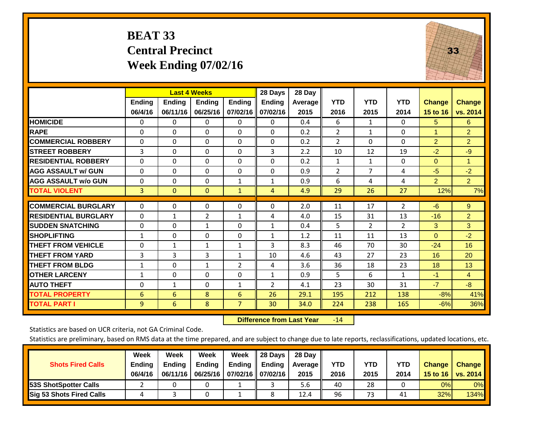# **BEAT 33 Central Precinct Week Ending 07/02/16**



|                             |              |               | <b>Last 4 Weeks</b> |                | 28 Days       | 28 Day  |                |                |                |                |                      |
|-----------------------------|--------------|---------------|---------------------|----------------|---------------|---------|----------------|----------------|----------------|----------------|----------------------|
|                             | Ending       | <b>Ending</b> | Ending              | Ending         | <b>Ending</b> | Average | <b>YTD</b>     | <b>YTD</b>     | <b>YTD</b>     | <b>Change</b>  | <b>Change</b>        |
|                             | 06/4/16      | 06/11/16      | 06/25/16            | 07/02/16       | 07/02/16      | 2015    | 2016           | 2015           | 2014           | 15 to 16       | vs. 2014             |
| <b>HOMICIDE</b>             | $\Omega$     | 0             | 0                   | $\Omega$       | 0             | 0.4     | 6              | $\mathbf{1}$   | 0              | 5              | 6                    |
| <b>RAPE</b>                 | 0            | $\Omega$      | $\Omega$            | $\Omega$       | 0             | 0.2     | $\overline{2}$ | 1              | $\Omega$       | 1              | $\overline{2}$       |
| <b>COMMERCIAL ROBBERY</b>   | $\Omega$     | $\Omega$      | $\Omega$            | $\Omega$       | $\Omega$      | 0.2     | $\overline{2}$ | $\Omega$       | 0              | $\overline{2}$ | $\overline{2}$       |
| <b>STREET ROBBERY</b>       | 3            | $\Omega$      | $\Omega$            | $\Omega$       | 3             | 2.2     | 10             | 12             | 19             | $-2$           | $-9$                 |
| <b>RESIDENTIAL ROBBERY</b>  | $\Omega$     | 0             | $\Omega$            | $\Omega$       | $\Omega$      | 0.2     | $\mathbf{1}$   | $\mathbf{1}$   | 0              | $\Omega$       | $\blacktriangleleft$ |
| <b>AGG ASSAULT w/ GUN</b>   | $\Omega$     | 0             | $\Omega$            | $\Omega$       | 0             | 0.9     | $\overline{2}$ | 7              | 4              | $-5$           | $-2$                 |
| <b>AGG ASSAULT w/o GUN</b>  | $\Omega$     | $\Omega$      | $\Omega$            | 1              | 1             | 0.9     | 6              | 4              | 4              | $\overline{2}$ | 2 <sup>1</sup>       |
| <b>TOTAL VIOLENT</b>        | 3            | $\mathbf{0}$  | $\mathbf{0}$        | $\mathbf{1}$   | 4             | 4.9     | 29             | 26             | 27             | 12%            | 7%                   |
|                             |              |               |                     |                |               |         |                |                |                |                |                      |
| <b>COMMERCIAL BURGLARY</b>  | $\Omega$     | $\Omega$      | 0                   | $\Omega$       | $\Omega$      | 2.0     | 11             | 17             | $\overline{2}$ | $-6$           | $9^{\circ}$          |
| <b>RESIDENTIAL BURGLARY</b> | $\Omega$     | 1             | $\overline{2}$      | $\mathbf{1}$   | 4             | 4.0     | 15             | 31             | 13             | $-16$          | $\overline{2}$       |
| <b>ISUDDEN SNATCHING</b>    | $\Omega$     | 0             | $\mathbf{1}$        | $\Omega$       | $\mathbf{1}$  | 0.4     | 5              | $\overline{2}$ | 2              | 3              | 3                    |
| <b>SHOPLIFTING</b>          | $\mathbf{1}$ | $\Omega$      | $\Omega$            | $\Omega$       | $\mathbf{1}$  | 1.2     | 11             | 11             | 13             | $\Omega$       | $-2$                 |
| <b>THEFT FROM VEHICLE</b>   | 0            | 1             | $\mathbf{1}$        | $\mathbf{1}$   | 3             | 8.3     | 46             | 70             | 30             | $-24$          | 16                   |
| <b>THEFT FROM YARD</b>      | 3            | 3             | 3                   | $\mathbf{1}$   | 10            | 4.6     | 43             | 27             | 23             | 16             | 20                   |
| <b>THEFT FROM BLDG</b>      | $\mathbf{1}$ | 0             | $\mathbf{1}$        | $\overline{2}$ | 4             | 3.6     | 36             | 18             | 23             | 18             | 13                   |
| <b>IOTHER LARCENY</b>       | $\mathbf{1}$ | 0             | $\Omega$            | $\Omega$       | 1             | 0.9     | 5              | 6              | 1              | $-1$           | $\overline{4}$       |
| <b>AUTO THEFT</b>           | $\Omega$     | 1             | $\Omega$            | $\mathbf{1}$   | 2             | 4.1     | 23             | 30             | 31             | $-7$           | $-8$                 |
| <b>TOTAL PROPERTY</b>       | 6            | 6             | 8                   | 6              | 26            | 29.1    | 195            | 212            | 138            | $-8%$          | 41%                  |
| <b>TOTAL PART I</b>         | 9            | 6             | 8                   | 7              | 30            | 34.0    | 224            | 238            | 165            | $-6%$          | 36%                  |

 **Difference from Last Year**r -14

Statistics are based on UCR criteria, not GA Criminal Code.

| <b>Shots Fired Calls</b>        | Week<br><b>Ending</b><br>06/4/16 | Week<br><b>Endina</b><br>06/11/16 | Week<br>Ending | Week<br>Ending<br>06/25/16   07/02/16   07/02/16 | 28 Days<br><b>Ending</b> | 28 Day<br>Average II<br>2015 | YTD<br>2016 | YTD<br>2015 | <b>YTD</b><br>2014 | <b>Change</b><br>15 to 16 | <b>Change</b><br>vs. 2014 |
|---------------------------------|----------------------------------|-----------------------------------|----------------|--------------------------------------------------|--------------------------|------------------------------|-------------|-------------|--------------------|---------------------------|---------------------------|
| <b>153S ShotSpotter Calls</b>   |                                  |                                   |                |                                                  |                          | 5.6                          | 40          | 28          |                    | 0%                        | 0%                        |
| <b>Sig 53 Shots Fired Calls</b> |                                  |                                   |                |                                                  |                          | 12.4                         | 96          | 73          | 41                 | 32%                       | 134%                      |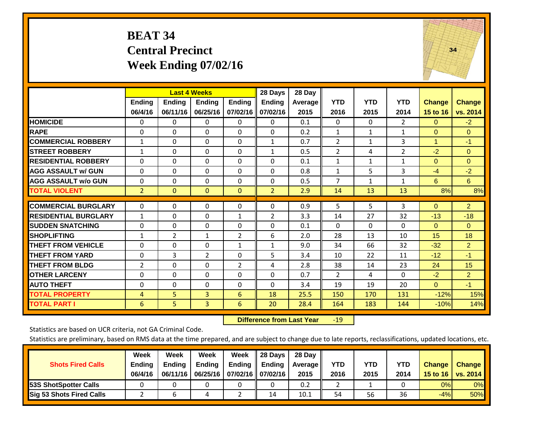### **BEAT 34 Central Precinct Week Ending 07/02/16**



|                             |                | <b>Last 4 Weeks</b> |                |                | 28 Days        | 28 Day  |                |              |              |                |                |
|-----------------------------|----------------|---------------------|----------------|----------------|----------------|---------|----------------|--------------|--------------|----------------|----------------|
|                             | <b>Ending</b>  | <b>Ending</b>       | <b>Ending</b>  | <b>Endina</b>  | <b>Ending</b>  | Average | <b>YTD</b>     | <b>YTD</b>   | <b>YTD</b>   | <b>Change</b>  | <b>Change</b>  |
|                             | 06/4/16        | 06/11/16            | 06/25/16       | 07/02/16       | 07/02/16       | 2015    | 2016           | 2015         | 2014         | 15 to 16       | vs. 2014       |
| <b>HOMICIDE</b>             | $\mathbf{0}$   | 0                   | 0              | 0              | $\Omega$       | 0.1     | $\Omega$       | 0            | 2            | $\Omega$       | $-2$           |
| <b>RAPE</b>                 | 0              | $\Omega$            | 0              | $\Omega$       | 0              | 0.2     | $\mathbf{1}$   | $\mathbf{1}$ | $\mathbf{1}$ | $\Omega$       | $\mathbf{0}$   |
| <b>COMMERCIAL ROBBERY</b>   | $\mathbf{1}$   | $\Omega$            | $\mathbf{0}$   | $\Omega$       | $\mathbf{1}$   | 0.7     | 2              | $\mathbf{1}$ | 3            | $\overline{1}$ | $-1$           |
| <b>ISTREET ROBBERY</b>      | $\mathbf{1}$   | $\Omega$            | $\Omega$       | $\Omega$       | $\mathbf{1}$   | 0.5     | $\overline{2}$ | 4            | 2            | $-2$           | $\Omega$       |
| <b>RESIDENTIAL ROBBERY</b>  | $\Omega$       | $\Omega$            | $\Omega$       | $\Omega$       | $\Omega$       | 0.1     | $\mathbf{1}$   | 1            | 1            | $\Omega$       | $\Omega$       |
| <b>AGG ASSAULT w/ GUN</b>   | $\Omega$       | $\Omega$            | $\Omega$       | $\Omega$       | $\Omega$       | 0.8     | 1              | 5.           | 3            | $-4$           | $-2$           |
| <b>AGG ASSAULT w/o GUN</b>  | 0              | $\Omega$            | $\Omega$       | 0              | 0              | 0.5     | $\overline{7}$ | $\mathbf{1}$ | 1            | 6              | 6              |
| <b>TOTAL VIOLENT</b>        | $\overline{2}$ | $\overline{0}$      | $\mathbf{0}$   | $\Omega$       | $\overline{2}$ | 2.9     | 14             | 13           | 13           | 8%             | 8%             |
| <b>COMMERCIAL BURGLARY</b>  | 0              | $\Omega$            | $\Omega$       | $\Omega$       | 0              | 0.9     | 5              | 5.           | 3            | $\mathbf{0}$   | $\overline{2}$ |
|                             |                |                     |                |                |                |         |                |              |              |                |                |
| <b>RESIDENTIAL BURGLARY</b> | 1              | $\Omega$            | $\Omega$       | $\mathbf{1}$   | $\overline{2}$ | 3.3     | 14             | 27           | 32           | $-13$          | $-18$          |
| <b>ISUDDEN SNATCHING</b>    | $\Omega$       | $\Omega$            | $\Omega$       | $\Omega$       | 0              | 0.1     | $\Omega$       | $\Omega$     | 0            | $\Omega$       | $\Omega$       |
| <b>SHOPLIFTING</b>          | $\mathbf{1}$   | $\overline{2}$      | $\mathbf{1}$   | $\overline{2}$ | 6              | 2.0     | 28             | 13           | 10           | 15             | 18             |
| <b>THEFT FROM VEHICLE</b>   | $\Omega$       | $\Omega$            | $\Omega$       | $\mathbf{1}$   | $\mathbf{1}$   | 9.0     | 34             | 66           | 32           | $-32$          | $\overline{2}$ |
| <b>THEFT FROM YARD</b>      | $\Omega$       | 3                   | $\overline{2}$ | $\Omega$       | 5              | 3.4     | 10             | 22           | 11           | $-12$          | $-1$           |
| <b>THEFT FROM BLDG</b>      | $\overline{2}$ | $\Omega$            | $\Omega$       | $\overline{2}$ | 4              | 2.8     | 38             | 14           | 23           | 24             | 15             |
| <b>OTHER LARCENY</b>        | $\Omega$       | $\Omega$            | $\Omega$       | 0              | 0              | 0.7     | 2              | 4            | 0            | $-2$           | $\overline{2}$ |
| <b>AUTO THEFT</b>           | $\Omega$       | $\Omega$            | $\Omega$       | $\Omega$       | $\Omega$       | 3.4     | 19             | 19           | 20           | $\Omega$       | $-1$           |
| <b>TOTAL PROPERTY</b>       | $\overline{4}$ | 5                   | $\overline{3}$ | 6              | 18             | 25.5    | 150            | 170          | 131          | $-12%$         | 15%            |
| <b>TOTAL PART I</b>         | 6              | 5.                  | $\overline{3}$ | 6              | 20             | 28.4    | 164            | 183          | 144          | $-10%$         | 14%            |

 **Difference from Last Year**r -19

Statistics are based on UCR criteria, not GA Criminal Code.

| <b>Shots Fired Calls</b>        | Week<br><b>Ending</b><br>06/4/16 | Week<br><b>Endina</b><br>06/11/16 | Week<br>Ending | Week<br>Ending<br>06/25/16   07/02/16   07/02/16 | 28 Days<br><b>Ending</b> | 28 Day<br>Average II<br>2015 | YTD<br>2016 | YTD<br>2015 | <b>YTD</b><br>2014 | <b>Change</b><br>15 to 16 | <b>Change</b><br>vs. 2014 |
|---------------------------------|----------------------------------|-----------------------------------|----------------|--------------------------------------------------|--------------------------|------------------------------|-------------|-------------|--------------------|---------------------------|---------------------------|
| <b>153S ShotSpotter Calls</b>   |                                  |                                   |                |                                                  |                          | 0.2                          |             |             |                    | 0%                        | 0%                        |
| <b>Sig 53 Shots Fired Calls</b> |                                  |                                   |                |                                                  | 14                       | 10.1                         | 54          | 56          | 36                 | $-4%$                     | 50%                       |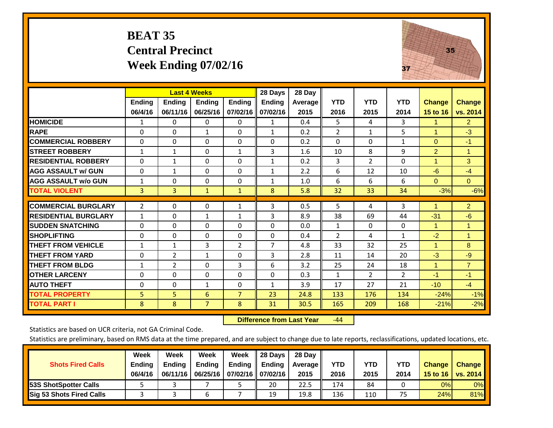### **BEAT 35 Central Precinct Week Ending 07/02/16**



|                             |               | <b>Last 4 Weeks</b> |                |                | 28 Days       | 28 Day  |                |                |              |                      |                |
|-----------------------------|---------------|---------------------|----------------|----------------|---------------|---------|----------------|----------------|--------------|----------------------|----------------|
|                             | <b>Ending</b> | <b>Ending</b>       | <b>Ending</b>  | <b>Ending</b>  | <b>Ending</b> | Average | <b>YTD</b>     | <b>YTD</b>     | <b>YTD</b>   | <b>Change</b>        | <b>Change</b>  |
|                             | 06/4/16       | 06/11/16            | 06/25/16       | 07/02/16       | 07/02/16      | 2015    | 2016           | 2015           | 2014         | 15 to 16             | vs. 2014       |
| <b>HOMICIDE</b>             | 1             | 0                   | $\mathbf{0}$   | $\Omega$       | 1             | 0.4     | 5              | 4              | 3            | 1                    | $\overline{2}$ |
| <b>RAPE</b>                 | $\Omega$      | $\Omega$            | $\mathbf{1}$   | $\mathbf{0}$   | 1             | 0.2     | $\overline{2}$ | $\mathbf{1}$   | 5            | 1                    | $-3$           |
| <b>COMMERCIAL ROBBERY</b>   | $\Omega$      | $\Omega$            | $\Omega$       | $\Omega$       | $\Omega$      | 0.2     | $\Omega$       | $\Omega$       | $\mathbf{1}$ | $\Omega$             | -1             |
| <b>STREET ROBBERY</b>       | $\mathbf{1}$  | $\mathbf{1}$        | $\Omega$       | 1              | 3             | 1.6     | 10             | 8              | 9            | $\overline{2}$       | $\overline{1}$ |
| <b>RESIDENTIAL ROBBERY</b>  | $\Omega$      | 1                   | $\mathbf{0}$   | $\mathbf{0}$   | $\mathbf{1}$  | 0.2     | 3              | $\overline{2}$ | $\Omega$     | $\overline{1}$       | 3              |
| <b>AGG ASSAULT w/ GUN</b>   | $\Omega$      | $\mathbf{1}$        | $\Omega$       | $\Omega$       | $\mathbf{1}$  | 2.2     | 6              | 12             | 10           | $-6$                 | $-4$           |
| <b>AGG ASSAULT w/o GUN</b>  | 1             | 0                   | $\mathbf{0}$   | $\mathbf{0}$   | $\mathbf{1}$  | 1.0     | 6              | 6              | 6            | $\Omega$             | $\mathbf{0}$   |
| <b>TOTAL VIOLENT</b>        | 3             | 3                   | $\mathbf{1}$   | $\mathbf{1}$   | 8             | 5.8     | 32             | 33             | 34           | $-3%$                | $-6%$          |
| <b>COMMERCIAL BURGLARY</b>  | 2             | 0                   | 0              | 1              | 3             | 0.5     | 5              | 4              | 3            | 1                    | $\overline{2}$ |
| <b>RESIDENTIAL BURGLARY</b> | 1             | 0                   | $\mathbf{1}$   | 1              | 3             | 8.9     | 38             | 69             | 44           | $-31$                | $-6$           |
| <b>ISUDDEN SNATCHING</b>    | $\Omega$      | 0                   | $\mathbf{0}$   | $\mathbf{0}$   | $\Omega$      | 0.0     | $\mathbf{1}$   | 0              | 0            | $\blacktriangleleft$ | 1              |
| <b>SHOPLIFTING</b>          | 0             | $\Omega$            | $\Omega$       | $\Omega$       | $\Omega$      | 0.4     | $\overline{2}$ | 4              | $\mathbf{1}$ | $-2$                 | $\overline{1}$ |
| <b>THEFT FROM VEHICLE</b>   | $\mathbf{1}$  | $\mathbf{1}$        | 3              | $\overline{2}$ | 7             | 4.8     | 33             | 32             | 25           | $\blacktriangleleft$ | 8              |
| <b>THEFT FROM YARD</b>      | $\Omega$      | $\overline{2}$      | $\mathbf{1}$   | $\Omega$       | 3             | 2.8     | 11             | 14             | 20           | $-3$                 | $-9$           |
| <b>THEFT FROM BLDG</b>      | $\mathbf{1}$  | 2                   | $\mathbf{0}$   | 3              | 6             | 3.2     | 25             | 24             | 18           | 1                    | $\overline{7}$ |
| <b>OTHER LARCENY</b>        | 0             | 0                   | $\Omega$       | $\mathbf{0}$   | 0             | 0.3     | $\mathbf{1}$   | $\overline{2}$ | 2            | -1                   | $-1$           |
| <b>AUTO THEFT</b>           | 0             | $\Omega$            | $\mathbf{1}$   | 0              | $\mathbf{1}$  | 3.9     | 17             | 27             | 21           | $-10$                | $-4$           |
| <b>TOTAL PROPERTY</b>       | 5             | 5                   | 6              | 7              | 23            | 24.8    | 133            | 176            | 134          | $-24%$               | $-1%$          |
| <b>TOTAL PART I</b>         | 8             | 8                   | $\overline{7}$ | 8              | 31            | 30.5    | 165            | 209            | 168          | $-21%$               | $-2%$          |

 **Difference from Last Year**r -44

Statistics are based on UCR criteria, not GA Criminal Code.

|                                 | Week          | Week          | Week     | Week              | 28 Days       | 28 Day            |      |      |            |               |                 |
|---------------------------------|---------------|---------------|----------|-------------------|---------------|-------------------|------|------|------------|---------------|-----------------|
| <b>Shots Fired Calls</b>        | <b>Ending</b> | <b>Endina</b> | Ending   | Ending            | <b>Ending</b> | <b>Average</b> II | YTD  | YTD  | <b>YTD</b> | <b>Change</b> | <b>Change</b>   |
|                                 | 06/4/16       | 06/11/16      | 06/25/16 | 07/02/16 07/02/16 |               | 2015              | 2016 | 2015 | 2014       | 15 to 16      | <b>VS. 2014</b> |
| <b>153S ShotSpotter Calls</b>   |               |               |          |                   | 20            | 22.5              | 174  | 84   |            | 0%            | 0%              |
| <b>Sig 53 Shots Fired Calls</b> |               |               | b        |                   | 19            | 19.8              | 136  | 110  | 75         | 24%           | 81%             |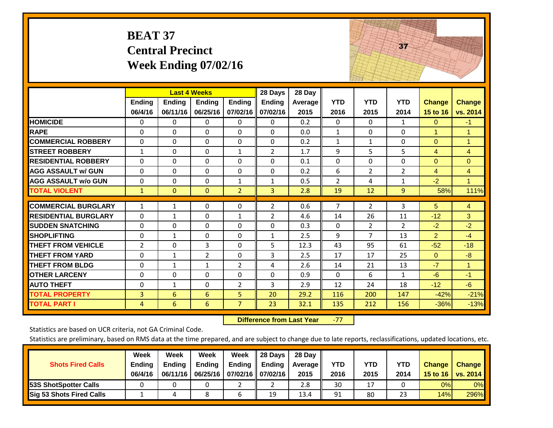|                             | <b>BEAT 37</b>           | <b>Central Precinct</b>   | <b>Week Ending 07/02/16</b>               |                           |                                      |                           |                    |                    | 37                 |                           |                           |
|-----------------------------|--------------------------|---------------------------|-------------------------------------------|---------------------------|--------------------------------------|---------------------------|--------------------|--------------------|--------------------|---------------------------|---------------------------|
|                             | <b>Ending</b><br>06/4/16 | <b>Ending</b><br>06/11/16 | <b>Last 4 Weeks</b><br>Ending<br>06/25/16 | <b>Ending</b><br>07/02/16 | 28 Days<br><b>Ending</b><br>07/02/16 | 28 Day<br>Average<br>2015 | <b>YTD</b><br>2016 | <b>YTD</b><br>2015 | <b>YTD</b><br>2014 | <b>Change</b><br>15 to 16 | <b>Change</b><br>vs. 2014 |
| <b>HOMICIDE</b>             | 0                        | 0                         | $\Omega$                                  | 0                         | $\Omega$                             | 0.2                       | $\Omega$           | $\Omega$           | $\mathbf{1}$       | $\mathbf{0}$              | $-1$                      |
| <b>RAPE</b>                 | $\Omega$                 | 0                         | $\overline{0}$                            | $\Omega$                  | $\Omega$                             | 0.0                       | $\mathbf{1}$       | $\Omega$           | $\Omega$           | $\mathbf{1}$              | $\mathbf{1}$              |
| <b>COMMERCIAL ROBBERY</b>   | $\Omega$                 | $\Omega$                  | $\Omega$                                  | $\Omega$                  | $\Omega$                             | 0.2                       | $\mathbf{1}$       | $\mathbf{1}$       | $\Omega$           | $\Omega$                  | 1                         |
| <b>STREET ROBBERY</b>       | $\mathbf{1}$             | $\Omega$                  | $\Omega$                                  | $\mathbf{1}$              | $\overline{2}$                       | 1.7                       | 9                  | 5                  | 5                  | 4                         | $\overline{4}$            |
| <b>RESIDENTIAL ROBBERY</b>  | $\Omega$                 | 0                         | $\overline{0}$                            | $\Omega$                  | $\Omega$                             | 0.1                       | $\mathbf{0}$       | 0                  | $\Omega$           | $\mathbf{0}$              | $\Omega$                  |
| <b>AGG ASSAULT w/ GUN</b>   | $\Omega$                 | $\Omega$                  | $\Omega$                                  | $\Omega$                  | $\Omega$                             | 0.2                       | 6                  | $\overline{2}$     | $\overline{2}$     | $\overline{4}$            | $\overline{4}$            |
| <b>AGG ASSAULT w/o GUN</b>  | $\Omega$                 | 0                         | $\Omega$                                  | $\mathbf{1}$              | $\mathbf{1}$                         | 0.5                       | $\overline{2}$     | 4                  | $\mathbf{1}$       | $-2$                      | $\mathbf{1}$              |
| <b>TOTAL VIOLENT</b>        | $\mathbf{1}$             | $\mathbf{0}$              | $\overline{0}$                            | $\overline{2}$            | $\overline{3}$                       | 2.8                       | 19                 | 12                 | 9                  | 58%                       | 111%                      |
| <b>COMMERCIAL BURGLARY</b>  | $\mathbf{1}$             | $\mathbf{1}$              | $\mathbf{0}$                              | $\Omega$                  | $\overline{2}$                       | 0.6                       | 7                  | $\overline{2}$     | 3                  | 5                         | $\overline{4}$            |
| <b>RESIDENTIAL BURGLARY</b> | $\Omega$                 | $\mathbf{1}$              | $\Omega$                                  | $\mathbf{1}$              | $\overline{2}$                       | 4.6                       | 14                 | 26                 | 11                 | $-12$                     | 3                         |
| <b>SUDDEN SNATCHING</b>     | $\Omega$                 | $\Omega$                  | $\Omega$                                  | 0                         | $\Omega$                             | 0.3                       | $\Omega$           | $\overline{2}$     | $\overline{2}$     | $-2$                      | $-2$                      |
| <b>SHOPLIFTING</b>          | 0                        | $\mathbf{1}$              | $\mathbf{0}$                              | $\Omega$                  | $\mathbf{1}$                         | 2.5                       | 9                  | $\overline{7}$     | 13                 | $\overline{2}$            | $-4$                      |
| <b>THEFT FROM VEHICLE</b>   | 2                        | $\Omega$                  | 3                                         | 0                         | 5                                    | 12.3                      | 43                 | 95                 | 61                 | $-52$                     | $-18$                     |
| <b>THEFT FROM YARD</b>      | 0                        | $\mathbf{1}$              | $\overline{2}$                            | 0                         | 3                                    | 2.5                       | 17                 | 17                 | 25                 | $\Omega$                  | $-8$                      |
| <b>THEFT FROM BLDG</b>      | $\Omega$                 | $\mathbf{1}$              | $\mathbf{1}$                              | $\overline{2}$            | 4                                    | 2.6                       | 14                 | 21                 | 13                 | $-7$                      | $\mathbf{1}$              |
| <b>OTHER LARCENY</b>        | $\Omega$                 | $\Omega$                  | $\Omega$                                  | $\Omega$                  | $\Omega$                             | 0.9                       | $\mathbf{0}$       | 6                  | $\mathbf{1}$       | $-6$                      | $-1$                      |
| <b>AUTO THEFT</b>           | 0                        | $\mathbf 1$               | $\Omega$                                  | $\overline{2}$            | 3                                    | 2.9                       | 12                 | 24                 | 18                 | $-12$                     | $-6$                      |
| <b>TOTAL PROPERTY</b>       | 3                        | 6                         | 6                                         | 5                         | 20                                   | 29.2                      | 116                | 200                | 147                | $-42%$                    | $-21%$                    |
| <b>TOTAL PART I</b>         | 4                        | 6                         | 6                                         | $\overline{7}$            | 23                                   | 32.1                      | 135                | 212                | 156                | $-36%$                    | $-13%$                    |

 **Difference from Last Year**‐77 The state of the state of the state

Statistics are based on UCR criteria, not GA Criminal Code.

| <b>Shots Fired Calls</b>        | Week<br><b>Ending</b><br>06/4/16 | Week<br><b>Endina</b><br>06/11/16 | Week<br>Ending | Week<br>Ending<br>06/25/16   07/02/16   07/02/16 | 28 Days<br><b>Ending</b> | 28 Day<br>Average II<br>2015 | YTD<br>2016 | YTD<br>2015 | <b>YTD</b><br>2014 | <b>Change</b><br>15 to 16 | <b>Change</b><br>vs. 2014 |
|---------------------------------|----------------------------------|-----------------------------------|----------------|--------------------------------------------------|--------------------------|------------------------------|-------------|-------------|--------------------|---------------------------|---------------------------|
| <b>153S ShotSpotter Calls</b>   |                                  |                                   |                |                                                  |                          | 2.8                          | 30          | 17          |                    | 0%                        | 0%                        |
| <b>Sig 53 Shots Fired Calls</b> |                                  |                                   |                |                                                  | 19                       | 13.4                         | 91          | 80          | 23                 | 14%                       | 296%                      |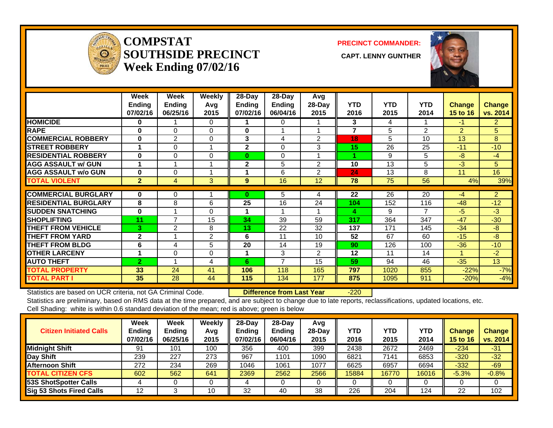

### **COMPSTATSOUTHSIDE PRECINCT** CAPT. LENNY GUNTHER **Week Ending 07/02/16**

**PRECINCT COMMANDER:**



|                             | Week<br><b>Ending</b><br>07/02/16 | Week<br><b>Ending</b><br>06/25/16 | <b>Weekly</b><br>Avq<br>2015 | $28$ -Day<br>Ending<br>07/02/16 | $28 - Day$<br>Ending<br>06/04/16 | Avg<br>28-Day<br>2015 | <b>YTD</b><br>2016 | <b>YTD</b><br>2015 | <b>YTD</b><br>2014 | <b>Change</b><br><b>15 to 16</b> | <b>Change</b><br>vs. 2014 |
|-----------------------------|-----------------------------------|-----------------------------------|------------------------------|---------------------------------|----------------------------------|-----------------------|--------------------|--------------------|--------------------|----------------------------------|---------------------------|
| <b>HOMICIDE</b>             | 0                                 |                                   | $\Omega$                     |                                 | 0                                |                       | 3                  | 4                  |                    | $-1$                             | $\overline{2}$            |
| <b>RAPE</b>                 | $\bf{0}$                          | $\Omega$                          | $\Omega$                     | 0                               | 1                                |                       | 7                  | 5                  | 2                  | $\overline{2}$                   | 5                         |
| <b>COMMERCIAL ROBBERY</b>   | 0                                 | $\overline{2}$                    | $\Omega$                     | 3                               | 4                                | 2                     | 18                 | 5                  | 10                 | 13                               | 8                         |
| <b>ISTREET ROBBERY</b>      | 1                                 | 0                                 |                              | $\mathbf{2}$                    | 0                                | 3                     | 15                 | 26                 | 25                 | $-11$                            | $-10$                     |
| <b>RESIDENTIAL ROBBERY</b>  | 0                                 | $\Omega$                          | 0                            | $\bf{0}$                        | 0                                |                       |                    | 9                  | 5                  | -8                               | $-4$                      |
| <b>AGG ASSAULT w/ GUN</b>   | 1                                 |                                   |                              | $\mathbf{2}$                    | 5                                | $\mathfrak{p}$        | 10                 | 13                 | 5                  | $-3$                             | 5 <sup>5</sup>            |
| <b>AGG ASSAULT w/o GUN</b>  | 0                                 | 0                                 |                              | 1                               | 6                                | 2                     | 24                 | 13                 | 8                  | 11                               | 16                        |
| <b>TOTAL VIOLENT</b>        | $\overline{2}$                    | 4                                 | 3                            | 9                               | 16                               | 12                    | 78                 | 75                 | 56                 | 4%                               | 39%                       |
|                             |                                   |                                   |                              |                                 |                                  |                       |                    |                    |                    |                                  |                           |
| <b>COMMERCIAL BURGLARY</b>  | 0                                 | 0                                 |                              | 0                               | 5                                | 4                     | 22                 | 26                 | 20                 | $-4$                             | $\overline{2}$            |
| <b>RESIDENTIAL BURGLARY</b> | 8                                 | 8                                 | 6                            | 25                              | 16                               | 24                    | 104                | 152                | 116                | $-48$                            | $-12$                     |
| <b>ISUDDEN SNATCHING</b>    | 0                                 |                                   | 0                            |                                 | 1                                |                       | 4                  | 9                  | $\overline{7}$     | $-5$                             | $-3$                      |
| <b>SHOPLIFTING</b>          | 11                                | $\overline{7}$                    | 15                           | 34                              | 39                               | 59                    | 317                | 364                | 347                | $-47$                            | $-30$                     |
| <b>THEFT FROM VEHICLE</b>   | 3                                 | 2                                 | 8                            | 13                              | 22                               | 32                    | 137                | 171                | 145                | $-34$                            | -8                        |
| <b>THEFT FROM YARD</b>      | $\mathbf{2}$                      |                                   | $\overline{2}$               | 6                               | 11                               | 10                    | 52                 | 67                 | 60                 | $-15$                            | $-8$                      |
| <b>THEFT FROM BLDG</b>      | 6                                 | 4                                 | 5                            | 20                              | 14                               | 19                    | 90                 | 126                | 100                | $-36$                            | $-10$                     |
| <b>OTHER LARCENY</b>        |                                   | 0                                 | 0                            | 1                               | 3                                | 2                     | 12                 | 11                 | 14                 |                                  | $-2$                      |
| <b>AUTO THEFT</b>           | $\overline{2}$                    |                                   | 4                            | 6                               | 7                                | 15                    | 59                 | 94                 | 46                 | $-35$                            | 13                        |
| <b>TOTAL PROPERTY</b>       | 33                                | 24                                | 41                           | 106                             | 118                              | 165                   | 797                | 1020               | 855                | $-22%$                           | $-7%$                     |
| <b>TOTAL PART I</b>         | 35                                | 28                                | 44                           | 115                             | 134                              | 177                   | 875                | 1095               | 911                | $-20%$                           | $-4%$                     |

Statistics are based on UCR criteria, not GA Criminal Code. **Difference from Last Year** -220 Statistics are preliminary, based on RMS data at the time prepared, and are subject to change due to late reports, reclassifications, updated locations, etc.

Cell Shading: white is within 0.6 standard deviation of the mean; red is above; green is below

| <b>Citizen Initiated Calls</b>  | <b>Week</b><br>Ending<br>07/02/16 | <b>Week</b><br><b>Ending</b><br>06/25/16 | Weekly<br>Avg<br>2015 | $28 - Day$<br><b>Endina</b><br>07/02/16 | 28-Dav<br><b>Ending</b><br>06/04/16 | Avg<br>$28-Day$<br>2015 | YTD<br>2016 | YTD<br>2015 | YTD<br>2014 | <b>Change</b><br>15 to 16 | <b>Change</b><br>vs. 2014 |
|---------------------------------|-----------------------------------|------------------------------------------|-----------------------|-----------------------------------------|-------------------------------------|-------------------------|-------------|-------------|-------------|---------------------------|---------------------------|
| <b>Midnight Shift</b>           | -91                               | 101                                      | 100                   | 356                                     | 400                                 | 399                     | 2438        | 2672        | 2469        | $-234$                    | $-31$                     |
| Day Shift                       | 239                               | 227                                      | 273                   | 967                                     | 1101                                | 1090                    | 6821        | 7141        | 6853        | $-320$                    | $-32$                     |
| <b>Afternoon Shift</b>          | 272                               | 234                                      | 269                   | 1046                                    | 1061                                | 1077                    | 6625        | 6957        | 6694        | $-332$                    | $-69$                     |
| <b>TOTAL CITIZEN CFS</b>        | 602                               | 562                                      | 641                   | 2369                                    | 2562                                | 2566                    | 15884       | 16770       | 16016       | $-5.3%$                   | $-0.8%$                   |
| <b>53S ShotSpotter Calls</b>    |                                   |                                          |                       |                                         |                                     |                         |             |             |             |                           |                           |
| <b>Sig 53 Shots Fired Calls</b> | 12                                |                                          | 10                    | 32                                      | 40                                  | 38                      | 226         | 204         | 124         | 22                        | 102                       |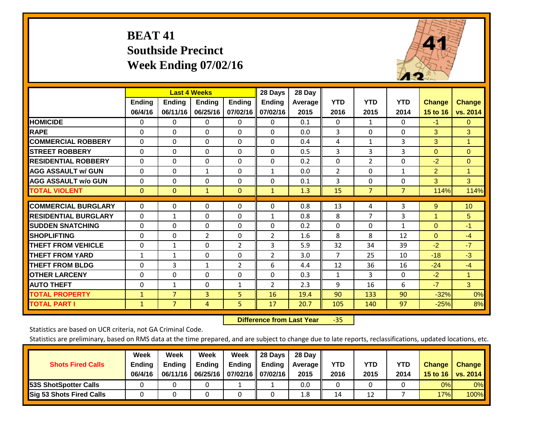# **BEAT 41 Southside Precinct Week Ending 07/02/16**



|                             |               | <b>Last 4 Weeks</b> |                |               | 28 Days        | 28 Day  |                |                |                |                |                      |
|-----------------------------|---------------|---------------------|----------------|---------------|----------------|---------|----------------|----------------|----------------|----------------|----------------------|
|                             | <b>Ending</b> | <b>Ending</b>       | Ending         | <b>Ending</b> | <b>Ending</b>  | Average | <b>YTD</b>     | <b>YTD</b>     | <b>YTD</b>     | <b>Change</b>  | <b>Change</b>        |
|                             | 06/4/16       | 06/11/16            | 06/25/16       | 07/02/16      | 07/02/16       | 2015    | 2016           | 2015           | 2014           | 15 to 16       | vs. 2014             |
| <b>HOMICIDE</b>             | 0             | 0                   | $\mathbf{0}$   | 0             | $\mathbf{0}$   | 0.1     | $\Omega$       | 1              | 0              | $-1$           | $\mathbf{0}$         |
| <b>RAPE</b>                 | 0             | $\Omega$            | $\Omega$       | $\mathbf{0}$  | $\Omega$       | 0.0     | 3              | $\Omega$       | 0              | 3              | 3                    |
| <b>COMMERCIAL ROBBERY</b>   | $\Omega$      | 0                   | $\Omega$       | $\Omega$      | $\Omega$       | 0.4     | 4              | 1              | 3              | 3              | $\blacktriangleleft$ |
| <b>STREET ROBBERY</b>       | 0             | $\Omega$            | $\Omega$       | 0             | $\Omega$       | 0.5     | 3              | 3              | 3              | $\mathbf{0}$   | $\mathbf{0}$         |
| <b>IRESIDENTIAL ROBBERY</b> | $\Omega$      | 0                   | $\mathbf{0}$   | $\Omega$      | $\Omega$       | 0.2     | $\Omega$       | $\overline{2}$ | 0              | $-2$           | $\Omega$             |
| <b>AGG ASSAULT w/ GUN</b>   | $\Omega$      | 0                   | $\mathbf{1}$   | $\mathbf{0}$  | $\mathbf{1}$   | 0.0     | 2              | $\Omega$       | $\mathbf{1}$   | 2              | $\blacktriangleleft$ |
| <b>AGG ASSAULT w/o GUN</b>  | 0             | 0                   | $\mathbf{0}$   | $\Omega$      | $\Omega$       | 0.1     | 3              | $\mathbf{0}$   | 0              | 3              | 3                    |
| <b>TOTAL VIOLENT</b>        | $\mathbf{0}$  | $\mathbf{0}$        | $\mathbf{1}$   | $\mathbf{0}$  | $\mathbf{1}$   | 1.3     | 15             | $\overline{7}$ | $\overline{7}$ | 114%           | 114%                 |
| <b>COMMERCIAL BURGLARY</b>  |               |                     |                |               |                |         |                |                |                |                |                      |
|                             | $\Omega$      | 0                   | $\Omega$       | 0             | $\Omega$       | 0.8     | 13             | 4              | 3              | 9              | 10                   |
| <b>RESIDENTIAL BURGLARY</b> | 0             | 1                   | $\mathbf{0}$   | $\mathbf{0}$  | $\mathbf{1}$   | 0.8     | 8              | 7              | 3              | $\overline{1}$ | 5                    |
| <b>SUDDEN SNATCHING</b>     | 0             | 0                   | $\mathbf{0}$   | $\mathbf{0}$  | $\Omega$       | 0.2     | $\Omega$       | $\Omega$       | $\mathbf{1}$   | $\Omega$       | $-1$                 |
| <b>SHOPLIFTING</b>          | 0             | 0                   | $\overline{2}$ | 0             | $\overline{2}$ | 1.6     | 8              | 8              | 12             | $\Omega$       | $-4$                 |
| <b>THEFT FROM VEHICLE</b>   | $\Omega$      | $\mathbf{1}$        | $\Omega$       | 2             | 3              | 5.9     | 32             | 34             | 39             | $-2$           | $-7$                 |
| <b>THEFT FROM YARD</b>      | $\mathbf{1}$  | $\mathbf{1}$        | $\Omega$       | $\Omega$      | 2              | 3.0     | $\overline{7}$ | 25             | 10             | $-18$          | $-3$                 |
| <b>THEFT FROM BLDG</b>      | 0             | 3                   | $\mathbf{1}$   | 2             | 6              | 4.4     | 12             | 36             | 16             | $-24$          | $-4$                 |
| <b>OTHER LARCENY</b>        | 0             | 0                   | $\Omega$       | $\Omega$      | $\Omega$       | 0.3     | $\mathbf{1}$   | 3              | 0              | $-2$           | $\blacktriangleleft$ |
| <b>AUTO THEFT</b>           | $\Omega$      | $\mathbf{1}$        | $\Omega$       | 1             | 2              | 2.3     | 9              | 16             | 6              | $-7$           | 3 <sup>1</sup>       |
| <b>TOTAL PROPERTY</b>       | 1             | $\overline{7}$      | 3              | 5             | 16             | 19.4    | 90             | 133            | 90             | $-32%$         | 0%                   |
| <b>TOTAL PART I</b>         | $\mathbf{1}$  | $\overline{7}$      | 4              | 5             | 17             | 20.7    | 105            | 140            | 97             | $-25%$         | 8%                   |

 **Difference from Last Year**‐35

Statistics are based on UCR criteria, not GA Criminal Code.

| <b>Shots Fired Calls</b>        | Week<br><b>Ending</b><br>06/4/16 | Week<br><b>Endina</b><br>06/11/16 | <b>Week</b><br>Ending | Week<br>Ending<br>06/25/16   07/02/16   07/02/16 | 28 Days<br><b>Ending</b> | 28 Day<br>Average II<br>2015 | YTD<br>2016 | YTD<br>2015 | <b>YTD</b><br>2014 | <b>Change</b><br>15 to 16 $\vert$ | <b>Change</b><br>vs. 2014 |
|---------------------------------|----------------------------------|-----------------------------------|-----------------------|--------------------------------------------------|--------------------------|------------------------------|-------------|-------------|--------------------|-----------------------------------|---------------------------|
| 53S ShotSpotter Calls           |                                  |                                   |                       |                                                  |                          | 0.0                          |             |             |                    | 0%                                | 0%                        |
| <b>Sig 53 Shots Fired Calls</b> |                                  |                                   |                       |                                                  |                          | 1.8                          | 14          | 12          |                    | 17%                               | 100%                      |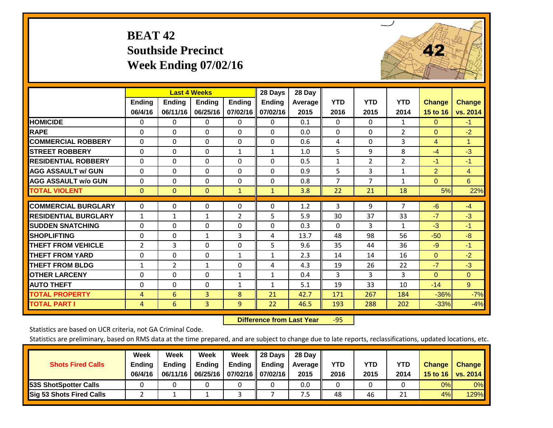# **BEAT 42 Southside Precinct Week Ending 07/02/16**



|                             |                | <b>Last 4 Weeks</b> |                |                | 28 Days       | 28 Day  |              |            |                |                |                |
|-----------------------------|----------------|---------------------|----------------|----------------|---------------|---------|--------------|------------|----------------|----------------|----------------|
|                             | <b>Ending</b>  | <b>Ending</b>       | <b>Endina</b>  | <b>Endina</b>  | <b>Ending</b> | Average | <b>YTD</b>   | <b>YTD</b> | <b>YTD</b>     | <b>Change</b>  | <b>Change</b>  |
|                             | 06/4/16        | 06/11/16            | 06/25/16       | 07/02/16       | 07/02/16      | 2015    | 2016         | 2015       | 2014           | 15 to 16       | vs. 2014       |
| <b>HOMICIDE</b>             | 0              | $\Omega$            | 0              | 0              | $\Omega$      | 0.1     | $\Omega$     | $\Omega$   | 1              | $\mathbf{0}$   | $-1$           |
| <b>RAPE</b>                 | $\Omega$       | 0                   | $\Omega$       | $\Omega$       | 0             | 0.0     | $\Omega$     | $\Omega$   | $\overline{2}$ | $\Omega$       | $-2$           |
| <b>COMMERCIAL ROBBERY</b>   | $\Omega$       | $\Omega$            | $\Omega$       | 0              | 0             | 0.6     | 4            | 0          | 3              | 4              | $\mathbf{1}$   |
| <b>STREET ROBBERY</b>       | 0              | $\Omega$            | $\Omega$       | $\mathbf{1}$   | $\mathbf{1}$  | 1.0     | 5            | 9          | 8              | $-4$           | $-3$           |
| <b>RESIDENTIAL ROBBERY</b>  | $\Omega$       | $\Omega$            | $\Omega$       | 0              | $\Omega$      | 0.5     | $\mathbf{1}$ | 2          | $\overline{2}$ | $-1$           | $-1$           |
| <b>AGG ASSAULT w/ GUN</b>   | $\Omega$       | $\Omega$            | $\Omega$       | $\Omega$       | 0             | 0.9     | 5            | 3          | 1              | $\overline{2}$ | $\overline{4}$ |
| <b>AGG ASSAULT w/o GUN</b>  | $\Omega$       | $\Omega$            | $\Omega$       | 0              | 0             | 0.8     | 7            | 7          | $\mathbf{1}$   | $\Omega$       | 6              |
| <b>TOTAL VIOLENT</b>        | $\mathbf{0}$   | $\mathbf{0}$        | $\mathbf{0}$   | $\mathbf{1}$   | $\mathbf{1}$  | 3.8     | 22           | 21         | 18             | 5%             | 22%            |
| <b>COMMERCIAL BURGLARY</b>  | 0              | 0                   | 0              | 0              | 0             | 1.2     | 3            | 9          | $\overline{7}$ | $-6$           | $-4$           |
|                             |                |                     |                |                |               |         |              |            |                |                |                |
| <b>RESIDENTIAL BURGLARY</b> | $\mathbf{1}$   | $\mathbf{1}$        | $\mathbf{1}$   | $\overline{2}$ | 5             | 5.9     | 30           | 37         | 33             | $-7$           | $-3$           |
| <b>ISUDDEN SNATCHING</b>    | $\Omega$       | $\Omega$            | $\Omega$       | $\Omega$       | 0             | 0.3     | $\Omega$     | 3          | $\mathbf{1}$   | $-3$           | $-1$           |
| <b>SHOPLIFTING</b>          | $\Omega$       | $\Omega$            | $\mathbf{1}$   | 3              | 4             | 13.7    | 48           | 98         | 56             | $-50$          | $-8$           |
| <b>THEFT FROM VEHICLE</b>   | $\overline{2}$ | 3                   | $\Omega$       | 0              | 5             | 9.6     | 35           | 44         | 36             | $-9$           | $-1$           |
| <b>THEFT FROM YARD</b>      | $\mathbf 0$    | $\Omega$            | $\Omega$       | $\mathbf{1}$   | $\mathbf{1}$  | 2.3     | 14           | 14         | 16             | $\mathbf{0}$   | $-2$           |
| <b>THEFT FROM BLDG</b>      | $\mathbf{1}$   | 2                   | 1              | $\Omega$       | 4             | 4.3     | 19           | 26         | 22             | $-7$           | $-3$           |
| <b>OTHER LARCENY</b>        | $\Omega$       | $\Omega$            | $\Omega$       | $\mathbf{1}$   | $\mathbf{1}$  | 0.4     | 3            | 3          | 3              | $\Omega$       | $\Omega$       |
| <b>AUTO THEFT</b>           | $\mathbf 0$    | $\Omega$            | $\Omega$       | $\mathbf{1}$   | $\mathbf{1}$  | 5.1     | 19           | 33         | 10             | $-14$          | 9 <sup>°</sup> |
| <b>TOTAL PROPERTY</b>       | 4              | 6                   | 3              | 8              | 21            | 42.7    | 171          | 267        | 184            | $-36%$         | $-7%$          |
| <b>TOTAL PART I</b>         | 4              | 6                   | $\overline{3}$ | 9              | 22            | 46.5    | 193          | 288        | 202            | $-33%$         | $-4%$          |

 **Difference from Last Year**r -95

Statistics are based on UCR criteria, not GA Criminal Code.

| <b>Shots Fired Calls</b>        | Week<br><b>Ending</b><br>06/4/16 | Week<br><b>Endina</b><br>06/11/16 | Week<br>Ending | Week<br>Ending<br>06/25/16   07/02/16   07/02/16 | 28 Days<br><b>Ending</b> | 28 Day<br>Average II<br>2015 | YTD<br>2016 | YTD<br>2015 | <b>YTD</b><br>2014 | <b>Change</b><br>15 to $16$ | <b>Change</b><br>vs. 2014 |
|---------------------------------|----------------------------------|-----------------------------------|----------------|--------------------------------------------------|--------------------------|------------------------------|-------------|-------------|--------------------|-----------------------------|---------------------------|
| <b>153S ShotSpotter Calls</b>   |                                  |                                   |                |                                                  |                          | 0.0                          |             |             |                    | 0%                          | 0%                        |
| <b>Sig 53 Shots Fired Calls</b> |                                  |                                   |                |                                                  |                          | ט.                           | 48          | 46          | ำ 1<br>ᅀᅩ          | 4%                          | 129%                      |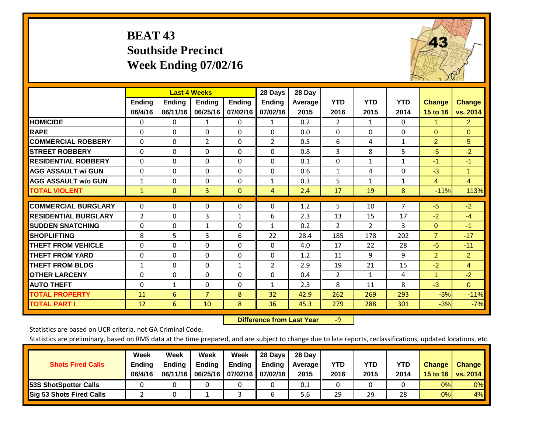# **BEAT 43 Southside Precinct Week Ending 07/02/16**



|                             |               | <b>Last 4 Weeks</b> |                |               | 28 Days        | 28 Day  |                |                |              |                |                |
|-----------------------------|---------------|---------------------|----------------|---------------|----------------|---------|----------------|----------------|--------------|----------------|----------------|
|                             | <b>Ending</b> | <b>Ending</b>       | Ending         | <b>Endina</b> | <b>Ending</b>  | Average | <b>YTD</b>     | <b>YTD</b>     | <b>YTD</b>   | Change         | <b>Change</b>  |
|                             | 06/4/16       | 06/11/16            | 06/25/16       | 07/02/16      | 07/02/16       | 2015    | 2016           | 2015           | 2014         | 15 to 16       | vs. 2014       |
| <b>HOMICIDE</b>             | 0             | $\mathbf{0}$        | 1              | 0             | $\mathbf{1}$   | 0.2     | 2              | $\mathbf{1}$   | 0            | $\mathbf{1}$   | $\overline{2}$ |
| <b>RAPE</b>                 | 0             | $\Omega$            | $\Omega$       | $\mathbf{0}$  | $\Omega$       | 0.0     | $\Omega$       | $\Omega$       | 0            | $\Omega$       | $\Omega$       |
| <b>COMMERCIAL ROBBERY</b>   | $\Omega$      | $\Omega$            | $\overline{2}$ | $\Omega$      | $\overline{2}$ | 0.5     | 6              | 4              | $\mathbf{1}$ | $\overline{2}$ | 5              |
| <b>STREET ROBBERY</b>       | 0             | $\Omega$            | $\Omega$       | 0             | $\Omega$       | 0.8     | 3              | 8              | 5            | $-5$           | $-2$           |
| <b>RESIDENTIAL ROBBERY</b>  | $\Omega$      | $\Omega$            | $\Omega$       | $\Omega$      | $\Omega$       | 0.1     | $\Omega$       | $\mathbf{1}$   | $\mathbf{1}$ | $-1$           | $-1$           |
| <b>AGG ASSAULT w/ GUN</b>   | $\Omega$      | $\Omega$            | $\Omega$       | $\Omega$      | $\Omega$       | 0.6     | $\mathbf{1}$   | 4              | 0            | $-3$           | 1              |
| <b>AGG ASSAULT w/o GUN</b>  | 1             | 0                   | $\Omega$       | $\Omega$      | 1              | 0.3     | 5              | $\mathbf{1}$   | $\mathbf{1}$ | 4              | 4              |
| <b>TOTAL VIOLENT</b>        | $\mathbf{1}$  | $\mathbf{0}$        | 3              | $\mathbf{0}$  | $\overline{4}$ | 2.4     | 17             | 19             | 8            | $-11%$         | 113%           |
| <b>COMMERCIAL BURGLARY</b>  | $\Omega$      |                     |                |               | $\Omega$       |         |                |                | 7            |                |                |
|                             |               | 0                   | 0              | 0             |                | 1.2     | 5              | 10             |              | $-5$           | $-2$           |
| <b>RESIDENTIAL BURGLARY</b> | 2             | 0                   | 3              | 1             | 6              | 2.3     | 13             | 15             | 17           | $-2$           | $-4$           |
| <b>ISUDDEN SNATCHING</b>    | 0             | 0                   | $\mathbf{1}$   | $\mathbf{0}$  | $\mathbf{1}$   | 0.2     | 2              | $\overline{2}$ | 3            | $\mathbf{0}$   | $-1$           |
| <b>SHOPLIFTING</b>          | 8             | 5                   | 3              | 6             | 22             | 28.4    | 185            | 178            | 202          | $\overline{7}$ | $-17$          |
| <b>THEFT FROM VEHICLE</b>   | 0             | 0                   | $\Omega$       | $\mathbf{0}$  | $\Omega$       | 4.0     | 17             | 22             | 28           | $-5$           | $-11$          |
| <b>THEFT FROM YARD</b>      | $\Omega$      | $\Omega$            | $\Omega$       | $\Omega$      | $\Omega$       | 1.2     | 11             | 9              | 9            | $\overline{2}$ | $\overline{2}$ |
| <b>THEFT FROM BLDG</b>      | 1             | $\Omega$            | $\mathbf{0}$   | 1             | 2              | 2.9     | 19             | 21             | 15           | $-2$           | $\overline{4}$ |
| <b>OTHER LARCENY</b>        | 0             | $\Omega$            | $\Omega$       | $\Omega$      | $\Omega$       | 0.4     | $\overline{2}$ | $\mathbf{1}$   | 4            | $\overline{1}$ | $-2$           |
| <b>AUTO THEFT</b>           | $\Omega$      | $\mathbf{1}$        | $\Omega$       | $\Omega$      | $\mathbf{1}$   | 2.3     | 8              | 11             | 8            | $-3$           | $\Omega$       |
| <b>TOTAL PROPERTY</b>       | 11            | 6                   | $\overline{7}$ | 8             | 32             | 42.9    | 262            | 269            | 293          | $-3%$          | $-11%$         |
| <b>TOTAL PART I</b>         | 12            | 6                   | 10             | 8             | 36             | 45.3    | 279            | 288            | 301          | $-3%$          | $-7%$          |

 **Difference from Last Year**r -9

Statistics are based on UCR criteria, not GA Criminal Code.

| <b>Shots Fired Calls</b>        | Week<br><b>Ending</b><br>06/4/16 | Week<br><b>Endina</b><br>06/11/16 | Week<br>Ending | Week<br>Ending<br>06/25/16   07/02/16   07/02/16 | 28 Days<br><b>Ending</b> | 28 Day<br>Average II<br>2015 | YTD<br>2016 | YTD<br>2015 | YTD<br>2014 | <b>Change</b><br>15 to $16$ | <b>Change</b><br>vs. 2014 |
|---------------------------------|----------------------------------|-----------------------------------|----------------|--------------------------------------------------|--------------------------|------------------------------|-------------|-------------|-------------|-----------------------------|---------------------------|
| <b>153S ShotSpotter Calls</b>   |                                  |                                   |                |                                                  |                          | 0.1                          |             |             |             | 0%                          | 0%                        |
| <b>Sig 53 Shots Fired Calls</b> |                                  |                                   |                |                                                  |                          | 5.6                          | 29          | 29          | 28          | 0%                          | 4%                        |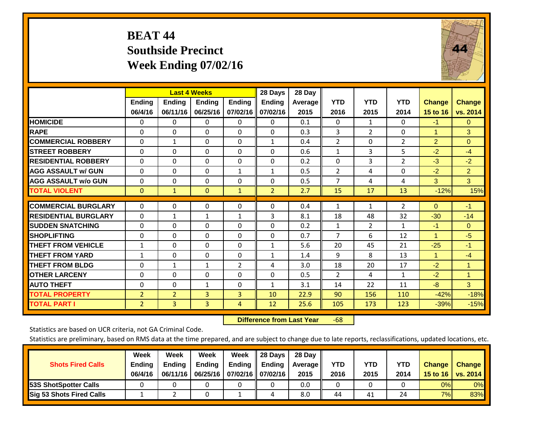# **BEAT 44 Southside Precinct Week Ending 07/02/16**



|                             |                          | <b>Last 4 Weeks</b>       |                           |                           | 28 Days                   | 28 Day          |                    |                    |                    |                           |                           |
|-----------------------------|--------------------------|---------------------------|---------------------------|---------------------------|---------------------------|-----------------|--------------------|--------------------|--------------------|---------------------------|---------------------------|
|                             | <b>Ending</b><br>06/4/16 | <b>Ending</b><br>06/11/16 | <b>Endina</b><br>06/25/16 | <b>Ending</b><br>07/02/16 | <b>Endina</b><br>07/02/16 | Average<br>2015 | <b>YTD</b><br>2016 | <b>YTD</b><br>2015 | <b>YTD</b><br>2014 | <b>Change</b><br>15 to 16 | <b>Change</b><br>vs. 2014 |
| <b>HOMICIDE</b>             | 0                        | 0                         | $\Omega$                  | 0                         | 0                         | 0.1             | $\Omega$           | 1                  | 0                  | $-1$                      | 0                         |
| <b>RAPE</b>                 | 0                        | $\Omega$                  | $\Omega$                  | $\Omega$                  | 0                         | 0.3             | $\overline{3}$     | $\overline{2}$     | 0                  | 1                         | 3                         |
| <b>COMMERCIAL ROBBERY</b>   | $\Omega$                 | $\mathbf{1}$              | $\Omega$                  | $\mathbf 0$               | $\mathbf{1}$              | 0.4             | $\overline{2}$     | $\Omega$           | $\overline{2}$     | $\overline{2}$            | $\Omega$                  |
| <b>STREET ROBBERY</b>       | $\Omega$                 | $\Omega$                  | $\Omega$                  | $\Omega$                  | $\Omega$                  | 0.6             | $\mathbf{1}$       | 3                  | 5                  | $-2$                      | $-4$                      |
| <b>RESIDENTIAL ROBBERY</b>  | $\Omega$                 | $\Omega$                  | $\Omega$                  | $\mathbf{0}$              | $\Omega$                  | 0.2             | $\Omega$           | 3                  | $\overline{2}$     | $-3$                      | $-2$                      |
| <b>AGG ASSAULT w/ GUN</b>   | $\Omega$                 | $\Omega$                  | $\Omega$                  | 1                         | $\mathbf{1}$              | 0.5             | $\overline{2}$     | 4                  | $\Omega$           | $-2$                      | $\overline{2}$            |
| <b>AGG ASSAULT w/o GUN</b>  | $\Omega$                 | $\Omega$                  | $\Omega$                  | $\Omega$                  | $\Omega$                  | 0.5             | $\overline{7}$     | 4                  | 4                  | 3                         | 3                         |
| <b>TOTAL VIOLENT</b>        | $\mathbf{0}$             | $\mathbf{1}$              | $\mathbf{0}$              | $\mathbf{1}$              | $\overline{2}$            | 2.7             | 15                 | 17                 | 13                 | $-12%$                    | 15%                       |
|                             |                          |                           |                           |                           |                           |                 |                    |                    |                    |                           |                           |
| <b>COMMERCIAL BURGLARY</b>  | $\Omega$                 | 0                         | $\Omega$                  | $\mathbf{0}$              | $\Omega$                  | 0.4             | $\mathbf{1}$       | 1                  | $\overline{2}$     | $\mathbf{0}$              | $-1$                      |
| <b>RESIDENTIAL BURGLARY</b> | 0                        | 1                         | $\mathbf{1}$              | 1                         | 3                         | 8.1             | 18                 | 48                 | 32                 | $-30$                     | $-14$                     |
| <b>SUDDEN SNATCHING</b>     | $\Omega$                 | $\Omega$                  | $\Omega$                  | $\Omega$                  | $\Omega$                  | 0.2             | 1                  | $\overline{2}$     | 1                  | $-1$                      | $\Omega$                  |
| <b>SHOPLIFTING</b>          | $\mathbf 0$              | $\Omega$                  | $\Omega$                  | $\Omega$                  | $\Omega$                  | 0.7             | $\overline{7}$     | 6                  | 12                 | $\blacktriangleleft$      | $-5$                      |
| <b>THEFT FROM VEHICLE</b>   | $\mathbf{1}$             | 0                         | $\Omega$                  | $\mathbf{0}$              | $\mathbf{1}$              | 5.6             | 20                 | 45                 | 21                 | $-25$                     | $-1$                      |
| <b>THEFT FROM YARD</b>      | $\mathbf{1}$             | $\Omega$                  | $\Omega$                  | $\mathbf{0}$              | $\mathbf{1}$              | 1.4             | 9                  | 8                  | 13                 | $\mathbf{1}$              | $-4$                      |
| <b>THEFT FROM BLDG</b>      | $\Omega$                 | $\mathbf{1}$              | 1                         | $\overline{2}$            | 4                         | 3.0             | 18                 | 20                 | 17                 | $-2$                      | $\mathbf{1}$              |
| <b>OTHER LARCENY</b>        | $\mathbf{0}$             | 0                         | $\Omega$                  | $\Omega$                  | $\Omega$                  | 0.5             | $\overline{2}$     | 4                  | 1                  | $-2$                      | $\mathbf{1}$              |
| <b>AUTO THEFT</b>           | $\mathbf 0$              | 0                         | 1                         | 0                         | $\mathbf{1}$              | 3.1             | 14                 | 22                 | 11                 | $-8$                      | 3                         |
| <b>TOTAL PROPERTY</b>       | $\overline{2}$           | $\overline{2}$            | 3                         | $\overline{3}$            | 10                        | 22.9            | 90                 | 156                | 110                | $-42%$                    | $-18%$                    |
| <b>TOTAL PART I</b>         | $\overline{2}$           | $\overline{3}$            | $\overline{3}$            | 4                         | 12                        | 25.6            | 105                | 173                | 123                | $-39%$                    | $-15%$                    |

 **Difference from Last Year**r -68

Statistics are based on UCR criteria, not GA Criminal Code.

|                                 | Week          | Week          | Week          | Week              | II 28 Davs                | 28 Day  |            |            |      |               |               |
|---------------------------------|---------------|---------------|---------------|-------------------|---------------------------|---------|------------|------------|------|---------------|---------------|
| <b>Shots Fired Calls</b>        | <b>Ending</b> | <b>Endina</b> | <b>Ending</b> |                   | Ending $\parallel$ Ending | Average | <b>YTD</b> | <b>YTD</b> | YTD  | <b>Change</b> | <b>Change</b> |
|                                 | 06/4/16       | 06/11/16      | 06/25/16      | 07/02/16 07/02/16 |                           | 2015    | 2016       | 2015       | 2014 | 15 to 16      | vs. $2014$    |
| <b>153S ShotSpotter Calls</b>   |               |               |               |                   |                           | 0.0     |            |            |      | 0%            | $0\%$         |
| <b>Sig 53 Shots Fired Calls</b> |               |               |               |                   |                           | 8.0     | 44         | 41         | 24   | 7%            | 83%           |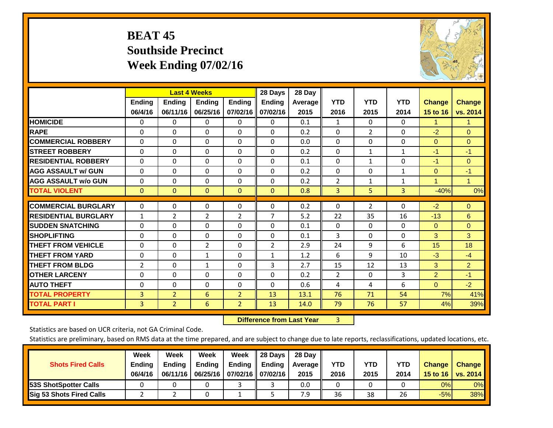# **BEAT 45 Southside Precinct Week Ending 07/02/16**



|                             |               | <b>Last 4 Weeks</b> |                |                | 28 Days       | 28 Day  |                |                |              |                |                |
|-----------------------------|---------------|---------------------|----------------|----------------|---------------|---------|----------------|----------------|--------------|----------------|----------------|
|                             | <b>Ending</b> | Ending              | <b>Endina</b>  | <b>Ending</b>  | <b>Ending</b> | Average | <b>YTD</b>     | <b>YTD</b>     | <b>YTD</b>   | <b>Change</b>  | <b>Change</b>  |
|                             | 06/4/16       | 06/11/16            | 06/25/16       | 07/02/16       | 07/02/16      | 2015    | 2016           | 2015           | 2014         | 15 to 16       | vs. 2014       |
| <b>HOMICIDE</b>             | 0             | 0                   | $\Omega$       | $\Omega$       | 0             | 0.1     | 1              | 0              | 0            | 1.             | 1.             |
| <b>RAPE</b>                 | $\Omega$      | 0                   | $\Omega$       | 0              | 0             | 0.2     | $\Omega$       | $\overline{2}$ | 0            | $-2$           | $\Omega$       |
| <b>COMMERCIAL ROBBERY</b>   | $\Omega$      | $\Omega$            | $\Omega$       | $\Omega$       | 0             | 0.0     | $\Omega$       | $\Omega$       | $\Omega$     | $\mathbf{0}$   | $\Omega$       |
| <b>ISTREET ROBBERY</b>      | $\Omega$      | $\Omega$            | $\Omega$       | $\Omega$       | $\Omega$      | 0.2     | $\mathbf{0}$   | 1              | $\mathbf{1}$ | $-1$           | $-1$           |
| <b>RESIDENTIAL ROBBERY</b>  | $\Omega$      | $\Omega$            | $\Omega$       | $\Omega$       | $\Omega$      | 0.1     | $\mathbf{0}$   | 1              | $\Omega$     | $-1$           | $\Omega$       |
| <b>AGG ASSAULT w/ GUN</b>   | $\Omega$      | $\Omega$            | $\Omega$       | $\Omega$       | 0             | 0.2     | $\Omega$       | 0              | 1            | $\mathbf{0}$   | $-1$           |
| <b>AGG ASSAULT w/o GUN</b>  | $\Omega$      | $\Omega$            | $\Omega$       | $\Omega$       | 0             | 0.2     | $\overline{2}$ | 1              | 1            | 1              | $\mathbf{1}$   |
| <b>TOTAL VIOLENT</b>        | $\mathbf{0}$  | $\mathbf{0}$        | $\mathbf{0}$   | $\Omega$       | $\Omega$      | 0.8     | 3              | 5              | 3            | $-40%$         | 0%             |
|                             |               |                     |                |                |               |         |                |                |              |                |                |
| <b>COMMERCIAL BURGLARY</b>  | $\Omega$      | $\Omega$            | $\mathbf{0}$   | 0              | $\Omega$      | 0.2     | $\mathbf{0}$   | $\overline{2}$ | 0            | $-2$           | $\mathbf{0}$   |
| <b>RESIDENTIAL BURGLARY</b> | $\mathbf{1}$  | $\overline{2}$      | $\overline{2}$ | 2              | 7             | 5.2     | 22             | 35             | 16           | $-13$          | 6              |
| <b>ISUDDEN SNATCHING</b>    | $\Omega$      | 0                   | $\Omega$       | 0              | 0             | 0.1     | $\Omega$       | 0              | $\Omega$     | $\mathbf{0}$   | $\Omega$       |
| <b>SHOPLIFTING</b>          | 0             | $\Omega$            | $\Omega$       | $\Omega$       | 0             | 0.1     | 3              | $\Omega$       | $\Omega$     | 3              | 3              |
| <b>THEFT FROM VEHICLE</b>   | $\Omega$      | $\Omega$            | 2              | 0              | 2             | 2.9     | 24             | 9              | 6            | 15             | 18             |
| <b>THEFT FROM YARD</b>      | 0             | $\Omega$            | 1              | $\Omega$       | $\mathbf{1}$  | 1.2     | 6              | 9              | 10           | $-3$           | $-4$           |
| <b>THEFT FROM BLDG</b>      | 2             | 0                   | 1              | 0              | 3             | 2.7     | 15             | 12             | 13           | 3              | $\overline{2}$ |
| <b>OTHER LARCENY</b>        | $\Omega$      | $\Omega$            | $\Omega$       | $\Omega$       | $\Omega$      | 0.2     | $\overline{2}$ | $\Omega$       | 3            | $\overline{2}$ | $-1$           |
| <b>AUTO THEFT</b>           | $\Omega$      | $\Omega$            | $\Omega$       | $\Omega$       | $\Omega$      | 0.6     | 4              | 4              | 6            | $\Omega$       | $-2$           |
| <b>TOTAL PROPERTY</b>       | 3             | $\overline{2}$      | 6              | $\overline{2}$ | 13            | 13.1    | 76             | 71             | 54           | 7%             | 41%            |
| <b>TOTAL PART I</b>         | 3             | $\overline{2}$      | 6              | $\overline{2}$ | 13            | 14.0    | 79             | 76             | 57           | 4%             | 39%            |

 **Difference from Last Year**r 3

Statistics are based on UCR criteria, not GA Criminal Code.

| <b>Shots Fired Calls</b>        | Week<br><b>Ending</b><br>06/4/16 | Week<br><b>Endina</b><br>06/11/16 | Week<br>Ending | Week<br>Ending<br>06/25/16   07/02/16   07/02/16 | 28 Days<br><b>Ending</b> | 28 Day<br>Average II<br>2015 | YTD<br>2016 | YTD<br>2015 | YTD<br>2014 | <b>Change</b><br>15 to $16$ | <b>Change</b><br>vs. 2014 |
|---------------------------------|----------------------------------|-----------------------------------|----------------|--------------------------------------------------|--------------------------|------------------------------|-------------|-------------|-------------|-----------------------------|---------------------------|
| <b>153S ShotSpotter Calls</b>   |                                  |                                   |                |                                                  |                          | 0.0                          |             |             |             | 0%                          | 0%                        |
| <b>Sig 53 Shots Fired Calls</b> |                                  |                                   |                |                                                  |                          | 7.9                          | 36          | 38          | 26          | $-5%$                       | 38%                       |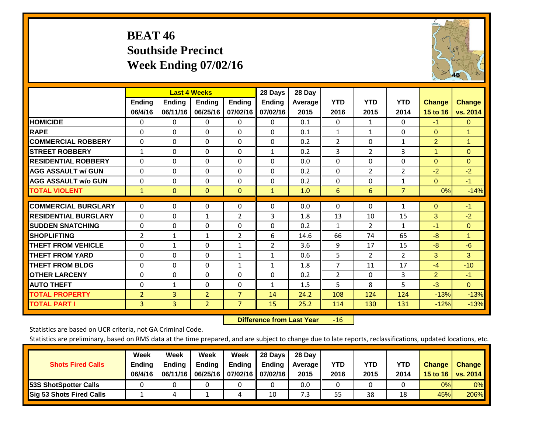# **BEAT 46 Southside Precinct Week Ending 07/02/16**



|                             |                          | <b>Last 4 Weeks</b>       |                    |                           | 28 Days                   | 28 Day          |                    |                    |                    |                           |                           |
|-----------------------------|--------------------------|---------------------------|--------------------|---------------------------|---------------------------|-----------------|--------------------|--------------------|--------------------|---------------------------|---------------------------|
|                             | <b>Ending</b><br>06/4/16 | <b>Ending</b><br>06/11/16 | Ending<br>06/25/16 | <b>Ending</b><br>07/02/16 | <b>Endina</b><br>07/02/16 | Average<br>2015 | <b>YTD</b><br>2016 | <b>YTD</b><br>2015 | <b>YTD</b><br>2014 | <b>Change</b><br>15 to 16 | <b>Change</b><br>vs. 2014 |
| <b>HOMICIDE</b>             | $\Omega$                 | 0                         | 0                  | $\Omega$                  | 0                         | 0.1             | $\Omega$           | $\mathbf{1}$       | 0                  | $-1$                      | $\mathbf{0}$              |
| <b>RAPE</b>                 | $\Omega$                 | $\Omega$                  | $\Omega$           | $\Omega$                  | $\Omega$                  | 0.1             | $\mathbf{1}$       | 1                  | 0                  | $\Omega$                  | $\mathbf{1}$              |
| <b>COMMERCIAL ROBBERY</b>   | $\Omega$                 | $\Omega$                  | $\Omega$           | $\mathbf{0}$              | $\Omega$                  | 0.2             | $\overline{2}$     | $\Omega$           | $\mathbf{1}$       | $\overline{2}$            | $\mathbf{1}$              |
| <b>STREET ROBBERY</b>       | $\mathbf{1}$             | $\Omega$                  | $\Omega$           | $\Omega$                  | $\mathbf{1}$              | 0.2             | 3                  | $\overline{2}$     | 3                  | $\blacktriangleleft$      | $\mathbf{0}$              |
| <b>RESIDENTIAL ROBBERY</b>  | $\Omega$                 | 0                         | $\Omega$           | $\mathbf{0}$              | $\Omega$                  | 0.0             | $\mathbf{0}$       | 0                  | 0                  | $\Omega$                  | $\Omega$                  |
| <b>AGG ASSAULT w/ GUN</b>   | 0                        | 0                         | $\Omega$           | $\Omega$                  | 0                         | 0.2             | $\mathbf{0}$       | $\overline{2}$     | $\overline{2}$     | $-2$                      | $-2$                      |
| <b>AGG ASSAULT w/o GUN</b>  | 0                        | 0                         | $\Omega$           | 0                         | $\Omega$                  | 0.2             | 0                  | $\Omega$           | $\mathbf{1}$       | $\Omega$                  | $-1$                      |
| <b>TOTAL VIOLENT</b>        | $\mathbf{1}$             | $\mathbf{0}$              | $\mathbf{0}$       | $\mathbf{0}$              | $\mathbf{1}$              | 1.0             | 6                  | 6                  | $\overline{7}$     | 0%                        | $-14%$                    |
| <b>COMMERCIAL BURGLARY</b>  | $\Omega$                 | $\Omega$                  | $\Omega$           | $\mathbf{0}$              | $\Omega$                  | 0.0             | $\mathbf{0}$       | $\mathbf{0}$       | 1                  | $\Omega$                  | $-1$                      |
| <b>RESIDENTIAL BURGLARY</b> | $\Omega$                 | $\Omega$                  | 1                  | $\overline{2}$            | 3                         | 1.8             | 13                 | 10                 | 15                 | 3                         | $-2$                      |
| <b>ISUDDEN SNATCHING</b>    | 0                        | $\Omega$                  | $\Omega$           | 0                         | $\Omega$                  | 0.2             | $\mathbf{1}$       | $\overline{2}$     | $\mathbf{1}$       | $-1$                      | $\mathbf{0}$              |
| <b>SHOPLIFTING</b>          | 2                        | 1                         | $\mathbf{1}$       | 2                         | 6                         | 14.6            | 66                 | 74                 | 65                 | -8                        | 1                         |
| <b>THEFT FROM VEHICLE</b>   | $\Omega$                 | $\mathbf{1}$              | $\Omega$           | 1                         | $\overline{2}$            | 3.6             | 9                  | 17                 | 15                 | $-8$                      | $-6$                      |
| <b>THEFT FROM YARD</b>      | $\Omega$                 | $\Omega$                  | $\Omega$           | $\mathbf{1}$              | 1                         | 0.6             | 5                  | $\overline{2}$     | $\overline{2}$     | 3                         | 3                         |
| <b>THEFT FROM BLDG</b>      | 0                        | 0                         | $\Omega$           | $\mathbf{1}$              | $\mathbf{1}$              | 1.8             | $\overline{7}$     | 11                 | 17                 | $-4$                      | $-10$                     |
| <b>IOTHER LARCENY</b>       | $\Omega$                 | $\Omega$                  | $\Omega$           | $\mathbf{0}$              | $\Omega$                  | 0.2             | $\overline{2}$     | $\Omega$           | 3                  | $\overline{2}$            | $-1$                      |
| <b>AUTO THEFT</b>           | $\Omega$                 | $\mathbf{1}$              | $\Omega$           | $\Omega$                  | $\mathbf{1}$              | 1.5             | 5                  | 8                  | 5                  | $-3$                      | $\Omega$                  |
| <b>TOTAL PROPERTY</b>       | $\overline{2}$           | 3                         | $\overline{2}$     | $\overline{7}$            | 14                        | 24.2            | 108                | 124                | 124                | $-13%$                    | $-13%$                    |
| <b>TOTAL PART I</b>         | 3                        | 3                         | $\overline{2}$     | $\overline{7}$            | 15                        | 25.2            | 114                | 130                | 131                | $-12%$                    | $-13%$                    |

 **Difference from Last Year**r -16

Statistics are based on UCR criteria, not GA Criminal Code.

| <b>Shots Fired Calls</b>        | Week<br><b>Ending</b><br>06/4/16 | Week<br><b>Endina</b><br>06/11/16 | Week<br>Ending | Week<br>Ending<br>06/25/16   07/02/16   07/02/16 | 28 Days<br><b>Ending</b> | 28 Day<br>Average II<br>2015 | YTD<br>2016 | YTD<br>2015 | YTD<br>2014 | <b>Change</b><br>15 to 16 | <b>Change</b><br>vs. 2014 |
|---------------------------------|----------------------------------|-----------------------------------|----------------|--------------------------------------------------|--------------------------|------------------------------|-------------|-------------|-------------|---------------------------|---------------------------|
| <b>153S ShotSpotter Calls</b>   |                                  |                                   |                |                                                  |                          | 0.0                          |             |             |             | 0%                        | 0%                        |
| <b>Sig 53 Shots Fired Calls</b> |                                  |                                   |                |                                                  | 10                       | 7.3                          | 55          | 38          | 18          | 45%l                      | 206%                      |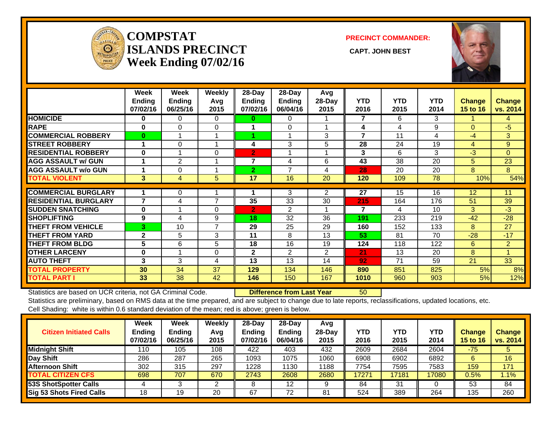

### **COMPSTATISLANDS PRECINCT** CAPT. JOHN BEST **Week Ending 07/02/16**

**PRECINCT COMMANDER:**



|                             | Week<br><b>Ending</b><br>07/02/16 | Week<br><b>Ending</b><br>06/25/16 | <b>Weekly</b><br>Avg<br>2015 | $28$ -Day<br><b>Ending</b><br>07/02/16 | $28$ -Day<br><b>Ending</b><br>06/04/16 | Avg<br>28-Day<br>2015 | <b>YTD</b><br>2016 | <b>YTD</b><br>2015 | <b>YTD</b><br>2014 | <b>Change</b><br>15 to 16 | <b>Change</b><br>vs. 2014 |
|-----------------------------|-----------------------------------|-----------------------------------|------------------------------|----------------------------------------|----------------------------------------|-----------------------|--------------------|--------------------|--------------------|---------------------------|---------------------------|
| <b>HOMICIDE</b>             | $\bf{0}$                          | 0                                 | $\Omega$                     | $\bf{0}$                               | 0                                      |                       | 7                  | 6                  | 3                  |                           | 4                         |
| <b>RAPE</b>                 | $\bf{0}$                          | $\Omega$                          | 0                            |                                        | $\Omega$                               |                       | 4                  | 4                  | 9                  | $\Omega$                  | $-5$                      |
| <b>COMMERCIAL ROBBERY</b>   | $\mathbf{0}$                      |                                   |                              |                                        |                                        | 3                     | 7                  | 11                 | 4                  | -4                        | 3                         |
| <b>STREET ROBBERY</b>       |                                   | 0                                 |                              | 4                                      | 3                                      | 5                     | 28                 | 24                 | 19                 | 4                         | 9                         |
| <b>RESIDENTIAL ROBBERY</b>  | $\bf{0}$                          |                                   | $\Omega$                     | $\overline{2}$                         |                                        |                       | 3                  | 6                  | 3                  | $-3$                      | $\Omega$                  |
| <b>AGG ASSAULT w/ GUN</b>   |                                   | 2                                 |                              | $\overline{7}$                         | 4                                      | 6                     | 43                 | 38                 | 20                 | 5                         | 23                        |
| <b>AGG ASSAULT w/o GUN</b>  |                                   | 0                                 |                              | $\mathbf{2}$                           | 7                                      | 4                     | 28                 | 20                 | 20                 | 8                         | 8                         |
| <b>TOTAL VIOLENT</b>        | 3                                 | 4                                 | 5                            | 17                                     | 16                                     | 20                    | 120                | 109                | 78                 | 10%                       | 54%                       |
|                             |                                   |                                   |                              |                                        |                                        |                       |                    |                    |                    |                           |                           |
| <b>COMMERCIAL BURGLARY</b>  |                                   | 0                                 |                              |                                        | 3                                      | $\overline{2}$        | 27                 | 15                 | 16                 | 12                        | 11                        |
| <b>RESIDENTIAL BURGLARY</b> | $\overline{\mathbf{z}}$           | 4                                 | $\overline{7}$               | 35                                     | 33                                     | 30                    | 215                | 164                | 176                | 51                        | 39                        |
| <b>SUDDEN SNATCHING</b>     | $\bf{0}$                          |                                   | $\Omega$                     | $\overline{2}$                         | $\overline{2}$                         |                       | 7                  | 4                  | 10                 | 3                         | $-3$                      |
| <b>SHOPLIFTING</b>          | 9                                 | 4                                 | 9                            | 18                                     | 32                                     | 36                    | 191                | 233                | 219                | $-42$                     | $-28$                     |
| <b>THEFT FROM VEHICLE</b>   | 3                                 | 10                                | $\overline{7}$               | 29                                     | 25                                     | 29                    | 160                | 152                | 133                | 8                         | 27                        |
| <b>THEFT FROM YARD</b>      | $\mathbf{2}$                      | 5                                 | 3                            | 11                                     | 8                                      | 13                    | 53                 | 81                 | 70                 | $-28$                     | $-17$                     |
| <b>THEFT FROM BLDG</b>      | 5                                 | 6                                 | 5                            | 18                                     | 16                                     | 19                    | 124                | 118                | 122                | 6                         | $\overline{2}$            |
| <b>OTHER LARCENY</b>        | $\bf{0}$                          |                                   | $\Omega$                     | $\mathbf{2}$                           | 2                                      | 2                     | 21                 | 13                 | 20                 | 8                         | и                         |
| <b>AUTO THEFT</b>           | 3                                 | 3                                 | 4                            | 13                                     | 13                                     | 14                    | 92                 | 71                 | 59                 | 21                        | 33                        |
| <b>TOTAL PROPERTY</b>       | 30                                | 34                                | 37                           | 129                                    | 134                                    | 146                   | 890                | 851                | 825                | 5%                        | 8%                        |
| <b>TOTAL PART I</b>         | 33                                | 38                                | 42                           | 146                                    | 150                                    | 167                   | 1010               | 960                | 903                | 5%                        | 12%                       |

Statistics are based on UCR criteria, not GA Criminal Code. **Difference from Last Year** 50 Statistics are preliminary, based on RMS data at the time prepared, and are subject to change due to late reports, reclassifications, updated locations, etc. Cell Shading: white is within 0.6 standard deviation of the mean; red is above; green is below.

| <b>Citizen Initiated Calls</b>  | Week<br>Ending<br>07/02/16 | <b>Week</b><br><b>Ending</b><br>06/25/16 | Weekly<br>Avg<br>2015 | $28$ -Day<br>Ending<br>07/02/16 | 28-Day<br><b>Ending</b><br>06/04/16 | Avg<br>$28$ -Day<br>2015 | YTD<br>2016 | <b>YTD</b><br>2015 | YTD<br>2014 | <b>Change</b><br><b>15 to 16</b> | <b>Change</b><br>vs. 2014 |
|---------------------------------|----------------------------|------------------------------------------|-----------------------|---------------------------------|-------------------------------------|--------------------------|-------------|--------------------|-------------|----------------------------------|---------------------------|
| <b>Midnight Shift</b>           | 110                        | 105                                      | 108                   | 422                             | 403                                 | 432                      | 2609        | 2684               | 2604        | $-75$                            |                           |
| Day Shift                       | 286                        | 287                                      | 265                   | 1093                            | 1075                                | 1060                     | 6908        | 6902               | 6892        |                                  | 16                        |
| <b>Afternoon Shift</b>          | 302                        | 315                                      | 297                   | 1228                            | 1130                                | 1188                     | 7754        | 7595               | 7583        | 159                              | 171                       |
| <b>TOTAL CITIZEN CFS</b>        | 698                        | 707                                      | 670                   | 2743                            | 2608                                | 2680                     | 17271       | 17181              | 17080       | $0.5\%$                          | 1.1%                      |
| <b>53S ShotSpotter Calls</b>    |                            |                                          | ⌒                     |                                 | 12                                  |                          | 84          | 31                 |             | 53                               | 84                        |
| <b>Sig 53 Shots Fired Calls</b> | 18                         | 19                                       | 20                    | 67                              | 72                                  | 81                       | 524         | 389                | 264         | 135                              | 260                       |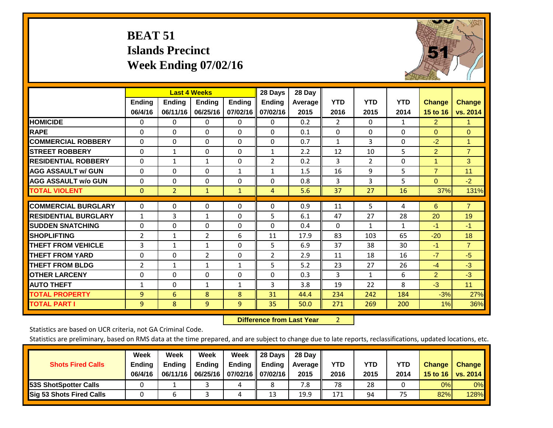# **BEAT 51 Islands Precinct Week Ending 07/02/16**



|                             |                | <b>Last 4 Weeks</b> |                |               | 28 Days        | 28 Day  |                |              |            |                |                |
|-----------------------------|----------------|---------------------|----------------|---------------|----------------|---------|----------------|--------------|------------|----------------|----------------|
|                             | <b>Ending</b>  | <b>Ending</b>       | <b>Endina</b>  | <b>Ending</b> | <b>Ending</b>  | Average | <b>YTD</b>     | <b>YTD</b>   | <b>YTD</b> | <b>Change</b>  | <b>Change</b>  |
|                             | 06/4/16        | 06/11/16            | 06/25/16       | 07/02/16      | 07/02/16       | 2015    | 2016           | 2015         | 2014       | 15 to 16       | vs. 2014       |
| <b>HOMICIDE</b>             | 0              | 0                   | $\Omega$       | $\Omega$      | 0              | 0.2     | $\overline{2}$ | $\mathbf{0}$ | 1          | $\overline{2}$ | 1.             |
| <b>RAPE</b>                 | 0              | $\Omega$            | $\Omega$       | $\Omega$      | $\Omega$       | 0.1     | $\Omega$       | $\Omega$     | $\Omega$   | $\Omega$       | $\Omega$       |
| <b>COMMERCIAL ROBBERY</b>   | $\Omega$       | $\Omega$            | $\Omega$       | $\Omega$      | $\Omega$       | 0.7     | 1              | 3            | $\Omega$   | $-2$           | $\mathbf{1}$   |
| <b>ISTREET ROBBERY</b>      | $\Omega$       | $\mathbf{1}$        | $\Omega$       | $\Omega$      | $\mathbf{1}$   | 2.2     | 12             | 10           | 5          | $\overline{2}$ | $\overline{7}$ |
| <b>RESIDENTIAL ROBBERY</b>  | $\Omega$       | 1                   | 1              | $\mathbf{0}$  | 2              | 0.2     | 3              | 2            | $\Omega$   | 1              | 3              |
| <b>AGG ASSAULT w/ GUN</b>   | $\Omega$       | $\Omega$            | $\Omega$       | 1             | $\mathbf{1}$   | 1.5     | 16             | 9            | 5          | $\overline{7}$ | 11             |
| <b>AGG ASSAULT w/o GUN</b>  | $\Omega$       | 0                   | $\Omega$       | $\Omega$      | $\Omega$       | 0.8     | 3              | 3            | 5          | $\mathbf{0}$   | $-2$           |
| <b>TOTAL VIOLENT</b>        | $\mathbf{0}$   | $\overline{2}$      | $\mathbf{1}$   | $\mathbf{1}$  | 4              | 5.6     | 37             | 27           | 16         | 37%            | 131%           |
|                             |                |                     |                |               |                |         |                |              |            |                |                |
| <b>COMMERCIAL BURGLARY</b>  | $\Omega$       | $\Omega$            | $\Omega$       | $\Omega$      | $\Omega$       | 0.9     | 11             | 5            | 4          | 6              | $\overline{7}$ |
| <b>RESIDENTIAL BURGLARY</b> | $\mathbf{1}$   | 3                   | $\mathbf{1}$   | $\Omega$      | 5              | 6.1     | 47             | 27           | 28         | 20             | 19             |
| <b>SUDDEN SNATCHING</b>     | 0              | 0                   | $\mathbf{0}$   | $\Omega$      | 0              | 0.4     | $\Omega$       | $\mathbf{1}$ | 1          | $-1$           | $-1$           |
| <b>SHOPLIFTING</b>          | 2              | $\mathbf{1}$        | $\overline{2}$ | 6             | 11             | 17.9    | 83             | 103          | 65         | $-20$          | 18             |
| <b>THEFT FROM VEHICLE</b>   | 3              | $\mathbf{1}$        | $\mathbf{1}$   | $\mathbf{0}$  | 5              | 6.9     | 37             | 38           | 30         | $-1$           | $\overline{7}$ |
| <b>THEFT FROM YARD</b>      | 0              | $\Omega$            | $\overline{2}$ | $\mathbf 0$   | $\overline{2}$ | 2.9     | 11             | 18           | 16         | $-7$           | $-5$           |
| <b>THEFT FROM BLDG</b>      | $\overline{2}$ | $\mathbf{1}$        | $\mathbf{1}$   | $\mathbf{1}$  | 5              | 5.2     | 23             | 27           | 26         | $-4$           | $-3$           |
| <b>OTHER LARCENY</b>        | 0              | 0                   | $\Omega$       | $\Omega$      | $\Omega$       | 0.3     | 3              | $\mathbf{1}$ | 6          | $\overline{2}$ | $-3$           |
| <b>AUTO THEFT</b>           | $\mathbf{1}$   | 0                   | $\mathbf{1}$   | 1             | 3              | 3.8     | 19             | 22           | 8          | $-3$           | 11             |
| <b>TOTAL PROPERTY</b>       | 9              | 6                   | 8              | 8             | 31             | 44.4    | 234            | 242          | 184        | $-3%$          | 27%            |
| <b>TOTAL PART I</b>         | 9              | 8                   | 9              | 9             | 35             | 50.0    | 271            | 269          | 200        | 1%             | 36%            |

 **Difference from Last Year**r 2

Statistics are based on UCR criteria, not GA Criminal Code.

| <b>Shots Fired Calls</b>        | Week<br><b>Ending</b><br>06/4/16 | Week<br><b>Endina</b><br>06/11/16 | Week<br>Ending | Week<br>Ending<br>06/25/16   07/02/16   07/02/16 | 28 Days<br><b>Ending</b> | 28 Day<br>Average II<br>2015 | YTD<br>2016 | YTD<br>2015 | YTD<br>2014 | <b>Change</b><br>15 to 16 | <b>Change</b><br>vs. 2014 |
|---------------------------------|----------------------------------|-----------------------------------|----------------|--------------------------------------------------|--------------------------|------------------------------|-------------|-------------|-------------|---------------------------|---------------------------|
| <b>153S ShotSpotter Calls</b>   |                                  |                                   |                | 4                                                |                          | 7.8                          | 78          | 28          |             | 0%                        | 0%                        |
| <b>Sig 53 Shots Fired Calls</b> |                                  |                                   |                |                                                  | 13                       | 19.9                         | 171         | 94          | 75          | 82%                       | 128%                      |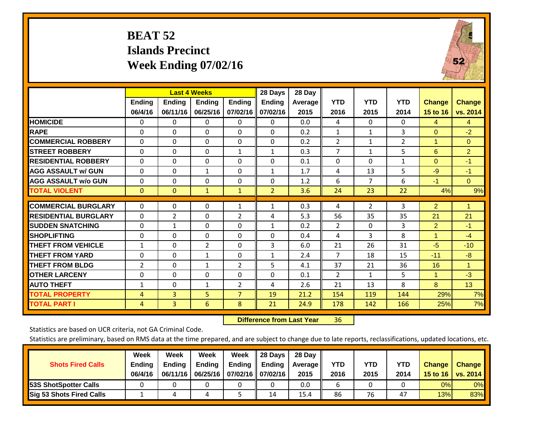# **BEAT 52 Islands Precinct Week Ending 07/02/16**



|                             |                          |                           | <b>Last 4 Weeks</b>       |                           | 28 Days                   | 28 Day          |                    |                    |                    |                                  |                           |
|-----------------------------|--------------------------|---------------------------|---------------------------|---------------------------|---------------------------|-----------------|--------------------|--------------------|--------------------|----------------------------------|---------------------------|
|                             | <b>Ending</b><br>06/4/16 | <b>Ending</b><br>06/11/16 | <b>Endina</b><br>06/25/16 | <b>Ending</b><br>07/02/16 | <b>Endina</b><br>07/02/16 | Average<br>2015 | <b>YTD</b><br>2016 | <b>YTD</b><br>2015 | <b>YTD</b><br>2014 | <b>Change</b><br><b>15 to 16</b> | <b>Change</b><br>vs. 2014 |
| <b>HOMICIDE</b>             | $\Omega$                 | 0                         | $\Omega$                  | 0                         | 0                         | 0.0             | 4                  | $\Omega$           | 0                  | 4                                | 4                         |
| <b>RAPE</b>                 | 0                        | 0                         | $\Omega$                  | $\Omega$                  | $\Omega$                  | 0.2             | 1                  | 1                  | 3                  | $\Omega$                         | $-2$                      |
| <b>COMMERCIAL ROBBERY</b>   | $\Omega$                 | 0                         | $\Omega$                  | $\Omega$                  | $\Omega$                  | 0.2             | $\overline{2}$     | $\mathbf 1$        | $\overline{2}$     | 1                                | $\Omega$                  |
| <b>STREET ROBBERY</b>       | $\Omega$                 | $\Omega$                  | $\Omega$                  | $\mathbf{1}$              | $\mathbf{1}$              | 0.3             | $\overline{7}$     | $\mathbf{1}$       | 5                  | 6                                | $\overline{2}$            |
| <b>RESIDENTIAL ROBBERY</b>  | $\Omega$                 | 0                         | $\Omega$                  | $\Omega$                  | $\Omega$                  | 0.1             | $\Omega$           | $\Omega$           | $\mathbf{1}$       | $\Omega$                         | $-1$                      |
| <b>AGG ASSAULT w/ GUN</b>   | $\Omega$                 | 0                         | $\mathbf{1}$              | $\mathbf{0}$              | $\mathbf{1}$              | 1.7             | 4                  | 13                 | 5                  | $-9$                             | $-1$                      |
| <b>AGG ASSAULT w/o GUN</b>  | $\Omega$                 | 0                         | 0                         | $\Omega$                  | $\Omega$                  | 1.2             | 6                  | $\overline{7}$     | 6                  | $-1$                             | $\Omega$                  |
| <b>TOTAL VIOLENT</b>        | $\mathbf{0}$             | $\mathbf{0}$              | $\mathbf{1}$              | $\mathbf{1}$              | $\overline{2}$            | 3.6             | 24                 | 23                 | 22                 | 4%                               | 9%                        |
| <b>COMMERCIAL BURGLARY</b>  | $\Omega$                 | $\Omega$                  | 0                         | 1                         | $\mathbf{1}$              | 0.3             | 4                  | 2                  | 3                  | $\overline{2}$                   | 1                         |
| <b>RESIDENTIAL BURGLARY</b> | $\Omega$                 | 2                         | 0                         | 2                         | 4                         | 5.3             | 56                 | 35                 | 35                 | 21                               | 21                        |
| <b>SUDDEN SNATCHING</b>     | 0                        | $\mathbf{1}$              | $\Omega$                  | $\Omega$                  | $\mathbf{1}$              | 0.2             | 2                  | $\Omega$           | 3                  | $\overline{2}$                   | $-1$                      |
| <b>SHOPLIFTING</b>          | 0                        | $\Omega$                  | $\Omega$                  | $\Omega$                  | $\Omega$                  | 0.4             | 4                  | 3                  | 8                  | 1                                | $-4$                      |
| <b>THEFT FROM VEHICLE</b>   | $\mathbf{1}$             | 0                         | $\overline{2}$            | $\Omega$                  | 3                         | 6.0             | 21                 | 26                 | 31                 | $-5$                             | $-10$                     |
| <b>THEFT FROM YARD</b>      | $\Omega$                 | $\Omega$                  | $\mathbf{1}$              | $\mathbf{0}$              | $\mathbf{1}$              | 2.4             | $\overline{7}$     | 18                 | 15                 | $-11$                            | $-8$                      |
| <b>THEFT FROM BLDG</b>      | 2                        | 0                         | $\mathbf{1}$              | 2                         | 5                         | 4.1             | 37                 | 21                 | 36                 | 16                               | 1                         |
| <b>OTHER LARCENY</b>        | 0                        | 0                         | 0                         | $\Omega$                  | 0                         | 0.1             | $\overline{2}$     | 1                  | 5.                 | 1                                | $-3$                      |
| <b>AUTO THEFT</b>           | $\mathbf{1}$             | 0                         | 1                         | 2                         | 4                         | 2.6             | 21                 | 13                 | 8                  | 8                                | 13                        |
| <b>TOTAL PROPERTY</b>       | 4                        | 3                         | 5                         | $\overline{7}$            | 19                        | 21.2            | 154                | 119                | 144                | 29%                              | 7%                        |
| <b>TOTAL PART I</b>         | 4                        | 3                         | 6                         | 8                         | 21                        | 24.9            | 178                | 142                | 166                | 25%                              | 7%                        |

 **Difference from Last Year**r 36

Statistics are based on UCR criteria, not GA Criminal Code.

| <b>Shots Fired Calls</b>        | Week<br><b>Ending</b><br>06/4/16 | Week<br><b>Endina</b><br>06/11/16 | Week<br>Ending | Week<br>Ending<br>06/25/16   07/02/16   07/02/16 | 28 Days<br><b>Ending</b> | 28 Day<br>Average II<br>2015 | YTD<br>2016 | YTD<br>2015 | <b>YTD</b><br>2014 | <b>Change</b><br>15 to 16 | <b>Change</b><br>vs. 2014 |
|---------------------------------|----------------------------------|-----------------------------------|----------------|--------------------------------------------------|--------------------------|------------------------------|-------------|-------------|--------------------|---------------------------|---------------------------|
| <b>153S ShotSpotter Calls</b>   |                                  |                                   |                |                                                  |                          | 0.0                          |             |             |                    | 0%                        | 0%                        |
| <b>Sig 53 Shots Fired Calls</b> |                                  |                                   |                |                                                  | 14                       | 15.4                         | 86          | 76          | 47                 | 13%                       | 83%                       |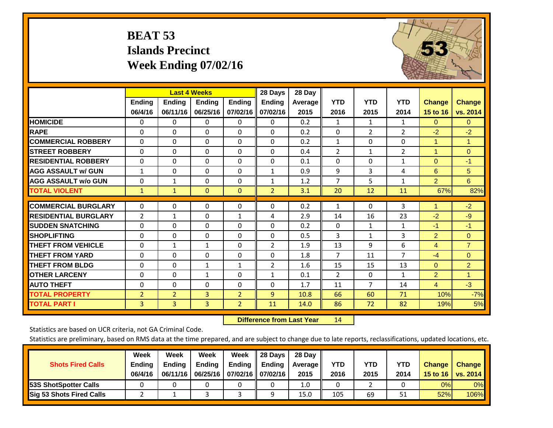# **BEAT 53 Islands Precinct Week Ending 07/02/16**



|                             |                |                | <b>Last 4 Weeks</b> |                | 28 Days        | 28 Day  |                |                |                |                |                |
|-----------------------------|----------------|----------------|---------------------|----------------|----------------|---------|----------------|----------------|----------------|----------------|----------------|
|                             | <b>Ending</b>  | <b>Ending</b>  | <b>Ending</b>       | <b>Endina</b>  | <b>Ending</b>  | Average | <b>YTD</b>     | <b>YTD</b>     | <b>YTD</b>     | <b>Change</b>  | <b>Change</b>  |
|                             | 06/4/16        | 06/11/16       | 06/25/16            | 07/02/16       | 07/02/16       | 2015    | 2016           | 2015           | 2014           | 15 to 16       | vs. 2014       |
| <b>HOMICIDE</b>             | 0              | $\Omega$       | 0                   | 0              | $\Omega$       | 0.2     | $\mathbf{1}$   | $\mathbf{1}$   | 1              | $\Omega$       | $\mathbf{0}$   |
| <b>RAPE</b>                 | 0              | $\Omega$       | $\Omega$            | $\Omega$       | $\Omega$       | 0.2     | $\Omega$       | $\overline{2}$ | $\overline{2}$ | $-2$           | $-2$           |
| <b>COMMERCIAL ROBBERY</b>   | $\Omega$       | $\Omega$       | $\mathbf{0}$        | $\Omega$       | $\Omega$       | 0.2     | $\mathbf{1}$   | 0              | 0              | $\mathbf{1}$   | $\mathbf{1}$   |
| <b>STREET ROBBERY</b>       | $\Omega$       | $\Omega$       | $\Omega$            | $\Omega$       | 0              | 0.4     | $\overline{2}$ | 1              | $\overline{2}$ | $\mathbf{1}$   | $\Omega$       |
| <b>RESIDENTIAL ROBBERY</b>  | $\Omega$       | $\Omega$       | $\mathbf{0}$        | $\Omega$       | $\Omega$       | 0.1     | $\mathbf{0}$   | 0              | $\mathbf{1}$   | $\mathbf{0}$   | $-1$           |
| <b>AGG ASSAULT w/ GUN</b>   | $\mathbf{1}$   | $\Omega$       | $\Omega$            | $\Omega$       | $\mathbf{1}$   | 0.9     | 9              | 3              | 4              | 6              | 5              |
| <b>AGG ASSAULT w/o GUN</b>  | 0              | $\mathbf{1}$   | $\mathbf{0}$        | 0              | $\mathbf{1}$   | 1.2     | $\overline{7}$ | 5              | $\mathbf{1}$   | $\overline{2}$ | 6              |
| <b>TOTAL VIOLENT</b>        | $\mathbf{1}$   | $\mathbf{1}$   | $\mathbf{0}$        | $\mathbf{0}$   | $\overline{2}$ | 3.1     | 20             | 12             | 11             | 67%            | 82%            |
| <b>COMMERCIAL BURGLARY</b>  | $\Omega$       | $\Omega$       | $\Omega$            | $\Omega$       | 0              | 0.2     | $\mathbf{1}$   | $\Omega$       |                | 1              | $-2$           |
|                             |                |                |                     |                |                |         |                |                | 3              |                |                |
| <b>RESIDENTIAL BURGLARY</b> | 2              | 1              | $\Omega$            | 1              | 4              | 2.9     | 14             | 16             | 23             | $-2$           | $-9$           |
| <b>SUDDEN SNATCHING</b>     | $\Omega$       | $\Omega$       | $\Omega$            | 0              | 0              | 0.2     | $\Omega$       | 1              | $\mathbf{1}$   | $-1$           | $-1$           |
| <b>SHOPLIFTING</b>          | $\Omega$       | $\Omega$       | $\mathbf{0}$        | 0              | 0              | 0.5     | 3              | $\mathbf{1}$   | 3              | 2              | $\mathbf{0}$   |
| <b>THEFT FROM VEHICLE</b>   | $\Omega$       | 1              | 1                   | $\Omega$       | 2              | 1.9     | 13             | 9              | 6              | 4              | $\overline{7}$ |
| <b>THEFT FROM YARD</b>      | $\Omega$       | $\Omega$       | $\mathbf{0}$        | $\Omega$       | $\Omega$       | 1.8     | 7              | 11             | 7              | $-4$           | $\mathbf{0}$   |
| <b>THEFT FROM BLDG</b>      | 0              | 0              | 1                   | 1              | 2              | 1.6     | 15             | 15             | 13             | $\Omega$       | $\overline{2}$ |
| <b>OTHER LARCENY</b>        | $\Omega$       | $\Omega$       | $\mathbf{1}$        | 0              | $\mathbf{1}$   | 0.1     | $\overline{2}$ | 0              | $\mathbf{1}$   | 2              | $\mathbf{1}$   |
| <b>AUTO THEFT</b>           | $\Omega$       | $\Omega$       | $\Omega$            | $\Omega$       | 0              | 1.7     | 11             | $\overline{7}$ | 14             | $\overline{4}$ | $-3$           |
| <b>TOTAL PROPERTY</b>       | $\overline{2}$ | $\overline{2}$ | $\overline{3}$      | $\overline{2}$ | 9              | 10.8    | 66             | 60             | 71             | 10%            | $-7%$          |
| <b>TOTAL PART I</b>         | 3              | 3              | 3                   | $\overline{2}$ | 11             | 14.0    | 86             | 72             | 82             | 19%            | 5%             |

 **Difference from Last Year**r 14

Statistics are based on UCR criteria, not GA Criminal Code.

| <b>Shots Fired Calls</b>        | Week<br><b>Ending</b><br>06/4/16 | Week<br><b>Endina</b><br>06/11/16 | <b>Week</b><br>Ending | Week<br>Ending<br>06/25/16   07/02/16   07/02/16 | 28 Days<br><b>Ending</b> | 28 Day<br>Average II<br>2015 | YTD<br>2016 | YTD<br>2015 | YTD<br>2014 | <b>Change</b><br>15 to 16 | <b>Change</b><br>vs. 2014 |
|---------------------------------|----------------------------------|-----------------------------------|-----------------------|--------------------------------------------------|--------------------------|------------------------------|-------------|-------------|-------------|---------------------------|---------------------------|
| <b>153S ShotSpotter Calls</b>   |                                  |                                   |                       |                                                  |                          | 1.0                          |             |             |             | 0%                        | 0%                        |
| <b>Sig 53 Shots Fired Calls</b> |                                  |                                   |                       |                                                  | Ω                        | 15.0                         | 105         | 69          | 51          | 52%                       | 106%                      |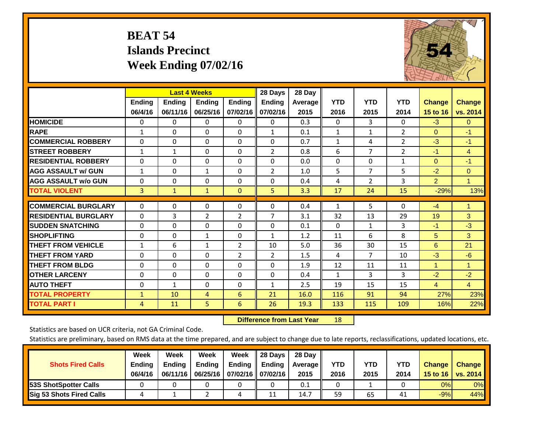# **BEAT 54 Islands Precinct Week Ending 07/02/16**



|                             |              | <b>Last 4 Weeks</b> |                |                | 28 Days        | 28 Day  |              |                |                |                      |                |
|-----------------------------|--------------|---------------------|----------------|----------------|----------------|---------|--------------|----------------|----------------|----------------------|----------------|
|                             | Ending       | <b>Ending</b>       | <b>Ending</b>  | <b>Ending</b>  | <b>Ending</b>  | Average | <b>YTD</b>   | <b>YTD</b>     | <b>YTD</b>     | <b>Change</b>        | <b>Change</b>  |
|                             | 06/4/16      | 06/11/16            | 06/25/16       | 07/02/16       | 07/02/16       | 2015    | 2016         | 2015           | 2014           | 15 to 16             | vs. 2014       |
| <b>HOMICIDE</b>             | 0            | $\Omega$            | $\Omega$       | 0              | 0              | 0.3     | $\mathbf{0}$ | 3              | $\Omega$       | $-3$                 | $\mathbf{0}$   |
| <b>RAPE</b>                 | $\mathbf{1}$ | 0                   | $\mathbf{0}$   | $\Omega$       | $\mathbf{1}$   | 0.1     | $\mathbf{1}$ | 1              | 2              | $\mathbf{0}$         | $-1$           |
| <b>COMMERCIAL ROBBERY</b>   | $\Omega$     | $\Omega$            | $\Omega$       | $\Omega$       | $\Omega$       | 0.7     | 1            | 4              | $\overline{2}$ | $-3$                 | $-1$           |
| <b>STREET ROBBERY</b>       | $\mathbf{1}$ | 1                   | $\Omega$       | $\Omega$       | $\overline{2}$ | 0.8     | 6            | $\overline{7}$ | $\overline{2}$ | $-1$                 | $\overline{4}$ |
| <b>RESIDENTIAL ROBBERY</b>  | $\Omega$     | 0                   | $\mathbf{0}$   | $\Omega$       | $\Omega$       | 0.0     | $\mathbf{0}$ | 0              | $\mathbf{1}$   | $\Omega$             | $-1$           |
| <b>AGG ASSAULT w/ GUN</b>   | $\mathbf{1}$ | $\Omega$            | 1              | $\Omega$       | 2              | 1.0     | 5            | $\overline{7}$ | 5              | $-2$                 | $\Omega$       |
| <b>AGG ASSAULT w/o GUN</b>  | $\Omega$     | 0                   | $\mathbf{0}$   | $\Omega$       | $\Omega$       | 0.4     | 4            | $\overline{2}$ | 3              | $\overline{2}$       | $\mathbf{1}$   |
| <b>TOTAL VIOLENT</b>        | 3            | $\mathbf{1}$        | $\mathbf{1}$   | $\mathbf{0}$   | 5              | 3.3     | 17           | 24             | 15             | $-29%$               | 13%            |
| <b>COMMERCIAL BURGLARY</b>  | $\Omega$     | $\Omega$            | $\mathbf 0$    | 0              | $\Omega$       | 0.4     | $\mathbf{1}$ | 5              | $\Omega$       | $-4$                 | 1              |
| <b>RESIDENTIAL BURGLARY</b> | $\Omega$     | 3                   | $\overline{2}$ | $\overline{2}$ | $\overline{7}$ | 3.1     | 32           | 13             | 29             | 19                   | 3 <sup>1</sup> |
| <b>ISUDDEN SNATCHING</b>    | $\Omega$     | $\Omega$            | $\mathbf{0}$   | $\Omega$       | $\Omega$       | 0.1     | $\mathbf{0}$ | 1              | 3              | $-1$                 | $-3$           |
| <b>SHOPLIFTING</b>          | $\Omega$     | 0                   | $\mathbf{1}$   | $\Omega$       | 1              | 1.2     | 11           | 6              | 8              | 5                    | 3              |
| <b>THEFT FROM VEHICLE</b>   | $\mathbf{1}$ | 6                   | 1              | 2              | 10             | 5.0     | 36           | 30             | 15             | 6                    | 21             |
| <b>THEFT FROM YARD</b>      | $\Omega$     | $\Omega$            | $\Omega$       | $\overline{2}$ | $\overline{2}$ | 1.5     | 4            | $\overline{7}$ | 10             | $-3$                 | $-6$           |
| <b>THEFT FROM BLDG</b>      | $\Omega$     | $\Omega$            | $\mathbf{0}$   | $\Omega$       | $\Omega$       | 1.9     | 12           | 11             | 11             | $\blacktriangleleft$ | 1              |
| <b>OTHER LARCENY</b>        | $\Omega$     | $\Omega$            | $\mathbf{0}$   | $\Omega$       | $\Omega$       | 0.4     | 1            | 3              | 3              | $-2$                 | $-2$           |
| <b>AUTO THEFT</b>           | 0            | 1                   | $\Omega$       | $\Omega$       | $\mathbf{1}$   | 2.5     | 19           | 15             | 15             | $\overline{4}$       | $\overline{4}$ |
| <b>TOTAL PROPERTY</b>       | $\mathbf{1}$ | 10                  | 4              | 6              | 21             | 16.0    | 116          | 91             | 94             | 27%                  | 23%            |
| <b>TOTAL PART I</b>         | 4            | 11                  | 5              | 6              | 26             | 19.3    | 133          | 115            | 109            | 16%                  | 22%            |

 **Difference from Last Year**r 18

Statistics are based on UCR criteria, not GA Criminal Code.

| <b>Shots Fired Calls</b>        | Week<br><b>Ending</b><br>06/4/16 | Week<br><b>Endina</b><br>06/11/16 | <b>Week</b><br>Ending | Week<br>Ending<br>06/25/16   07/02/16   07/02/16 | 28 Days<br><b>Ending</b> | 28 Day<br>Average II<br>2015 | YTD<br>2016 | YTD<br>2015 | <b>YTD</b><br>2014 | <b>Change</b><br>15 to 16 | <b>Change</b><br>vs. 2014 |
|---------------------------------|----------------------------------|-----------------------------------|-----------------------|--------------------------------------------------|--------------------------|------------------------------|-------------|-------------|--------------------|---------------------------|---------------------------|
| <b>153S ShotSpotter Calls</b>   |                                  |                                   |                       |                                                  |                          | 0.1                          |             |             |                    | 0%                        | 0%                        |
| <b>Sig 53 Shots Fired Calls</b> |                                  |                                   |                       |                                                  | 11                       | 14.7                         | 59          | 65          | 41                 | $-9%$                     | 44%                       |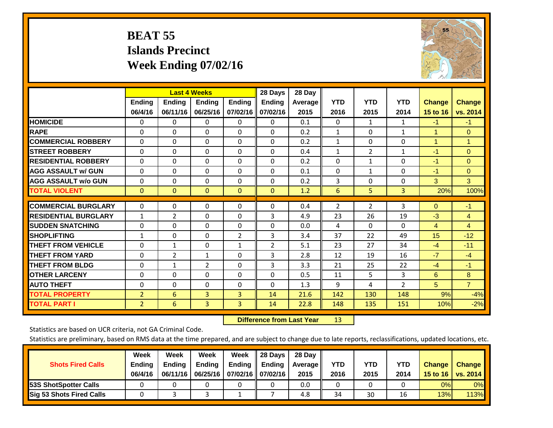# **BEAT 55 Islands Precinct Week Ending 07/02/16**



|                             | <b>Last 4 Weeks</b> |                |                |                | 28 Days        | 28 Day  |                |                |                |                |                |
|-----------------------------|---------------------|----------------|----------------|----------------|----------------|---------|----------------|----------------|----------------|----------------|----------------|
|                             | Ending              | Ending         | Ending         | <b>Ending</b>  | <b>Ending</b>  | Average | <b>YTD</b>     | <b>YTD</b>     | <b>YTD</b>     | <b>Change</b>  | <b>Change</b>  |
|                             | 06/4/16             | 06/11/16       | 06/25/16       | 07/02/16       | 07/02/16       | 2015    | 2016           | 2015           | 2014           | 15 to 16       | vs. 2014       |
| <b>HOMICIDE</b>             | 0                   | 0              | 0              | $\Omega$       | $\Omega$       | 0.1     | $\Omega$       | $\mathbf{1}$   | $\mathbf{1}$   | $-1$           | $-1$           |
| <b>RAPE</b>                 | $\Omega$            | $\Omega$       | $\Omega$       | $\Omega$       | 0              | 0.2     | $\mathbf{1}$   | 0              | $\mathbf{1}$   | 1              | $\mathbf{0}$   |
| <b>COMMERCIAL ROBBERY</b>   | $\Omega$            | $\Omega$       | $\Omega$       | 0              | $\Omega$       | 0.2     | $\mathbf{1}$   | $\Omega$       | 0              | $\overline{1}$ | $\mathbf{1}$   |
| <b>STREET ROBBERY</b>       | $\Omega$            | $\Omega$       | $\Omega$       | $\Omega$       | $\Omega$       | 0.4     | $\mathbf{1}$   | $\overline{2}$ | $\mathbf{1}$   | $-1$           | $\mathbf{0}$   |
| <b>RESIDENTIAL ROBBERY</b>  | $\mathbf 0$         | $\Omega$       | 0              | $\Omega$       | $\Omega$       | 0.2     | $\mathbf{0}$   | $\mathbf{1}$   | 0              | $-1$           | $\Omega$       |
| <b>AGG ASSAULT w/ GUN</b>   | $\Omega$            | $\Omega$       | $\Omega$       | $\Omega$       | 0              | 0.1     | $\mathbf{0}$   | $\mathbf{1}$   | 0              | $-1$           | $\mathbf{0}$   |
| <b>AGG ASSAULT w/o GUN</b>  | $\Omega$            | $\Omega$       | $\Omega$       | 0              | $\Omega$       | 0.2     | 3              | $\Omega$       | 0              | 3              | 3              |
| <b>TOTAL VIOLENT</b>        | $\mathbf 0$         | $\mathbf{0}$   | $\mathbf{0}$   | $\mathbf{0}$   | $\mathbf{0}$   | 1.2     | 6              | 5              | 3              | 20%            | 100%           |
| <b>COMMERCIAL BURGLARY</b>  |                     |                |                |                |                |         |                |                |                |                |                |
|                             | 0                   | $\Omega$       | $\Omega$       | $\Omega$       | 0              | 0.4     | $\overline{2}$ | $\overline{2}$ | 3              | $\mathbf{0}$   | $-1$           |
| <b>RESIDENTIAL BURGLARY</b> | $\mathbf{1}$        | $\overline{2}$ | $\Omega$       | 0              | 3              | 4.9     | 23             | 26             | 19             | $-3$           | $\overline{4}$ |
| <b>ISUDDEN SNATCHING</b>    | 0                   | $\Omega$       | $\Omega$       | 0              | $\Omega$       | 0.0     | 4              | $\Omega$       | 0              | 4              | $\overline{4}$ |
| <b>SHOPLIFTING</b>          | 1                   | $\Omega$       | $\Omega$       | $\overline{2}$ | 3              | 3.4     | 37             | 22             | 49             | 15             | $-12$          |
| <b>THEFT FROM VEHICLE</b>   | $\Omega$            | 1              | $\Omega$       | $\mathbf{1}$   | $\overline{2}$ | 5.1     | 23             | 27             | 34             | $-4$           | $-11$          |
| <b>THEFT FROM YARD</b>      | $\mathbf 0$         | $\overline{2}$ | $\mathbf{1}$   | $\Omega$       | 3              | 2.8     | 12             | 19             | 16             | $-7$           | $-4$           |
| <b>THEFT FROM BLDG</b>      | 0                   | 1              | 2              | $\Omega$       | 3              | 3.3     | 21             | 25             | 22             | $-4$           | $-1$           |
| <b>OTHER LARCENY</b>        | 0                   | $\Omega$       | $\Omega$       | $\Omega$       | 0              | 0.5     | 11             | 5              | 3              | 6              | 8              |
| <b>AUTO THEFT</b>           | $\Omega$            | $\Omega$       | $\Omega$       | 0              | 0              | 1.3     | 9              | 4              | $\overline{2}$ | 5              | $\overline{7}$ |
| <b>TOTAL PROPERTY</b>       | $\overline{2}$      | 6              | $\overline{3}$ | 3              | 14             | 21.6    | 142            | 130            | 148            | 9%             | $-4%$          |
| <b>TOTAL PART I</b>         | $\overline{2}$      | 6              | $\overline{3}$ | 3              | 14             | 22.8    | 148            | 135            | 151            | 10%            | $-2%$          |

 **Difference from Last Year**r 13

Statistics are based on UCR criteria, not GA Criminal Code.

| <b>Shots Fired Calls</b>        | Week<br><b>Ending</b><br>06/4/16 | Week<br><b>Endina</b><br>06/11/16 | Week<br>Ending | Week<br>Ending<br>06/25/16   07/02/16   07/02/16 | 28 Days<br><b>Ending</b> | 28 Day<br>Average II<br>2015 | YTD<br>2016 | YTD<br>2015 | <b>YTD</b><br>2014 | <b>Change</b><br>15 to $16$ | <b>Change</b><br>vs. 2014 |
|---------------------------------|----------------------------------|-----------------------------------|----------------|--------------------------------------------------|--------------------------|------------------------------|-------------|-------------|--------------------|-----------------------------|---------------------------|
| <b>153S ShotSpotter Calls</b>   |                                  |                                   |                |                                                  |                          | 0.0                          |             |             |                    | 0%                          | 0%                        |
| <b>Sig 53 Shots Fired Calls</b> |                                  |                                   |                |                                                  |                          | 4.8                          | 34          | 30          | 16                 | 13%                         | 113% <b> </b>             |